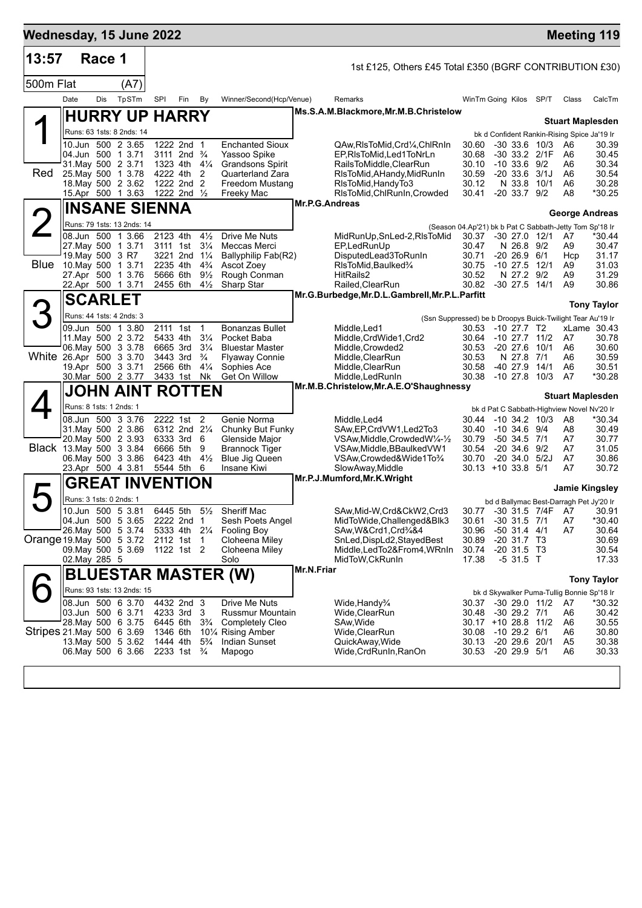| Wednesday, 15 June 2022   |                         |        |                                                 |                                         |     |                                  |                                                                     |                |                                                            |                                                                                |                         |                                    |                          |                        | <b>Meeting 119</b>                                   |
|---------------------------|-------------------------|--------|-------------------------------------------------|-----------------------------------------|-----|----------------------------------|---------------------------------------------------------------------|----------------|------------------------------------------------------------|--------------------------------------------------------------------------------|-------------------------|------------------------------------|--------------------------|------------------------|------------------------------------------------------|
| 13:57                     |                         | Race 1 |                                                 |                                         |     |                                  |                                                                     |                | 1st £125, Others £45 Total £350 (BGRF CONTRIBUTION £30)    |                                                                                |                         |                                    |                          |                        |                                                      |
| 500m Flat                 |                         |        | (A7)                                            |                                         |     |                                  |                                                                     |                |                                                            |                                                                                |                         |                                    |                          |                        |                                                      |
|                           | Date                    | Dis    | TpSTm                                           | SPI                                     | Fin | By                               | Winner/Second(Hcp/Venue)                                            |                | Remarks                                                    | WinTm Going Kilos SP/T                                                         |                         |                                    |                          | Class                  | CalcTm                                               |
|                           |                         |        | <b>HURRY UP HARRY</b>                           |                                         |     |                                  |                                                                     |                | Ms.S.A.M.Blackmore, Mr.M.B.Christelow                      |                                                                                |                         |                                    |                          |                        | <b>Stuart Maplesden</b>                              |
|                           |                         |        | Runs: 63 1sts: 8 2nds: 14                       |                                         |     |                                  |                                                                     |                |                                                            |                                                                                |                         |                                    |                          |                        | bk d Confident Rankin-Rising Spice Ja'19 Ir          |
|                           |                         |        | 10.Jun 500 2 3.65                               | 1222 2nd 1                              |     |                                  | <b>Enchanted Sioux</b>                                              |                | QAw,RIsToMid,Crd¼,ChlRnIn                                  | 30.60                                                                          |                         |                                    | $-30$ 33.6 10/3          | A6                     | 30.39                                                |
|                           |                         |        | 04.Jun 500 1 3.71<br>31. May 500 2 3.71         | 3111 2nd $\frac{3}{4}$<br>1323 4th 41/4 |     |                                  | Yassoo Spike<br><b>Grandsons Spirit</b>                             |                | EP, RIsToMid, Led1ToNrLn<br>RailsToMiddle, ClearRun        | 30.68<br>30.10                                                                 | $-10, 33.6, 9/2$        |                                    | -30 33.2 2/1F            | A6<br>A6               | 30.45<br>30.34                                       |
| Red                       |                         |        | 25. May 500 1 3.78                              | 4222 4th                                |     | 2                                | Quarterland Zara                                                    |                | RIsToMid, AHandy, MidRunIn                                 | 30.59                                                                          |                         |                                    | $-20$ 33.6 $3/1J$        | A6                     | 30.54                                                |
|                           |                         |        | 18. May 500 2 3.62<br>15.Apr 500 1 3.63         | 1222 2nd 2<br>1222 2nd $\frac{1}{2}$    |     |                                  | Freedom Mustang<br>Freeky Mac                                       |                | RIsToMid, HandyTo3<br>RIsToMid, ChlRunIn, Crowded          | 30.12<br>30.41                                                                 |                         | N 33.8<br>$-20$ 33.7 $9/2$         | 10/1                     | A6<br>A8               | 30.28<br>*30.25                                      |
|                           |                         |        | <b>INSANE SIENNA</b>                            |                                         |     |                                  |                                                                     | Mr.P.G.Andreas |                                                            |                                                                                |                         |                                    |                          |                        |                                                      |
| <b>2</b>                  |                         |        | Runs: 79 1sts: 13 2nds: 14                      |                                         |     |                                  |                                                                     |                |                                                            |                                                                                |                         |                                    |                          |                        | <b>George Andreas</b>                                |
|                           |                         |        | 08.Jun 500 1 3.66                               | 2123 4th                                |     | $4\frac{1}{2}$                   | Drive Me Nuts                                                       |                | MidRunUp,SnLed-2,RIsToMid                                  | (Season 04.Ap'21) bk b Pat C Sabbath-Jetty Tom Sp'18 Ir<br>30.37 -30 27.0 12/1 |                         |                                    |                          | A7                     | *30.44                                               |
|                           |                         |        | 27. May 500 1 3.71                              | 3111 1st                                |     | $3\frac{1}{4}$                   | Meccas Merci                                                        |                | EP,LedRunUp                                                | 30.47                                                                          |                         | N 26.8 9/2                         |                          | A9                     | 30.47                                                |
| <b>Blue</b>               | 19. May 500 3 R7        |        | 10. May 500 1 3.71                              | 3221 2nd 11/4<br>2235 4th               |     | $4\frac{3}{4}$                   | Ballyphilip Fab(R2)<br>Ascot Zoey                                   |                | DisputedLead3ToRunIn<br>RIsToMid, Baulked%                 | 30.71<br>30.75                                                                 |                         | $-2026.9$                          | 6/1<br>$-10$ 27.5 $12/1$ | Hcp<br>A9              | 31.17<br>31.03                                       |
|                           |                         |        | 27.Apr 500 1 3.76                               | 5666 6th                                |     | $9\frac{1}{2}$                   | Rough Conman                                                        |                | HitRails2                                                  | 30.52                                                                          |                         | N 27.2                             | 9/2                      | A9                     | 31.29                                                |
|                           | 22.Apr 500 1 3.71       |        |                                                 | 2455 6th                                |     | $4\frac{1}{2}$                   | Sharp Star                                                          |                | Railed, ClearRun                                           | 30.82 -30 27.5 14/1                                                            |                         |                                    |                          | A <sub>9</sub>         | 30.86                                                |
|                           |                         |        | <b>SCARLET</b>                                  |                                         |     |                                  |                                                                     |                | Mr.G.Burbedge, Mr.D.L.Gambrell, Mr.P.L.Parfitt             |                                                                                |                         |                                    |                          |                        | <b>Tony Taylor</b>                                   |
| З                         |                         |        | Runs: 44 1sts: 4 2nds: 3                        |                                         |     |                                  |                                                                     |                | (Ssn Suppressed) be b Droopys Buick-Twilight Tear Au'19 Ir |                                                                                |                         |                                    |                          |                        |                                                      |
|                           |                         |        | 09.Jun 500 1 3.80                               | 2111 1st                                |     | $\mathbf{1}$                     | <b>Bonanzas Bullet</b>                                              |                | Middle,Led1                                                | 30.53                                                                          | -10 27.7 T2             |                                    |                          |                        | xLame 30.43                                          |
|                           |                         |        | 11. May 500 2 3.72<br>06. May 500 3 3.78        | 5433 4th<br>6665 3rd                    |     | $3\frac{1}{4}$<br>$3\frac{1}{4}$ | Pocket Baba<br><b>Bluestar Master</b>                               |                | Middle,CrdWide1,Crd2<br>Middle, Crowded 2                  | 30.64 -10 27.7<br>30.53                                                        | $-20$ 27.6              |                                    | 11/2<br>10/1             | A7<br>A6               | 30.78<br>30.60                                       |
| White 26.Apr 500 3 3.70   |                         |        |                                                 | 3443 3rd                                |     | $\frac{3}{4}$                    | <b>Flyaway Connie</b>                                               |                | Middle, ClearRun                                           | 30.53                                                                          |                         | N 27.8                             | 7/1                      | A6                     | 30.59                                                |
|                           |                         |        | 19.Apr 500 3 3.71<br>30. Mar 500 2 3.77         | 2566 6th<br>3433 1st                    |     | $4\frac{1}{4}$<br>Nk             | Sophies Ace<br>Get On Willow                                        |                | Middle,ClearRun<br>Middle,LedRunIn                         | 30.58<br>30.38                                                                 | $-40$ 27.9<br>$-1027.8$ |                                    | 14/1<br>10/3             | A6<br>A7               | 30.51<br>*30.28                                      |
|                           |                         |        | JOHN AINT ROTTEN                                |                                         |     |                                  |                                                                     |                | Mr.M.B.Christelow, Mr.A.E.O'Shaughnessy                    |                                                                                |                         |                                    |                          |                        |                                                      |
|                           | Runs: 8 1sts: 1 2nds: 1 |        |                                                 |                                         |     |                                  |                                                                     |                |                                                            |                                                                                |                         |                                    |                          |                        | <b>Stuart Maplesden</b>                              |
|                           |                         |        | 08.Jun 500 3 3.76                               | 2222 1st 2                              |     |                                  | Genie Norma                                                         |                | Middle, Led4                                               | 30.44                                                                          |                         |                                    | $-10$ 34.2 $10/3$        | A8                     | bk d Pat C Sabbath-Highview Novel Nv'20 Ir<br>*30.34 |
|                           |                         |        | 31. May 500 2 3.86                              | 6312 2nd 21/4                           |     |                                  | Chunky But Funky                                                    |                | SAw, EP, CrdVW1, Led2To3                                   | 30.40                                                                          | $-10, 34.6, 9/4$        |                                    |                          | A8                     | 30.49                                                |
| Black 13 May 500 3 3 84   |                         |        | 20. May 500 2 3.93                              | 6333 3rd 6<br>6666 5th                  |     | 9                                | Glenside Major<br><b>Brannock Tiger</b>                             |                | VSAw, Middle, Crowded W1/4-1/2<br>VSAw,Middle,BBaulkedVW1  | 30.79<br>30.54                                                                 |                         | $-50$ 34.5 $7/1$<br>$-20, 34.6$    | 9/2                      | A7<br>A7               | 30.77<br>31.05                                       |
|                           |                         |        | 06. May 500 3 3.86                              | 6423 4th                                |     | $4\frac{1}{2}$                   | <b>Blue Jig Queen</b>                                               |                | VSAw,Crowded&Wide1To3/4                                    | 30.70                                                                          |                         | $-20$ 34.0 $5/2J$                  |                          | A7                     | 30.86                                                |
|                           |                         |        | 23.Apr 500 4 3.81                               | 5544 5th 6                              |     |                                  | Insane Kiwi                                                         |                | SlowAway, Middle                                           | $30.13 + 1033.851$                                                             |                         |                                    |                          | A7                     | 30.72                                                |
|                           |                         |        | <b>GREAT INVENTION</b>                          |                                         |     |                                  |                                                                     |                | Mr.P.J.Mumford, Mr.K. Wright                               |                                                                                |                         |                                    |                          |                        | Jamie Kingsley                                       |
|                           | Runs: 3 1sts: 0 2nds: 1 |        |                                                 |                                         |     |                                  |                                                                     |                |                                                            |                                                                                |                         |                                    |                          |                        | bd d Ballymac Best-Darragh Pet Jy'20 Ir              |
|                           |                         |        | 10.Jun 500 5 3.81                               | 6445 5th                                |     | $5\frac{1}{2}$                   | Sheriff Mac                                                         |                | SAw, Mid-W, Crd&CkW2, Crd3                                 |                                                                                |                         |                                    |                          | 30.77 -30 31.5 7/4F A7 | 30.91                                                |
|                           |                         |        | 04.Jun 500 5 3.65<br>26. May 500 5 3.74         | 2222 2nd 1<br>5333 4th 21/4             |     |                                  | Sesh Poets Angel<br><b>Fooling Boy</b>                              |                | MidToWide, Challenged&Blk3<br>SAw, W& Crd1, Crd3/4&4       | 30.61<br>30.96                                                                 |                         | $-30$ 31.5 $7/1$<br>$-50$ 31.4 4/1 |                          | A7<br>A7               | $*30.40$<br>30.64                                    |
| Orange 19 May 500 5 3.72  |                         |        |                                                 | 2112 1st                                |     | $\overline{1}$                   | Cloheena Miley                                                      |                | SnLed, DispLd2, Stayed Best                                | 30.89                                                                          |                         | $-20$ 31.7 T3                      |                          |                        | 30.69                                                |
|                           | 02. May 285 5           |        | 09. May 500 5 3.69                              | 1122 1st 2                              |     |                                  | Cloheena Miley<br>Solo                                              |                | Middle,LedTo2&From4,WRnIn<br>MidToW, CkRunIn               | 30.74<br>17.38                                                                 |                         | $-20$ 31.5 T3<br>$-531.5$ T        |                          |                        | 30.54<br>17.33                                       |
|                           |                         |        |                                                 |                                         |     |                                  |                                                                     | Mr.N.Friar     |                                                            |                                                                                |                         |                                    |                          |                        |                                                      |
|                           |                         |        |                                                 |                                         |     |                                  | BLUESTAR MASTER (W)                                                 |                |                                                            |                                                                                |                         |                                    |                          |                        | <b>Tony Taylor</b>                                   |
|                           |                         |        | Runs: 93 1sts: 13 2nds: 15<br>08.Jun 500 6 3.70 | 4432 2nd 3                              |     |                                  | Drive Me Nuts                                                       |                |                                                            | 30.37                                                                          |                         |                                    | $-30$ 29.0 11/2          | A7                     | bk d Skywalker Puma-Tullig Bonnie Sp'18 Ir<br>*30.32 |
|                           | 03.Jun 500 6 3.71       |        |                                                 | 4233 3rd                                |     | 3                                | Russmur Mountain                                                    |                | Wide,Handy¾<br>Wide,ClearRun                               | 30.48                                                                          |                         | $-30$ 29.2 $7/1$                   |                          | A6                     | 30.42                                                |
|                           |                         |        | 28. May 500 6 3.75                              | 6445 6th                                |     | $3\frac{3}{4}$                   | <b>Completely Cleo</b>                                              |                | SAw,Wide                                                   | 30.17 +10 28.8 11/2                                                            |                         |                                    |                          | A6                     | 30.55                                                |
| Stripes 21 May 500 6 3.69 |                         |        | 13. May 500 5 3.62                              | 1346 6th<br>1444 4th                    |     | $5\frac{3}{4}$                   | 10 <sup>1</sup> / <sub>4</sub> Rising Amber<br><b>Indian Sunset</b> |                | Wide,ClearRun<br>QuickAway, Wide                           | 30.08<br>30.13                                                                 | $-10$ 29.2 $6/1$        |                                    | $-20$ 29.6 20/1          | A6<br>A <sub>5</sub>   | 30.80<br>30.38                                       |
|                           |                         |        | 06. May 500 6 3.66                              | 2233 1st <sup>3</sup> / <sub>4</sub>    |     |                                  | Mapogo                                                              |                | Wide, CrdRunIn, RanOn                                      | 30.53                                                                          |                         | $-20$ 29.9 $5/1$                   |                          | A <sub>6</sub>         | 30.33                                                |
|                           |                         |        |                                                 |                                         |     |                                  |                                                                     |                |                                                            |                                                                                |                         |                                    |                          |                        |                                                      |
|                           |                         |        |                                                 |                                         |     |                                  |                                                                     |                |                                                            |                                                                                |                         |                                    |                          |                        |                                                      |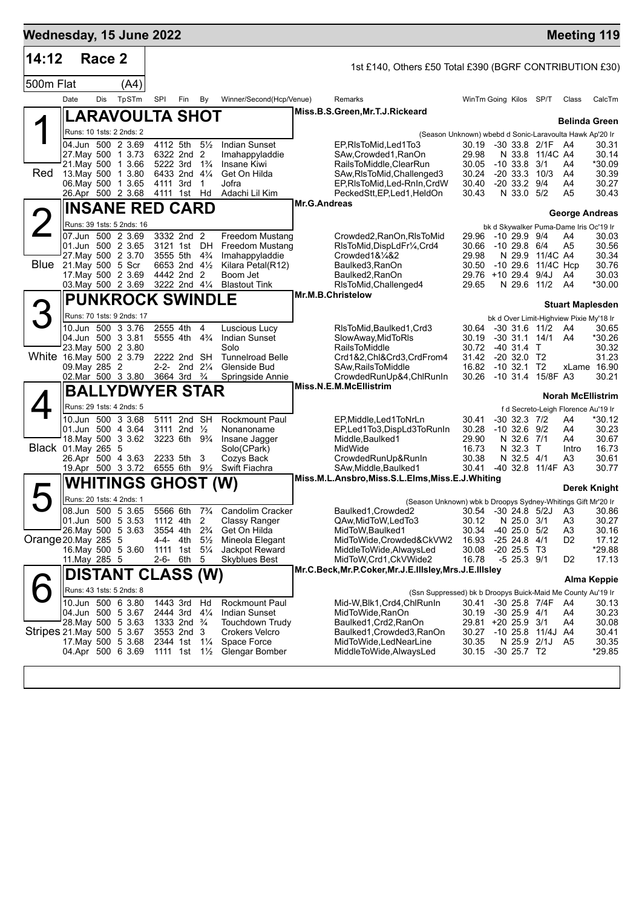| Wednesday, 15 June 2022   |                               |        |                                               |            |                                                      |                |                                                                          |              |                                                                         |                              |               |                                    |                    |                                               | <b>Meeting 119</b>       |
|---------------------------|-------------------------------|--------|-----------------------------------------------|------------|------------------------------------------------------|----------------|--------------------------------------------------------------------------|--------------|-------------------------------------------------------------------------|------------------------------|---------------|------------------------------------|--------------------|-----------------------------------------------|--------------------------|
| 14:12                     |                               | Race 2 |                                               |            |                                                      |                |                                                                          |              | 1st £140, Others £50 Total £390 (BGRF CONTRIBUTION £30)                 |                              |               |                                    |                    |                                               |                          |
| 500m Flat                 |                               |        | (A4)                                          |            |                                                      |                |                                                                          |              |                                                                         |                              |               |                                    |                    |                                               |                          |
|                           | Date                          | Dis    | TpSTm                                         | <b>SPI</b> | Fin                                                  | By             | Winner/Second(Hcp/Venue)                                                 |              | Remarks                                                                 | WinTm Going Kilos SP/T       |               |                                    |                    | Class                                         | CalcTm                   |
|                           |                               |        | LARAVOULTA SHOT                               |            |                                                      |                |                                                                          |              | Miss.B.S.Green, Mr.T.J.Rickeard                                         |                              |               |                                    |                    |                                               | <b>Belinda Green</b>     |
|                           |                               |        | Runs: 10 1sts: 2 2nds: 2                      |            |                                                      |                |                                                                          |              | (Season Unknown) wbebd d Sonic-Laravoulta Hawk Ap'20 Ir                 |                              |               |                                    |                    |                                               |                          |
|                           |                               |        | 04.Jun 500 2 3.69                             |            | 4112 5th                                             | $5\frac{1}{2}$ | <b>Indian Sunset</b>                                                     |              | EP, RIs To Mid, Led 1 To 3                                              | 30.19                        |               |                                    | -30 33.8 2/1F A4   |                                               | 30.31                    |
|                           |                               |        | 27. May 500 1 3.73<br>21. May 500 1 3.66      |            | 6322 2nd 2<br>5222 3rd 1 <sup>3</sup> / <sub>4</sub> |                | Imahappyladdie<br>Insane Kiwi                                            |              | SAw,Crowded1,RanOn<br>RailsToMiddle, ClearRun                           | 29.98<br>30.05               |               | $-10$ 33.8 $3/1$                   | N 33.8 11/4C A4    | A4                                            | 30.14<br>*30.09          |
| Red                       |                               |        | 13. May 500 1 3.80                            |            | 6433 2nd 41/4                                        |                | Get On Hilda                                                             |              | SAw, RIsToMid, Challenged 3                                             | 30.24                        |               |                                    | $-20$ 33.3 10/3    | A4                                            | 30.39                    |
|                           |                               |        | 06. May 500 1 3.65<br>26.Apr 500 2 3.68       |            | 4111 3rd<br>4111 1st Hd                              | $\overline{1}$ | Jofra<br>Adachi Lil Kim                                                  |              | EP, RIsToMid, Led-RnIn, CrdW<br>PeckedStt, EP, Led1, HeldOn             | 30.40<br>30.43               |               | $-2033.29/4$<br>N 33.0 5/2         |                    | A4<br>A5                                      | 30.27<br>30.43           |
|                           |                               |        | <b>INSANE RED CARD</b>                        |            |                                                      |                |                                                                          | Mr.G.Andreas |                                                                         |                              |               |                                    |                    | <b>George Andreas</b>                         |                          |
| 2                         |                               |        | Runs: 39 1sts: 5 2nds: 16                     |            |                                                      |                |                                                                          |              |                                                                         |                              |               |                                    |                    | bk d Skywalker Puma-Dame Iris Oc'19 Ir        |                          |
|                           |                               |        | 07.Jun 500 2 3.69                             |            | 3332 2nd 2                                           |                | <b>Freedom Mustang</b>                                                   |              | Crowded2, RanOn, RIsToMid                                               | 29.96                        | -10 29.9 9/4  |                                    |                    | A4                                            | 30.03                    |
|                           |                               |        | 01.Jun 500 2 3.65<br>27. May 500 2 3.70       |            | 3121 1st DH<br>3555 5th                              | $4\frac{3}{4}$ | <b>Freedom Mustang</b><br>Imahappyladdie                                 |              | RIsToMid, DispLdFr1/4, Crd4<br>Crowded1&1/4&2                           | 30.66<br>29.98               | -10 29.8 6/4  |                                    | N 29.9 11/4C A4    | A <sub>5</sub>                                | 30.56<br>30.34           |
|                           | <b>Blue</b> 21. May 500 5 Scr |        |                                               |            | 6653 2nd 41/2                                        |                | Kilara Petal(R12)                                                        |              | Baulked3, RanOn                                                         | 30.50                        |               |                                    | -10 29.6 11/4C Hcp |                                               | 30.76                    |
|                           |                               |        | 17. May 500 2 3.69<br>03. May 500 2 3.69      |            | 4442 2nd 2<br>3222 2nd 41/4                          |                | Boom Jet<br><b>Blastout Tink</b>                                         |              | Baulked2, RanOn<br>RIsToMid, Challenged4                                | 29.76 +10 29.4 9/4J<br>29.65 |               |                                    | N 29.6 11/2        | A4<br>A4                                      | 30.03<br>*30.00          |
|                           |                               |        | <b>PUNKROCK SWINDLE</b>                       |            |                                                      |                |                                                                          |              | Mr.M.B.Christelow                                                       |                              |               |                                    |                    |                                               |                          |
| З                         |                               |        | Runs: 70 1sts: 9 2nds: 17                     |            |                                                      |                |                                                                          |              |                                                                         |                              |               |                                    |                    | <b>Stuart Maplesden</b>                       |                          |
|                           |                               |        | 10.Jun 500 3 3.76                             |            | 2555 4th                                             | 4              | Luscious Lucy                                                            |              | RIsToMid, Baulked 1, Crd3                                               | 30.64 -30 31.6 11/2          |               |                                    |                    | bk d Over Limit-Highview Pixie My'18 Ir<br>A4 | 30.65                    |
|                           |                               |        | 04.Jun 500 3 3.81                             |            | 5555 4th 4 <sup>3</sup> / <sub>4</sub>               |                | Indian Sunset                                                            |              | SlowAway, MidToRIs                                                      | 30.19                        |               |                                    | $-30$ 31.1 14/1    | A4                                            | *30.26                   |
| White 16.May 500 2 3.79   |                               |        | 23. May 500 2 3.80                            |            | 2222 2nd SH                                          |                | Solo<br><b>Tunnelroad Belle</b>                                          |              | RailsToMiddle<br>Crd1&2,Chl&Crd3,CrdFrom4                               | 30.72<br>31.42               |               | -40 31.4 T<br>$-20$ 32.0 T2        |                    |                                               | 30.32<br>31.23           |
|                           | 09. May 285 2                 |        |                                               |            | 2-2- 2nd $2\frac{1}{4}$                              |                | Glenside Bud                                                             |              | SAw, Rails To Middle                                                    | 16.82                        | $-10$ 32.1 T2 |                                    |                    |                                               | xLame 16.90              |
|                           |                               |        | 02.Mar 500 3 3.80                             |            | 3664 3rd <sup>3</sup> / <sub>4</sub>                 |                | Springside Annie                                                         |              | CrowdedRunUp&4,ChlRunIn<br>Miss.N.E.M.McEllistrim                       | 30.26                        |               |                                    | -10 31.4 15/8F A3  |                                               | 30.21                    |
|                           |                               |        | <b>BALLYDWYER STAR</b>                        |            |                                                      |                |                                                                          |              |                                                                         |                              |               |                                    |                    |                                               | <b>Norah McEllistrim</b> |
|                           |                               |        | Runs: 29 1sts: 4 2nds: 5<br>10.Jun 500 3 3.68 |            | 5111 2nd SH                                          |                | <b>Rockmount Paul</b>                                                    |              | EP, Middle, Led 1 ToNrLn                                                | 30.41                        |               | $-30$ 32.3 $7/2$                   |                    | f d Secreto-Leigh Florence Au'19 Ir<br>A4     | *30.12                   |
|                           |                               |        | 01.Jun 500 4 3.64                             |            | 3111 2nd $\frac{1}{2}$                               |                | Nonanoname                                                               |              | EP,Led1To3,DispLd3ToRunIn                                               | 30.28                        |               | $-10$ 32.6 $9/2$                   |                    | A4                                            | 30.23                    |
| Black 01.May 265 5        |                               |        | 18. May 500 3 3.62                            |            | 3223 6th 9 <sup>3</sup> / <sub>4</sub>               |                | Insane Jagger<br>Solo(CPark)                                             |              | Middle, Baulked1<br>MidWide                                             | 29.90<br>16.73               |               | N 32.6 7/1<br>N 32.3 T             |                    | A4<br>Intro                                   | 30.67<br>16.73           |
|                           |                               |        | 26.Apr 500 4 3.63                             |            | 2233 5th                                             | 3              | Cozys Back                                                               |              | CrowdedRunUp&RunIn                                                      | 30.38                        |               | N 32.5 4/1                         |                    | A3                                            | 30.61                    |
|                           |                               |        | 19.Apr 500 3 3.72                             |            | 6555 6th 91/2                                        |                | Swift Fiachra                                                            |              | SAw, Middle, Baulked1<br>Miss.M.L.Ansbro,Miss.S.L.Elms,Miss.E.J.Whiting | 30.41                        |               |                                    | -40 32.8 11/4F A3  |                                               | 30.77                    |
|                           |                               |        | <b>WHITINGS GHOST (W)</b>                     |            |                                                      |                |                                                                          |              |                                                                         |                              |               |                                    |                    |                                               | Derek Knight             |
|                           |                               |        | Runs: 20 1sts: 4 2nds: 1                      |            |                                                      |                |                                                                          |              | (Season Unknown) wbk b Droopys Sydney-Whitings Gift Mr'20 Ir            |                              |               |                                    |                    |                                               |                          |
|                           |                               |        | 08.Jun 500 5 3.65<br>01.Jun 500 5 3.53        |            | 1112 4th                                             | 2              | 5566 6th 7 <sup>3</sup> / <sub>4</sub> Candolim Cracker<br>Classy Ranger |              | Baulked1, Crowded2<br>QAw, MidToW, LedTo3                               | 30.12                        |               | N 25.0 3/1                         |                    | 30.54 -30 24.8 5/2J A3<br>A <sub>3</sub>      | 30.86<br>30.27           |
|                           |                               |        | 26. May 500 5 3.63                            |            | 3554 4th                                             | $2\frac{3}{4}$ | Get On Hilda                                                             |              | MidToW, Baulked1                                                        | 30.34                        |               | $-40$ 25.0 $5/2$                   |                    | A <sub>3</sub>                                | 30.16                    |
| Orange 20 May 285 5       |                               |        | 16. May 500 5 3.60                            | 4-4-       | 4th<br>1111 1st 5 <sup>1</sup> / <sub>4</sub>        | $5\frac{1}{2}$ | Mineola Elegant<br>Jackpot Reward                                        |              | MidToWide,Crowded&CkVW2<br>MiddleToWide, AlwaysLed                      | 16.93<br>30.08               |               | $-2524.8$<br>$-20$ 25.5 T3         | 4/1                | D <sub>2</sub>                                | 17.12<br>*29.88          |
|                           | 11. May 285 5                 |        |                                               |            | 2-6- 6th 5                                           |                | Skyblues Best                                                            |              | MidToW,Crd1,CkVWide2                                                    | 16.78                        |               | $-5$ 25.3 $9/1$                    |                    | D <sub>2</sub>                                | 17.13                    |
|                           |                               |        | DISTANT CLASS (W)                             |            |                                                      |                |                                                                          |              | Mr.C.Beck, Mr.P.Coker, Mr.J.E.IIIsley, Mrs.J.E.IIIsley                  |                              |               |                                    |                    |                                               | Alma Keppie              |
|                           |                               |        | Runs: 43 1sts: 5 2nds: 8                      |            |                                                      |                |                                                                          |              | (Ssn Suppressed) bk b Droopys Buick-Maid Me County Au'19 Ir             |                              |               |                                    |                    |                                               |                          |
|                           |                               |        | 10.Jun 500 6 3.80                             |            | 1443 3rd                                             | Hd             | Rockmount Paul                                                           |              | Mid-W, Blk1, Crd4, ChlRunIn                                             | 30.41                        |               |                                    | -30 25.8 7/4F      | A4                                            | 30.13                    |
|                           |                               |        | 04.Jun 500 5 3.67<br>28. May 500 5 3.63       |            | 2444 3rd<br>1333 2nd <sup>3</sup> / <sub>4</sub>     | $4\frac{1}{4}$ | <b>Indian Sunset</b><br>Touchdown Trudy                                  |              | MidToWide,RanOn<br>Baulked1,Crd2,RanOn                                  | 30.19<br>29.81               |               | $-30$ 25.9 $4/1$<br>$+20$ 25.9 3/1 |                    | A4<br>A4                                      | 30.23<br>30.08           |
| Stripes 21 May 500 5 3.67 |                               |        |                                               |            | 3553 2nd 3                                           |                | <b>Crokers Velcro</b>                                                    |              | Baulked1, Crowded3, RanOn                                               | 30.27                        |               |                                    | -10 25.8 11/4J A4  |                                               | 30.41                    |
|                           |                               |        | 17 May 500 5 3.68<br>04.Apr 500 6 3.69        |            | 2344 1st 11/4<br>1111 1st $1\frac{1}{2}$             |                | Space Force<br>Glengar Bomber                                            |              | MidToWide,LedNearLine<br>MiddleToWide, AlwaysLed                        | 30.35<br>30.15               |               | -30 25.7 T2                        | N 25.9 2/1J        | A5                                            | 30.35<br>*29.85          |
|                           |                               |        |                                               |            |                                                      |                |                                                                          |              |                                                                         |                              |               |                                    |                    |                                               |                          |
|                           |                               |        |                                               |            |                                                      |                |                                                                          |              |                                                                         |                              |               |                                    |                    |                                               |                          |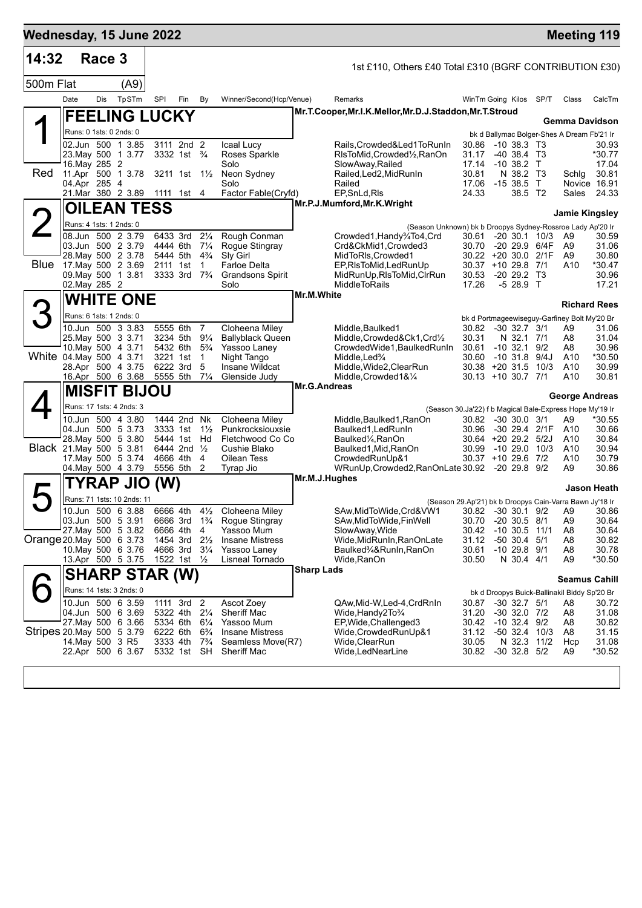| 14:32                     |                  | Race 3 |                                              |                      |                                        |                                  |                                           |                   |                                                                                          |                                           |                                      |      |                                                              |                    |
|---------------------------|------------------|--------|----------------------------------------------|----------------------|----------------------------------------|----------------------------------|-------------------------------------------|-------------------|------------------------------------------------------------------------------------------|-------------------------------------------|--------------------------------------|------|--------------------------------------------------------------|--------------------|
| 500m Flat                 |                  |        | (A9)                                         |                      |                                        |                                  |                                           |                   | 1st £110, Others £40 Total £310 (BGRF CONTRIBUTION £30)                                  |                                           |                                      |      |                                                              |                    |
|                           | Date             | Dis    | TpSTm                                        | SPI                  | Fin                                    | By                               | Winner/Second(Hcp/Venue)                  |                   | Remarks                                                                                  | WinTm Going Kilos                         |                                      | SP/T | Class                                                        | CalcTm             |
|                           |                  |        | <b>FEELING LUCKY</b>                         |                      |                                        |                                  |                                           |                   | Mr.T.Cooper, Mr.I.K.Mellor, Mr.D.J.Staddon, Mr.T.Stroud                                  |                                           |                                      |      |                                                              |                    |
|                           |                  |        | Runs: 0 1sts: 0 2nds: 0                      |                      |                                        |                                  |                                           |                   |                                                                                          |                                           |                                      |      | Gemma Davidson<br>bk d Ballymac Bolger-Shes A Dream Fb'21 Ir |                    |
|                           |                  |        | 02.Jun 500 1 3.85                            |                      | 3111 2nd 2                             |                                  | Icaal Lucy                                |                   | Rails,Crowded&Led1ToRunIn                                                                | 30.86                                     | $-10,38.3$ T3                        |      |                                                              | 30.93              |
|                           | 16. May 285 2    |        | 23. May 500 1 3.77                           |                      | 3332 1st $\frac{3}{4}$                 |                                  | Roses Sparkle<br>Solo                     |                   | RIsToMid, Crowded <sup>1</sup> / <sub>2</sub> , RanOn                                    | 31.17<br>17.14                            | $-40, 38.4, 73$<br>$-10,38.2$ T      |      |                                                              | *30.77<br>17.04    |
| Red                       |                  |        | 11.Apr 500 1 3.78                            |                      | 3211 1st 1½                            |                                  | Neon Sydney                               |                   | SlowAway, Railed<br>Railed, Led2, MidRunIn                                               | 30.81                                     | N 38.2 T3                            |      | Schlg                                                        | 30.81              |
|                           | 04.Apr 285 4     |        | 21.Mar 380 2 3.89                            |                      | 1111 1st 4                             |                                  | Solo<br>Factor Fable(Cryfd)               |                   | Railed<br>EP, SnLd, RIs                                                                  | 17.06<br>24.33                            | $-1538.5$ T<br>38.5 T2               |      | Novice 16.91<br>Sales                                        | 24.33              |
|                           |                  |        | <b>OILEAN TESS</b>                           |                      |                                        |                                  |                                           |                   | Mr.P.J.Mumford, Mr.K. Wright                                                             |                                           |                                      |      |                                                              |                    |
|                           |                  |        |                                              |                      |                                        |                                  |                                           |                   |                                                                                          |                                           |                                      |      | <b>Jamie Kingsley</b>                                        |                    |
|                           |                  |        | Runs: 4 1sts: 1 2nds: 0<br>08.Jun 500 2 3.79 | 6433 3rd             |                                        | $2\frac{1}{4}$                   | Rough Conman                              |                   | (Season Unknown) bk b Droopys Sydney-Rossroe Lady Ap'20 Ir<br>Crowded1, Handy3/4To4, Crd | 30.61 -20 30.1 10/3                       |                                      |      | A9                                                           | 30.59              |
|                           |                  |        | 03.Jun 500 2 3.79                            |                      | 4444 6th                               | $7\frac{1}{4}$                   | Rogue Stingray                            |                   | Crd&CkMid1,Crowded3                                                                      | 30.70 -20 29.9 6/4F                       |                                      |      | A9                                                           | 31.06              |
|                           |                  |        | 28. May 500 2 3.78<br>Blue 17 May 500 2 3.69 | 2111 1st             | 5444 5th                               | $4\frac{3}{4}$<br>$\overline{1}$ | Sly Girl<br><b>Farloe Delta</b>           |                   | MidToRIs, Crowded1<br>EP, RIsToMid, Led RunUp                                            | 30.22 +20 30.0 2/1F<br>30.37 +10 29.8 7/1 |                                      |      | A9<br>A10                                                    | 30.80<br>*30.47    |
|                           |                  |        | 09. May 500 1 3.81                           |                      | 3333 3rd 7 <sup>3</sup> / <sub>4</sub> |                                  | <b>Grandsons Spirit</b>                   |                   | MidRunUp, RIsToMid, CIrRun                                                               | 30.53                                     | $-20$ 29.2 T3                        |      |                                                              | 30.96              |
|                           | 02. May 285 2    |        |                                              |                      |                                        |                                  | Solo                                      | <b>Mr.M.White</b> | <b>MiddleToRails</b>                                                                     | 17.26                                     | $-528.9$ T                           |      |                                                              | 17.21              |
| З                         |                  |        | <b>WHITE ONE</b>                             |                      |                                        |                                  |                                           |                   |                                                                                          |                                           |                                      |      | <b>Richard Rees</b>                                          |                    |
|                           |                  |        | Runs: 6 1sts: 1 2nds: 0                      |                      |                                        |                                  |                                           |                   |                                                                                          |                                           |                                      |      | bk d Portmageewiseguy-Garfiney Bolt My'20 Br                 |                    |
|                           |                  |        | 10.Jun 500 3 3.83<br>25. May 500 3 3.71      |                      | 5555 6th<br>3234 5th                   | $\overline{7}$<br>$9\frac{1}{4}$ | Cloheena Miley<br><b>Ballyblack Queen</b> |                   | Middle, Baulked1<br>Middle,Crowded&Ck1,Crd½                                              | 30.82<br>30.31                            | $-30$ 32.7 $3/1$<br>N 32.1 7/1       |      | A9<br>A8                                                     | 31.06<br>31.04     |
| White 04 May 500 4 3.71   |                  |        | 10 May 500 4 3.71                            |                      | 5432 6th                               | $5\frac{3}{4}$                   | Yassoo Laney                              |                   | CrowdedWide1, BaulkedRunIn                                                               | 30.61                                     | $-10$ 32.1 $9/2$                     |      | A8                                                           | 30.96              |
|                           |                  |        | 28.Apr 500 4 3.75                            | 3221 1st<br>6222 3rd |                                        | $\overline{1}$<br>5              | Night Tango<br>Insane Wildcat             |                   | Middle, Led%<br>Middle, Wide 2, Clear Run                                                | 30.60<br>$30.38 + 20.31.5$ 10/3           | $-10.31.8$                           | 9/4J | A10<br>A <sub>10</sub>                                       | *30.50<br>30.99    |
|                           |                  |        | 16.Apr 500 6 3.68                            | 5555 5th             |                                        | $7\frac{1}{4}$                   | Glenside Judy                             | Mr.G.Andreas      | Middle, Crowded 1&1/4                                                                    | $30.13 + 10.30.7$ 7/1                     |                                      |      | A <sub>10</sub>                                              | 30.81              |
|                           |                  |        | <b>MISFIT BIJOU</b>                          |                      |                                        |                                  |                                           |                   |                                                                                          |                                           |                                      |      | George Andreas                                               |                    |
|                           |                  |        | Runs: 17 1sts: 4 2nds: 3                     |                      |                                        |                                  |                                           |                   |                                                                                          |                                           |                                      |      | (Season 30.Ja'22) f b Magical Bale-Express Hope My'19 Ir     |                    |
|                           |                  |        | 10.Jun 500 4 3.80<br>04.Jun 500 5 3.73       |                      | 1444 2nd Nk<br>3333 1st                | $1\frac{1}{2}$                   | Cloheena Miley<br>Punkrocksiouxsie        |                   | Middle,Baulked1,RanOn<br>Baulked1, Led Run In                                            | 30.82 -30 30.0 3/1<br>30.96 -30 29.4 2/1F |                                      |      | A9<br>A10                                                    | *30.55<br>30.66    |
|                           |                  |        | 28. May 500 5 3.80                           |                      | 5444 1st Hd                            |                                  | Fletchwood Co Co                          |                   | Baulked1/ <sub>4</sub> , RanOn                                                           | $30.64$ +20 29.2 5/2J                     |                                      |      | A10                                                          | 30.84              |
| Black 21. May 500 5 3.81  |                  |        | 17 May 500 5 3.74                            |                      | 6444 2nd 1/2<br>4666 4th               | 4                                | Cushie Blako<br>Oilean Tess               |                   | Baulked1,Mid,RanOn<br>CrowdedRunUp&1                                                     | 30.99<br>30.37 +10 29.6 7/2               | -10 29.0                             | 10/3 | A10<br>A10                                                   | 30.94<br>30.79     |
|                           |                  |        | 04. May 500 4 3.79                           |                      | 5556 5th                               | 2                                | Tyrap Jio                                 |                   | WRunUp, Crowded 2, RanOnLate 30.92 - 20 29.8 9/2                                         |                                           |                                      |      | A9                                                           | 30.86              |
|                           |                  |        | TYRAP JIO                                    | (W)                  |                                        |                                  |                                           | Mr.M.J.Hughes     |                                                                                          |                                           |                                      |      |                                                              | <b>Jason Heath</b> |
|                           |                  |        | Runs: 71 1sts: 10 2nds: 11                   |                      |                                        |                                  |                                           |                   |                                                                                          |                                           |                                      |      | (Season 29.Ap'21) bk b Droopys Cain-Varra Bawn Jy'18 Ir      |                    |
|                           |                  |        | 10.Jun 500 6 3.88<br>03.Jun 500 5 3.91       | 6666 3rd             | 6666 4th                               | $4\frac{1}{2}$<br>$1\frac{3}{4}$ | Cloheena Miley                            |                   | SAw, MidToWide, Crd&VW1<br>SAw, MidToWide, FinWell                                       | 30.82 -30 30.1 9/2                        | $-20, 30.5$                          | 8/1  | A9<br>A <sub>9</sub>                                         | 30.86<br>30.64     |
|                           |                  |        | 27. May 500 5 3.82                           | 6666 4th             |                                        | 4                                | Rogue Stingray<br>Yassoo Mum              |                   | SlowAway, Wide                                                                           | 30.70<br>30.42                            | $-10$ 30.5 11/1                      |      | A <sub>8</sub>                                               | 30.64              |
| Orange 20 May 500 6 3.73  |                  |        |                                              | 4666 3rd             | 1454 3rd                               | $2\frac{1}{2}$<br>$3\frac{1}{4}$ | <b>Insane Mistress</b>                    |                   | Wide, MidRunIn, RanOnLate<br>Baulked3⁄4&RunIn,RanOn                                      | 31.12                                     | $-50$ 30.4 $5/1$<br>$-10$ 29.8 $9/1$ |      | A8<br>A <sub>8</sub>                                         | 30.82<br>30.78     |
|                           |                  |        | 10. May 500 6 3.76<br>13.Apr 500 5 3.75      |                      | 1522 1st 1/2                           |                                  | Yassoo Laney<br>Lisneal Tornado           |                   | Wide, RanOn                                                                              | 30.61<br>30.50                            | N 30.4 4/1                           |      | A <sub>9</sub>                                               | *30.50             |
|                           |                  |        | <b>SHARP STAR (W)</b>                        |                      |                                        |                                  |                                           | <b>Sharp Lads</b> |                                                                                          |                                           |                                      |      | <b>Seamus Cahill</b>                                         |                    |
|                           |                  |        | Runs: 14 1sts: 3 2nds: 0                     |                      |                                        |                                  |                                           |                   |                                                                                          |                                           |                                      |      | bk d Droopys Buick-Ballinakil Biddy Sp'20 Br                 |                    |
|                           |                  |        | 10.Jun 500 6 3.59                            |                      | 1111 3rd 2                             |                                  | Ascot Zoey                                |                   | QAw, Mid-W, Led-4, CrdRnIn                                                               | 30.87                                     | $-30$ 32.7 $5/1$                     |      | A8                                                           | 30.72              |
|                           |                  |        | 04.Jun 500 6 3.69<br>27 May 500 6 3.66       |                      | 5322 4th<br>5334 6th                   | $2\frac{1}{4}$<br>$6\frac{1}{4}$ | <b>Sheriff Mac</b><br>Yassoo Mum          |                   | Wide, Handy 2To 3/4<br>EP, Wide, Challenged 3                                            | 31.20<br>30.42                            | $-30$ 32.0 $7/2$<br>$-10$ 32.4 $9/2$ |      | A8<br>A8                                                     | 31.08<br>30.82     |
| Stripes 20 May 500 5 3.79 |                  |        |                                              | 6222 6th             |                                        | $6\frac{3}{4}$                   | <b>Insane Mistress</b>                    |                   | Wide, Crowded RunUp&1                                                                    | 31.12                                     | $-50$ 32.4 10/3                      |      | A8                                                           | 31.15              |
|                           | 14. May 500 3 R5 |        | 22.Apr 500 6 3.67                            |                      | 3333 4th<br>5332 1st SH                | $7\frac{3}{4}$                   | Seamless Move(R7)<br>Sheriff Mac          |                   | Wide,ClearRun<br>Wide, LedNearLine                                                       | 30.05<br>30.82                            | N 32.3 11/2<br>$-30$ 32.8 $5/2$      |      | Hcp<br>A <sub>9</sub>                                        | 31.08<br>*30.52    |
|                           |                  |        |                                              |                      |                                        |                                  |                                           |                   |                                                                                          |                                           |                                      |      |                                                              |                    |
|                           |                  |        |                                              |                      |                                        |                                  |                                           |                   |                                                                                          |                                           |                                      |      |                                                              |                    |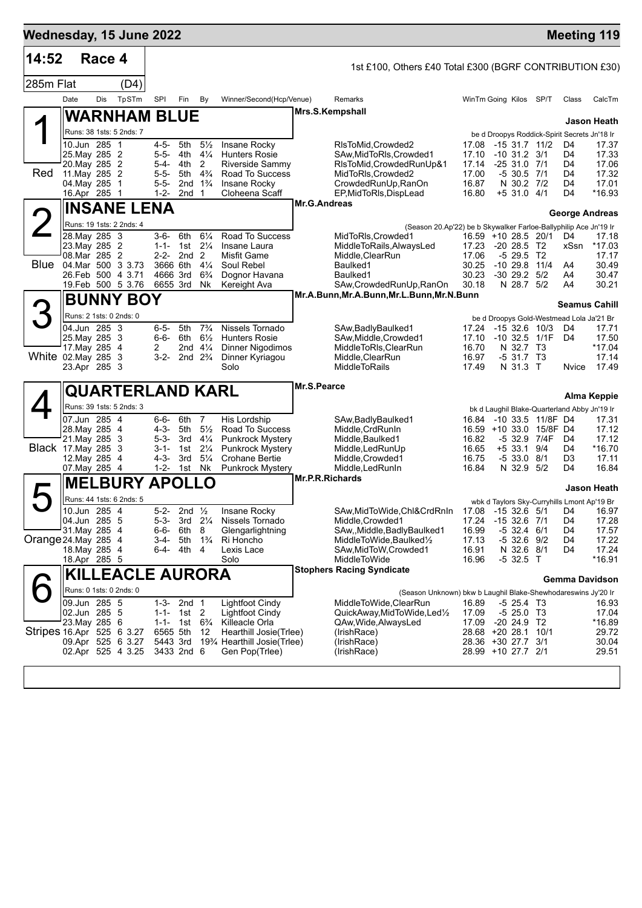| Wednesday, 15 June 2022   |                                |        |                                        |                        |                   |                                  |                                                      |                 |                                                                                        |                              |                                |                          |            | <b>Meeting 119</b>                                    |
|---------------------------|--------------------------------|--------|----------------------------------------|------------------------|-------------------|----------------------------------|------------------------------------------------------|-----------------|----------------------------------------------------------------------------------------|------------------------------|--------------------------------|--------------------------|------------|-------------------------------------------------------|
| 14:52                     |                                | Race 4 |                                        |                        |                   |                                  |                                                      |                 | 1st £100, Others £40 Total £300 (BGRF CONTRIBUTION £30)                                |                              |                                |                          |            |                                                       |
| 285m Flat                 |                                |        | (D4)                                   |                        |                   |                                  |                                                      |                 |                                                                                        |                              |                                |                          |            |                                                       |
|                           | Date                           | Dis    | TpSTm                                  | SPI                    | Fin               | By                               | Winner/Second(Hcp/Venue)                             |                 | Remarks                                                                                | WinTm Going Kilos SP/T       |                                |                          | Class      | CalcTm                                                |
|                           |                                |        | <b>WARNHAM BLUE</b>                    |                        |                   |                                  |                                                      |                 | Mrs.S.Kempshall                                                                        |                              |                                |                          |            |                                                       |
|                           |                                |        | Runs: 38 1sts: 5 2nds: 7               |                        |                   |                                  |                                                      |                 |                                                                                        |                              |                                |                          |            | Jason Heath                                           |
|                           | 10.Jun 285 1                   |        |                                        | 4-5-                   | 5th               | $5\frac{1}{2}$                   | Insane Rocky                                         |                 | RIsToMid, Crowded2                                                                     | 17.08                        |                                | $-15$ 31.7 11/2          | D4         | be d Droopys Roddick-Spirit Secrets Jn'18 Ir<br>17.37 |
|                           | 25. May 285 2                  |        |                                        | $5 - 5 -$              | 4th               | $4\frac{1}{4}$                   | <b>Hunters Rosie</b>                                 |                 | SAw, MidToRIs, Crowded1                                                                | 17.10                        | $-10$ 31.2 3/1                 |                          | D4         | 17.33                                                 |
| Red                       | 20. May 285 2<br>11. May 285 2 |        |                                        | $5 - 4 -$<br>$5 - 5 -$ | 4th<br>5th        | 2<br>$4\frac{3}{4}$              | Riverside Sammy<br>Road To Success                   |                 | RIsToMid, Crowded RunUp&1<br>MidToRIs, Crowded2                                        | 17.14<br>17.00               | $-2531.071$<br>-5 30.5 7/1     |                          | D4<br>D4   | 17.06<br>17.32                                        |
|                           | 04. May 285 1                  |        |                                        | $5 - 5 -$              |                   | 2nd $1\frac{3}{4}$               | Insane Rocky                                         |                 | CrowdedRunUp, RanOn                                                                    | 16.87                        | N 30.2 7/2                     |                          | D4         | 17.01                                                 |
|                           | 16.Apr 285 1                   |        |                                        | $1 - 2 -$              | 2nd <sub>1</sub>  |                                  | Cloheena Scaff                                       |                 | EP, MidToRIs, DispLead                                                                 | 16.80                        | $+5$ 31.0 4/1                  |                          | D4         | *16.93                                                |
|                           |                                |        | <b>INSANE LENA</b>                     |                        |                   |                                  |                                                      | Mr.G.Andreas    |                                                                                        |                              |                                |                          |            | George Andreas                                        |
| <b>2</b>                  |                                |        | Runs: 19 1sts: 2 2nds: 4               |                        |                   |                                  |                                                      |                 | (Season 20.Ap'22) be b Skywalker Farloe-Ballyphilip Ace Jn'19 Ir                       |                              |                                |                          |            |                                                       |
|                           | 28. May 285 3<br>23. May 285 2 |        |                                        | 3-6-<br>$1 - 1 -$      | 6th<br>1st        | $6\frac{1}{4}$<br>$2\frac{1}{4}$ | Road To Success<br>Insane Laura                      |                 | MidToRIs,Crowded1<br>MiddleToRails, AlwaysLed                                          | 16.59 +10 28.5 20/1<br>17.23 | $-20, 28.5, T2$                |                          | D4<br>xSsn | 17.18<br>*17.03                                       |
|                           | 08.Mar 285 2                   |        |                                        | $2 - 2 -$              | 2nd <sub>2</sub>  |                                  | Misfit Game                                          |                 | Middle, ClearRun                                                                       | 17.06                        | $-529.5$ T2                    |                          |            | 17.17                                                 |
| <b>Blue</b>               |                                |        | 04. Mar 500 3 3.73                     | 3666 6th               |                   | $4\frac{1}{4}$                   | Soul Rebel                                           |                 | Baulked1                                                                               | 30.25                        | $-10$ 29.8 $11/4$              |                          | A4         | 30.49                                                 |
|                           |                                |        | 26.Feb 500 4 3.71<br>19.Feb 500 5 3.76 | 4666 3rd<br>6655 3rd   |                   | $6\frac{3}{4}$<br>Nk             | Dognor Havana<br>Kereight Ava                        |                 | Baulked1<br>SAw, Crowded RunUp, RanOn                                                  | 30.23<br>30.18               | $-30$ 29.2 $5/2$<br>N 28.7 5/2 |                          | A4<br>A4   | 30.47<br>30.21                                        |
|                           |                                |        | <b>BUNNY BOY</b>                       |                        |                   |                                  |                                                      |                 | Mr.A.Bunn, Mr.A.Bunn, Mr.L.Bunn, Mr.N.Bunn                                             |                              |                                |                          |            |                                                       |
| З                         |                                |        |                                        |                        |                   |                                  |                                                      |                 |                                                                                        |                              |                                |                          |            | <b>Seamus Cahill</b>                                  |
|                           | 04.Jun 285 3                   |        | Runs: 2 1sts: 0 2nds: 0                | 6-5-                   | 5th               | $7\frac{3}{4}$                   | Nissels Tornado                                      |                 | SAw, Badly Baulked 1                                                                   |                              |                                | $-1532.610/3$            |            | be d Droopys Gold-Westmead Lola Ja'21 Br<br>17.71     |
|                           | 25. May 285 3                  |        |                                        | $6 - 6 -$              | 6th               | $6\frac{1}{2}$                   | <b>Hunters Rosie</b>                                 |                 | SAw, Middle, Crowded1                                                                  | 17.24<br>17.10               |                                | $-10$ 32.5 $1/1F$        | D4<br>D4   | 17.50                                                 |
|                           | 17. May 285 4                  |        |                                        | $\mathbf{2}^-$         |                   | 2nd $4\frac{1}{4}$               | <b>Dinner Nigodimos</b>                              |                 | MiddleToRIs, ClearRun                                                                  | 16.70                        | N 32.7 T3                      |                          |            | *17.04                                                |
| White 02. May 285 3       | 23.Apr 285 3                   |        |                                        | $3 - 2 -$              |                   | 2nd $2\frac{3}{4}$               | Dinner Kyriagou<br>Solo                              |                 | Middle, ClearRun<br><b>MiddleToRails</b>                                               | 16.97<br>17.49               | $-531.7$ T3<br>N 31.3 T        |                          | Nvice      | 17.14<br>17.49                                        |
|                           |                                |        |                                        |                        |                   |                                  |                                                      |                 |                                                                                        |                              |                                |                          |            |                                                       |
|                           |                                |        | QUARTERLAND KARL                       |                        |                   |                                  |                                                      | Mr.S.Pearce     |                                                                                        |                              |                                |                          |            | Alma Keppie                                           |
|                           |                                |        | Runs: 39 1sts: 5 2nds: 3               |                        |                   |                                  |                                                      |                 |                                                                                        |                              |                                |                          |            | bk d Laughil Blake-Quarterland Abby Jn'19 Ir          |
|                           | 07.Jun 285 4                   |        |                                        | 6-6-                   | 6th               | 7                                | His Lordship                                         |                 | SAw, Badly Baulked 1                                                                   | 16.84                        |                                | -10 33.5 11/8F D4        |            | 17.31                                                 |
|                           | 28. May 285 4<br>21. May 285 3 |        |                                        | 4-3-<br>$5 - 3 -$      | 5th<br>3rd        | $5\frac{1}{2}$<br>$4\frac{1}{4}$ | Road To Success<br><b>Punkrock Mystery</b>           |                 | Middle, CrdRunIn<br>Middle, Baulked1                                                   | $16.59 + 10.33.0$<br>16.82   |                                | 15/8F D4<br>-5 32.9 7/4F | D4         | 17.12<br>17.12                                        |
| <b>Black 17.May 285 3</b> |                                |        |                                        | 3-1-                   | 1st               | $2\frac{1}{4}$                   | <b>Punkrock Mystery</b>                              |                 | Middle, Led Run Up                                                                     | 16.65                        | +5 33.1                        | 9/4                      | D4         | *16.70                                                |
|                           | 12. May 285 4                  |        |                                        | $4 - 3 -$              | 3rd               | $5\frac{1}{4}$                   | <b>Crohane Bertie</b>                                |                 | Middle, Crowded 1                                                                      | 16.75                        | $-533.08/1$                    |                          | D3         | 17.11                                                 |
|                           | 07. May 285 4                  |        |                                        | $1 - 2 -$              | 1st Nk            |                                  | <b>Punkrock Mystery</b>                              | Mr.P.R.Richards | Middle, Led RunIn                                                                      | 16.84                        | N 32.9 5/2                     |                          | D4         | 16.84                                                 |
|                           |                                |        | <b>MELBURY</b>                         | <b>APOLLO</b>          |                   |                                  |                                                      |                 |                                                                                        |                              |                                |                          |            | Jason Heath                                           |
|                           |                                |        | Runs: 44 1sts: 6 2nds: 5               |                        |                   |                                  |                                                      |                 |                                                                                        |                              |                                |                          |            | wbk d Taylors Sky-Curryhills Lmont Ap'19 Br           |
|                           | 10.Jun 285 4<br>04.Jun 285 5   |        |                                        | $5 - 2 -$<br>5-3-      | 2nd $\frac{1}{2}$ | 3rd $2\frac{1}{4}$               | Insane Rocky<br>Nissels Tornado                      |                 | SAw, MidTo Wide, Chl&CrdRnIn 17.08 -15 32.6 5/1<br>Middle, Crowded1                    | 17.24                        | $-15$ 32.6 $7/1$               |                          | D4<br>D4   | 16.97<br>17.28                                        |
|                           | 31. May 285                    |        | -4                                     | 6-6-                   | 6th               | 8                                | Glengarlightning                                     |                 | SAw,,Middle,BadlyBaulked1                                                              | 16.99                        | -5 32.4 6/1                    |                          | D4         | 17.57                                                 |
| Orange 24 May 285 4       |                                |        |                                        | 3-4-                   | 5th               | $1\frac{3}{4}$                   | Ri Honcho                                            |                 | MiddleToWide, Baulked1/2                                                               | 17.13                        | $-5$ 32.6 $9/2$                |                          | D4         | 17.22                                                 |
|                           | 18. May 285 4<br>18.Apr 285 5  |        |                                        | 6-4-                   | 4th 4             |                                  | Lexis Lace<br>Solo                                   |                 | SAw, MidToW, Crowded1<br>MiddleToWide                                                  | 16.91<br>16.96               | N 32.6 8/1<br>$-532.5$ T       |                          | D4         | 17.24<br>*16.91                                       |
|                           |                                |        | <b>KILLEACLE AURORA</b>                |                        |                   |                                  |                                                      |                 | <b>Stophers Racing Syndicate</b>                                                       |                              |                                |                          |            |                                                       |
|                           |                                |        | Runs: 0 1sts: 0 2nds: 0                |                        |                   |                                  |                                                      |                 |                                                                                        |                              |                                |                          |            | Gemma Davidson                                        |
|                           | 09.Jun 285 5                   |        |                                        | $1 - 3 -$              | 2nd <sub>1</sub>  |                                  | Lightfoot Cindy                                      |                 | (Season Unknown) bkw b Laughil Blake-Shewhodareswins Jy'20 Ir<br>MiddleToWide,ClearRun | 16.89                        | $-525.4$ T3                    |                          |            | 16.93                                                 |
|                           | 02.Jun 285 5                   |        |                                        | $1 - 1 -$              | 1st 2             |                                  | <b>Lightfoot Cindy</b>                               |                 | QuickAway,MidToWide,Led1/2                                                             | 17.09                        | $-525.0$ T3                    |                          |            | 17.04                                                 |
| Stripes 16.Apr 525 6 3.27 | 23. May 285 6                  |        |                                        | $1 - 1 -$<br>6565 5th  | 1st 6¾            |                                  | Killeacle Orla                                       |                 | QAw, Wide, Always Led<br>(IrishRace)                                                   | 17.09<br>28.68 +20 28.1      | $-20$ 24.9 T2                  | 10/1                     |            | *16.89<br>29.72                                       |
|                           |                                |        | 09.Apr 525 6 3.27                      | 5443 3rd               |                   | 12                               | Hearthill Josie(Trlee)<br>19% Hearthill Josie(Trlee) |                 | (IrishRace)                                                                            | 28.36 +30 27.7 3/1           |                                |                          |            | 30.04                                                 |
|                           |                                |        | 02.Apr 525 4 3.25                      |                        | 3433 2nd 6        |                                  | Gen Pop(Triee)                                       |                 | (IrishRace)                                                                            | 28.99 +10 27.7 2/1           |                                |                          |            | 29.51                                                 |
|                           |                                |        |                                        |                        |                   |                                  |                                                      |                 |                                                                                        |                              |                                |                          |            |                                                       |
|                           |                                |        |                                        |                        |                   |                                  |                                                      |                 |                                                                                        |                              |                                |                          |            |                                                       |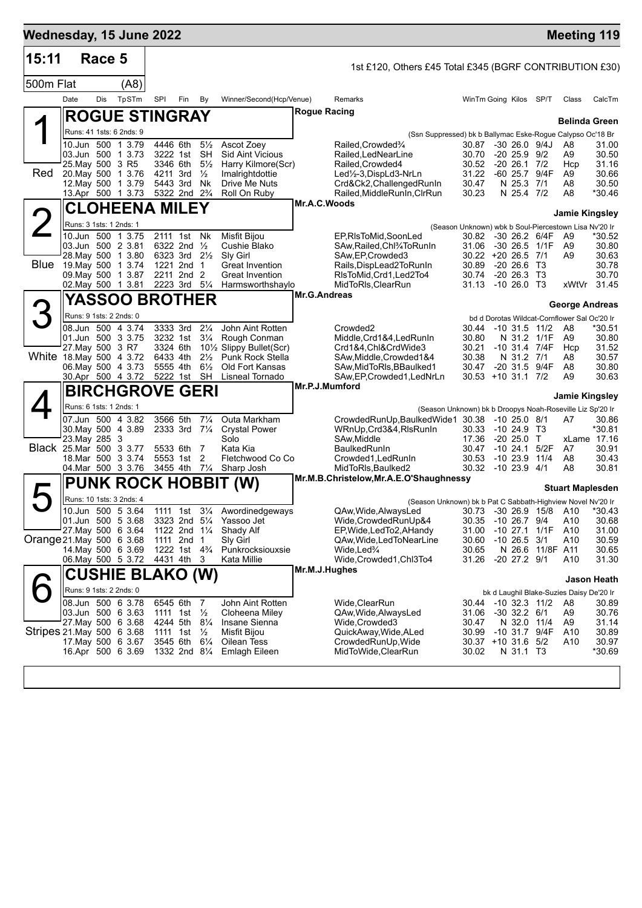| Wednesday, 15 June 2022   |      |             |                                               |                                        |     |                                 |                                              |                                                                                      |                             |                                 |                       | <b>Meeting 119</b>                                    |                 |
|---------------------------|------|-------------|-----------------------------------------------|----------------------------------------|-----|---------------------------------|----------------------------------------------|--------------------------------------------------------------------------------------|-----------------------------|---------------------------------|-----------------------|-------------------------------------------------------|-----------------|
| 15:11                     |      | Race 5      |                                               |                                        |     |                                 |                                              | 1st £120, Others £45 Total £345 (BGRF CONTRIBUTION £30)                              |                             |                                 |                       |                                                       |                 |
| 500m Flat                 |      |             | (A8)                                          |                                        |     |                                 |                                              |                                                                                      |                             |                                 |                       |                                                       |                 |
|                           | Date | Dis         | TpSTm                                         | SPI                                    | Fin | By                              | Winner/Second(Hcp/Venue)                     | Remarks                                                                              | WinTm Going Kilos SP/T      |                                 |                       | Class                                                 | CalcTm          |
|                           |      |             | <b>ROGUE STINGRAY</b>                         |                                        |     |                                 |                                              | <b>Rogue Racing</b>                                                                  |                             |                                 |                       | <b>Belinda Green</b>                                  |                 |
|                           |      |             | Runs: 41 1sts: 6 2nds: 9                      |                                        |     |                                 |                                              | (Ssn Suppressed) bk b Ballymac Eske-Rogue Calypso Oc'18 Br                           |                             |                                 |                       |                                                       |                 |
|                           |      |             | 10.Jun 500 1 3.79                             | 4446 6th                               |     | $5\frac{1}{2}$                  | Ascot Zoey                                   | Railed, Crowded%                                                                     | 30.87                       | $-30, 26.0, 9/4J$               |                       | A8                                                    | 31.00           |
|                           |      |             | 03.Jun 500 1 3.73                             | 3222 1st                               |     | <b>SH</b>                       | <b>Sid Aint Vicious</b>                      | Railed, LedNearLine                                                                  | 30.70                       | $-20\,25.9$                     | 9/2                   | A9                                                    | 30.50           |
| Red                       |      |             | 25. May 500 3 R5<br>20. May 500 1 3.76        | 3346 6th<br>4211 3rd                   |     | $5\frac{1}{2}$<br>$\frac{1}{2}$ | Harry Kilmore(Scr)<br>Imalrightdottie        | Railed, Crowded4<br>Led1/2-3, DispLd3-NrLn                                           | 30.52<br>31.22              | $-20$ 26.1 $7/2$<br>-60 25.7    | 9/4F                  | Hcp<br>A9                                             | 31.16<br>30.66  |
|                           |      |             | 12. May 500 1 3.79                            | 5443 3rd                               |     | Nk                              | Drive Me Nuts                                | Crd&Ck2, Challenged RunIn                                                            | 30.47                       | N 25.3 7/1                      |                       | A8                                                    | 30.50           |
|                           |      |             | 13.Apr 500 1 3.73                             | 5322 2nd 2 <sup>3</sup> / <sub>4</sub> |     |                                 | Roll On Ruby                                 | Railed, MiddleRunIn, CIrRun<br>Mr.A.C.Woods                                          | 30.23                       | N 25.4 7/2                      |                       | A8                                                    | *30.46          |
|                           |      |             | CLOHEENA MILEY                                |                                        |     |                                 |                                              |                                                                                      |                             |                                 |                       | Jamie Kingsley                                        |                 |
|                           |      |             | Runs: 3 1sts: 1 2nds: 1                       |                                        |     |                                 |                                              |                                                                                      |                             |                                 |                       | (Season Unknown) wbk b Soul-Piercestown Lisa Nv'20 Ir |                 |
|                           |      |             | 10.Jun 500 1 3.75<br>03.Jun 500 2 3.81        | 2111 1st<br>6322 2nd                   |     | Nk<br>$\frac{1}{2}$             | Misfit Bijou<br>Cushie Blako                 | EP,RIsToMid,SoonLed<br>SAw, Railed, Chl <sup>3</sup> / <sub>4</sub> To Run In        | 30.82<br>31.06              | $-30, 26.5$                     | -30 26.2 6/4F<br>1/1F | A9<br>A9                                              | *30.52<br>30.80 |
|                           |      |             | 28. May 500 1 3.80                            | 6323 3rd 21/2                          |     |                                 | Sly Girl                                     | SAw, EP, Crowded 3                                                                   | 30.22 +20 26.5 7/1          |                                 |                       | A <sub>9</sub>                                        | 30.63           |
| Blue                      |      |             | 19. May 500 1 3.74                            | 1221 2nd 1<br>2211 2nd 2               |     |                                 | Great Invention<br><b>Great Invention</b>    | Rails, DispLead2ToRunIn<br>RIsToMid, Crd1, Led2To4                                   | 30.89                       | $-20, 26.6$<br>$-20$ 26.3 T3    | T3                    |                                                       | 30.78<br>30.70  |
|                           |      |             | 09. May 500 1 3.87<br>02. May 500 1 3.81      | 2223 3rd                               |     | $5\frac{1}{4}$                  | Harmsworthshaylo                             | MidToRIs, ClearRun                                                                   | 30.74<br>31.13              | $-10, 26.0$ T3                  |                       | xWtVr                                                 | 31.45           |
|                           |      |             | <b>YASSOO BROTHER</b>                         |                                        |     |                                 |                                              | <b>Mr.G.Andreas</b>                                                                  |                             |                                 |                       |                                                       |                 |
|                           |      |             | Runs: 9 1sts: 2 2nds: 0                       |                                        |     |                                 |                                              |                                                                                      |                             |                                 |                       | George Andreas                                        |                 |
|                           |      |             | 08.Jun 500 4 3.74                             | 3333 3rd                               |     | $2\frac{1}{4}$                  | John Aint Rotten                             | Crowded <sub>2</sub>                                                                 | 30.44                       | $-10$ 31.5                      | 11/2                  | bd d Dorotas Wildcat-Cornflower Sal Oc'20 Ir<br>A8    | *30.51          |
|                           |      |             | 01.Jun 500 3 3.75                             | 3232 1st                               |     | $3\frac{1}{4}$                  | Rough Conman                                 | Middle,Crd1&4,LedRunIn                                                               | 30.80                       |                                 | N 31.2 1/1F           | A9                                                    | 30.80           |
|                           |      |             | 27. May 500 3 R7<br>White 18 May 500 4 3.72   | 3324 6th<br>6433 4th                   |     | $2\frac{1}{2}$                  | 101/2 Slippy Bullet(Scr)<br>Punk Rock Stella | Crd1&4,Chl&CrdWide3<br>SAw, Middle, Crowded 1&4                                      | 30.21<br>30.38              | N 31.2 7/1                      | -10 31.4 7/4F         | Hcp<br>A8                                             | 31.52<br>30.57  |
|                           |      |             | 06. May 500 4 3.73                            | 5555 4th                               |     | $6\frac{1}{2}$                  | Old Fort Kansas                              | SAw, MidToRIs, BBaulked1                                                             | 30.47                       |                                 | -20 31.5 9/4F         | A8                                                    | 30.80           |
|                           |      |             | 30.Apr 500 4 3.72                             | 5222 1st                               |     | <b>SH</b>                       | Lisneal Tornado                              | SAw, EP, Crowded 1, LedNrLn<br>Mr.P.J.Mumford                                        | $30.53 + 10.31.1$ 7/2       |                                 |                       | A <sub>9</sub>                                        | 30.63           |
|                           |      |             | <b>BIRCHGROVE GERI</b>                        |                                        |     |                                 |                                              |                                                                                      |                             |                                 |                       | Jamie Kingsley                                        |                 |
|                           |      |             | Runs: 6 1sts: 1 2nds: 1                       |                                        |     |                                 |                                              | (Season Unknown) bk b Droopys Noah-Roseville Liz Sp'20 Ir                            |                             |                                 |                       |                                                       |                 |
|                           |      |             | 07.Jun 500 4 3.82<br>30. May 500 4 3.89       | 3566 5th<br>2333 3rd 71/4              |     | $7\frac{1}{4}$                  | Outa Markham<br><b>Crystal Power</b>         | CrowdedRunUp,BaulkedWide1 30.38 -10 25.0 8/1<br>WRnUp, Crd3&4, RIsRunIn              | 30.33                       | $-10, 24.9$                     | Т3                    | A7                                                    | 30.86<br>*30.81 |
|                           |      | 23. May 285 | 3                                             |                                        |     |                                 | Solo                                         | SAw.Middle                                                                           | 17.36                       | $-20, 25.0$                     | Т                     |                                                       | xLame 17.16     |
|                           |      |             | Black 25.Mar 500 3 3.77                       | 5533 6th                               |     | 7                               | Kata Kia                                     | <b>BaulkedRunIn</b>                                                                  | 30.47                       | $-1024.1$                       | 5/2F                  | A7                                                    | 30.91           |
|                           |      |             | 18. Mar 500 3 3.74<br>04 Mar 500 3 3.76       | 5553 1st<br>3455 4th                   |     | 2<br>$7\frac{1}{4}$             | Fletchwood Co Co<br>Sharp Josh               | Crowded1, Led Run In<br>MidToRIs.Baulked2                                            | 30.53<br>30.32 -10 23.9     | $-1023.9$                       | 11/4<br>4/1           | A8<br>A8                                              | 30.43<br>30.81  |
|                           |      |             | <b>PUNK ROCK HOBBIT</b>                       |                                        |     |                                 | (W)                                          | Mr.M.B.Christelow, Mr.A.E.O'Shaughnessy                                              |                             |                                 |                       |                                                       |                 |
|                           |      |             |                                               |                                        |     |                                 |                                              |                                                                                      |                             |                                 |                       | <b>Stuart Maplesden</b>                               |                 |
|                           |      |             | Runs: 10 1sts: 3 2nds: 4<br>10.Jun 500 5 3.64 | 1111 1st 31/4                          |     |                                 | Awordinedgeways                              | (Season Unknown) bk b Pat C Sabbath-Highview Novel Nv'20 Ir<br>QAw, Wide, Always Led | 30.73                       |                                 | -30 26.9 15/8         | A10                                                   | $*30.43$        |
|                           |      |             | 01.Jun 500 5 3.68                             | 3323 2nd 51/4                          |     |                                 | Yassoo Jet                                   | Wide, Crowded RunUp&4                                                                | 30.35                       | $-10$ 26.7 $9/4$                |                       | A10                                                   | 30.68           |
| Orange 21 May 500 6 3.68  |      |             | 27 May 500 6 3.64                             | 1122 2nd 11/4<br>1111 2nd 1            |     |                                 | Shady Alf<br>Sly Girl                        | EP, Wide, Led To 2, A Handy<br>QAw, Wide, Led To Near Line                           | 31.00<br>30.60              | $-10$ 26.5 $3/1$                | $-10$ 27.1 $1/1F$     | A10<br>A10                                            | 31.00<br>30.59  |
|                           |      |             | 14 May 500 6 3.69                             | 1222 1st 4 <sup>3</sup> / <sub>4</sub> |     |                                 | Punkrocksiouxsie                             | Wide,Led <sup>3</sup> /4                                                             | 30.65                       |                                 | N 26.6 11/8F A11      |                                                       | 30.65           |
|                           |      |             | 06. May 500 5 3.72                            | 4431 4th                               |     | 3                               | Kata Millie                                  | Wide,Crowded1,Chl3To4                                                                | 31.26                       | $-20$ 27.2 $9/1$                |                       | A10                                                   | 31.30           |
|                           |      |             | <b>CUSHIE BLAKO (W)</b>                       |                                        |     |                                 |                                              | Mr.M.J.Hughes                                                                        |                             |                                 |                       |                                                       | Jason Heath     |
|                           |      |             | Runs: 9 1sts: 2 2nds: 0                       |                                        |     |                                 |                                              |                                                                                      |                             |                                 |                       | bk d Laughil Blake-Suzies Daisy De'20 Ir              |                 |
|                           |      |             | 08.Jun 500 6 3.78                             | 6545 6th                               |     | $\overline{7}$                  | John Aint Rotten                             | Wide,ClearRun                                                                        | 30.44 -10 32.3 11/2         |                                 |                       | A8                                                    | 30.89           |
|                           |      |             | 03.Jun 500 6 3.63<br>27 May 500 6 3.68        | 1111 1st $\frac{1}{2}$<br>4244 5th     |     | $8\frac{1}{4}$                  | Cloheena Miley<br>Insane Sienna              | QAw, Wide, Always Led<br>Wide,Crowded3                                               | 31.06<br>30.47              | $-30$ 32.2 $6/1$<br>N 32.0 11/4 |                       | A9<br>A9                                              | 30.76<br>31.14  |
| Stripes 21 May 500 6 3.68 |      |             |                                               | 1111 1st                               |     | $\frac{1}{2}$                   | Misfit Bijou                                 | QuickAway, Wide, ALed                                                                | 30.99                       |                                 | $-10$ 31.7 $9/4F$     | A10                                                   | 30.89           |
|                           |      |             | 17. May 500 6 3.67<br>16.Apr 500 6 3.69       | 3545 6th<br>1332 2nd 81/4              |     | $6\frac{1}{4}$                  | Oilean Tess<br><b>Emlagh Eileen</b>          | CrowdedRunUp, Wide<br>MidToWide, ClearRun                                            | 30.37 +10 31.6 5/2<br>30.02 | N 31.1 T3                       |                       | A10                                                   | 30.97<br>*30.69 |
|                           |      |             |                                               |                                        |     |                                 |                                              |                                                                                      |                             |                                 |                       |                                                       |                 |
|                           |      |             |                                               |                                        |     |                                 |                                              |                                                                                      |                             |                                 |                       |                                                       |                 |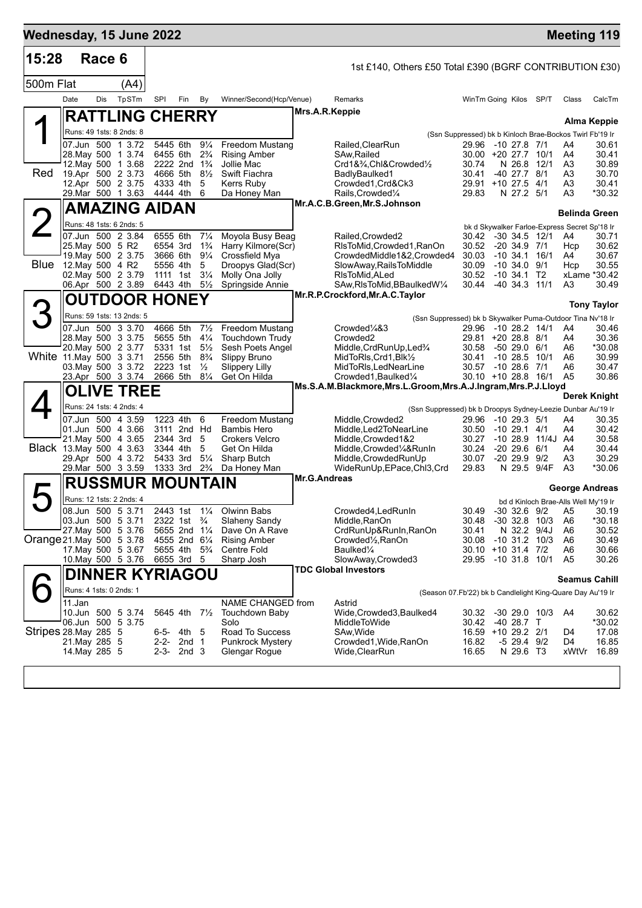|                             |                                | Wednesday, 15 June 2022                       |     |                                                    |                                  |                                          |                                                                           |                                                             |                |                                           |                     | <b>Meeting 119</b>                            |                       |
|-----------------------------|--------------------------------|-----------------------------------------------|-----|----------------------------------------------------|----------------------------------|------------------------------------------|---------------------------------------------------------------------------|-------------------------------------------------------------|----------------|-------------------------------------------|---------------------|-----------------------------------------------|-----------------------|
| 15:28                       |                                | Race 6                                        |     |                                                    |                                  |                                          | 1st £140, Others £50 Total £390 (BGRF CONTRIBUTION £30)                   |                                                             |                |                                           |                     |                                               |                       |
| 500m Flat                   |                                | (A4)                                          |     |                                                    |                                  |                                          |                                                                           |                                                             |                |                                           |                     |                                               |                       |
|                             | Date                           | <b>Dis</b><br>TpSTm                           | SPI | Fin                                                | By                               | Winner/Second(Hcp/Venue)                 | Remarks                                                                   |                                                             |                | WinTm Going Kilos                         | SP/T                | Class                                         | CalcTm                |
|                             |                                | <b>RATTLING CHERRY</b>                        |     |                                                    |                                  |                                          | Mrs.A.R.Keppie                                                            |                                                             |                |                                           |                     |                                               | <b>Alma Keppie</b>    |
|                             |                                | Runs: 49 1sts: 8 2nds: 8                      |     |                                                    |                                  |                                          |                                                                           | (Ssn Suppressed) bk b Kinloch Brae-Bockos Twirl Fb'19 Ir    |                |                                           |                     |                                               |                       |
|                             |                                | 07.Jun 500 1 3.72                             |     | 5445 6th                                           | $9\frac{1}{4}$                   | <b>Freedom Mustang</b>                   | Railed, ClearRun                                                          |                                                             |                | 29.96 -10 27.8 7/1                        |                     | A4                                            | 30.61                 |
|                             |                                | 28. May 500 1 3.74<br>12. May 500 1 3.68      |     | 6455 6th<br>2222 2nd 1 <sup>3</sup> / <sub>4</sub> | $2\frac{3}{4}$                   | <b>Rising Amber</b><br>Jollie Mac        | SAw.Railed<br>Crd1&3/4,Chl&Crowded1/2                                     |                                                             | 30.74          | 30.00 +20 27.7 10/1<br>N 26.8             | 12/1                | A4<br>A3                                      | 30.41<br>30.89        |
| Red                         |                                | 19.Apr 500 2 3.73                             |     | 4666 5th 81/2                                      |                                  | Swift Fiachra                            | BadlyBaulked1                                                             | 30.41                                                       |                | $-40$ 27.7 $8/1$                          |                     | A3                                            | 30.70                 |
|                             |                                | 12.Apr 500 2 3.75                             |     | 4333 4th                                           | 5                                | <b>Kerrs Ruby</b>                        | Crowded1, Crd&Ck3                                                         |                                                             |                | 29.91 +10 27.5                            | 4/1                 | A3                                            | 30.41                 |
|                             |                                | 29. Mar 500 1 3.63                            |     | 4444 4th                                           | 6                                | Da Honey Man                             | Rails, Crowded <sup>1/4</sup><br>Mr.A.C.B.Green, Mr.S.Johnson             |                                                             | 29.83          | N 27.2 5/1                                |                     | A <sub>3</sub>                                | *30.32                |
|                             |                                | <b>AMAZING AIDAN</b>                          |     |                                                    |                                  |                                          |                                                                           |                                                             |                |                                           |                     | <b>Belinda Green</b>                          |                       |
|                             |                                | Runs: 48 1sts: 6 2nds: 5                      |     |                                                    |                                  |                                          |                                                                           |                                                             |                |                                           |                     | bk d Skywalker Farloe-Express Secret Sp'18 Ir |                       |
|                             |                                | 07.Jun 500 2 3.84<br>25. May 500 5 R2         |     | 6555 6th<br>6554 3rd                               | $7\frac{1}{4}$<br>$1\frac{3}{4}$ | Moyola Busy Beag<br>Harry Kilmore(Scr)   | Railed, Crowded2<br>RIsToMid, Crowded1, RanOn                             |                                                             | 30.52          | -20 34.9 7/1                              | 30.42 -30 34.5 12/1 | A4<br>Hcp                                     | 30.71<br>30.62        |
|                             |                                | 19. May 500 2 3.75                            |     | 3666 6th                                           | $9\frac{1}{4}$                   | Crossfield Mya                           | CrowdedMiddle1&2,Crowded4                                                 |                                                             | 30.03          | $-10, 34.1$                               | 16/1                | A4                                            | 30.67                 |
|                             |                                | Blue 12. May 500 4 R2                         |     | 5556 4th                                           | 5                                | Droopys Glad(Scr)                        | SlowAway, RailsToMiddle                                                   |                                                             | 30.09          | $-10, 34.0$                               | 9/1                 | Hcp                                           | 30.55                 |
|                             |                                | 02. May 500 2 3.79<br>06.Apr 500 2 3.89       |     | 1111 1st<br>6443 4th                               | $3\frac{1}{4}$<br>$5\frac{1}{2}$ | Molly Ona Jolly<br>Springside Annie      | RIsToMid.ALed<br>SAw, RIsToMid, BBaulked W1/4                             |                                                             | 30.52<br>30.44 | $-10, 34.1$<br>$-40$ 34.3 11/1            | T2                  | A3                                            | xLame *30.42<br>30.49 |
|                             |                                | <b>OUTDOOR HONEY</b>                          |     |                                                    |                                  |                                          | Mr.R.P.Crockford, Mr.A.C. Taylor                                          |                                                             |                |                                           |                     |                                               |                       |
|                             |                                | Runs: 59 1sts: 13 2nds: 5                     |     |                                                    |                                  |                                          |                                                                           |                                                             |                |                                           |                     |                                               | <b>Tony Taylor</b>    |
|                             |                                | 07.Jun 500 3 3.70                             |     | 4666 5th                                           | $7\frac{1}{2}$                   | Freedom Mustang                          | Crowded <sup>1</sup> /4&3                                                 | (Ssn Suppressed) bk b Skywalker Puma-Outdoor Tina Nv'18 Ir  | 29.96          | $-10$ 28.2 $14/1$                         |                     | A4                                            | 30.46                 |
|                             |                                | 28. May 500 3 3.75                            |     | 5655 5th                                           | $4\frac{1}{4}$                   | Touchdown Trudy                          | Crowded <sub>2</sub>                                                      |                                                             |                | 29.81 +20 28.8 8/1                        |                     | A4                                            | 30.36                 |
|                             |                                | 20. May 500 2 3.77                            |     | 5331 1st 5 <sup>1</sup> / <sub>2</sub>             |                                  | Sesh Poets Angel                         | Middle, CrdRunUp, Led <sup>3</sup> /4                                     |                                                             | 30.58          | -50 29.0 6/1                              |                     | A6                                            | *30.08                |
|                             |                                | White 11 May 500 3 3 71<br>03. May 500 3 3.72 |     | 2556 5th<br>2223 1st                               | $8\frac{3}{4}$<br>$\frac{1}{2}$  | Slippy Bruno<br><b>Slippery Lilly</b>    | MidToRIs, Crd1, Blk1/2<br>MidToRIs, LedNearLine                           |                                                             | 30.41          | $-1028.5$<br>30.57 -10 28.6 7/1           | 10/1                | A6<br>A6                                      | 30.99<br>30.47        |
|                             |                                | 23.Apr 500 3 3.74                             |     | 2666 5th                                           | $8\frac{1}{4}$                   | Get On Hilda                             | Crowded1, Baulked1/4                                                      |                                                             |                | 30.10 +10 28.8 16/1                       |                     | A <sub>5</sub>                                | 30.86                 |
|                             |                                | <b>OLIVE TREE</b>                             |     |                                                    |                                  |                                          | Ms.S.A.M.Blackmore, Mrs.L.Groom, Mrs.A.J.Ingram, Mrs.P.J.Lloyd            |                                                             |                |                                           |                     |                                               | Derek Knight          |
|                             |                                | Runs: 24 1sts: 4 2nds: 4                      |     |                                                    |                                  |                                          |                                                                           | (Ssn Suppressed) bk b Droopys Sydney-Leezie Dunbar Au'19 Ir |                |                                           |                     |                                               |                       |
|                             |                                | 07.Jun 500 4 3.59                             |     | 1223 4th                                           | 6                                | <b>Freedom Mustang</b>                   | Middle, Crowded2                                                          |                                                             | 29.96          | $-10$ 29.3 $5/1$                          |                     | A4                                            | 30.35                 |
|                             |                                | 01.Jun 500 4 3.66                             |     | 3111 2nd Hd                                        |                                  | <b>Bambis Hero</b>                       | Middle, Led2ToNearLine                                                    |                                                             | 30.50          | -10 29.1 4/1                              |                     | A4                                            | 30.42                 |
|                             |                                | 21. May 500 4 3.65<br>Black 13 May 500 4 3.63 |     | 2344 3rd<br>3344 4th                               | -5<br>5                          | <b>Crokers Velcro</b><br>Get On Hilda    | Middle, Crowded 1&2<br>Middle, Crowded <sup>1</sup> / <sub>4</sub> &RunIn |                                                             | 30.27<br>30.24 | $-20$ 29.6 6/1                            | -10 28.9 11/4J A4   | A4                                            | 30.58<br>30.44        |
|                             |                                | 29.Apr 500 4 3.72                             |     | 5433 3rd                                           | $5\frac{1}{4}$                   | Sharp Butch                              | Middle, Crowded RunUp                                                     |                                                             | 30.07          | $-20$ 29.9 $9/2$                          |                     | A3                                            | 30.29                 |
|                             |                                | 29. Mar 500 3 3.59                            |     | 1333 3rd                                           | $2\frac{3}{4}$                   | Da Honey Man                             | WideRunUp, EPace, Chl3, Crd<br><b>Mr.G.Andreas</b>                        |                                                             | 29.83          | N 29.5                                    | 9/4F                | A3                                            | *30.06                |
|                             |                                | <b>RUSSMUR MOUNTAIN</b>                       |     |                                                    |                                  |                                          |                                                                           |                                                             |                |                                           |                     | George Andreas                                |                       |
|                             |                                | Runs: 12 1sts: 2 2nds: 4                      |     |                                                    |                                  |                                          |                                                                           |                                                             |                |                                           |                     | bd d Kinloch Brae-Alls Well My'19 Ir          |                       |
|                             |                                | 08.Jun 500 5 3.71<br>03.Jun 500 5 3.71        |     | 2443 1st<br>2322 1st                               | $1\frac{1}{4}$<br>$\frac{3}{4}$  | Olwinn Babs                              | Crowded4, LedRunIn<br>Middle, RanOn                                       |                                                             | 30.49<br>30.48 | $-30$ 32.6 $9/2$<br>$-30$ 32.8 10/3       |                     | A5<br>A6                                      | 30.19<br>$*30.18$     |
|                             |                                | 27 May 500 5 3.76                             |     | 5655 2nd 11/4                                      |                                  | <b>Slaheny Sandy</b><br>Dave On A Rave   | CrdRunUp&RunIn,RanOn                                                      | 30.41                                                       |                | N 32.2 9/4J                               |                     | A6                                            | 30.52                 |
|                             |                                | Orange 21 May 500 5 3.78                      |     | 4555 2nd 61/4                                      |                                  | <b>Rising Amber</b>                      | Crowded <sup>1</sup> / <sub>2</sub> , RanOn                               |                                                             | 30.08          |                                           | $-10$ 31.2 $10/3$   | A6                                            | 30.49                 |
|                             |                                | 17 May 500 5 3.67<br>10. May 500 5 3.76       |     | 5655 4th 5 <sup>3</sup> / <sub>4</sub><br>6655 3rd | - 5                              | <b>Centre Fold</b><br>Sharp Josh         | Baulked <sup>1</sup> / <sub>4</sub><br>SlowAway, Crowded3                 |                                                             |                | 30.10 +10 31.4 7/2<br>29.95 -10 31.8 10/1 |                     | A6<br>A5                                      | 30.66<br>30.26        |
|                             |                                |                                               |     |                                                    |                                  |                                          | <b>TDC Global Investors</b>                                               |                                                             |                |                                           |                     |                                               |                       |
|                             |                                | <b>DINNER KYRIAGOU</b>                        |     |                                                    |                                  |                                          |                                                                           |                                                             |                |                                           |                     | Seamus Cahill                                 |                       |
|                             |                                | Runs: 4 1sts: 0 2nds: 1                       |     |                                                    |                                  |                                          |                                                                           | (Season 07.Fb'22) bk b Candlelight King-Quare Day Au'19 Ir  |                |                                           |                     |                                               |                       |
|                             | 11.Jan                         | 10.Jun 500 5 3.74                             |     | 5645 4th 7½                                        |                                  | NAME CHANGED from<br>Touchdown Baby      | Astrid<br>Wide,Crowded3,Baulked4                                          |                                                             | 30.32          | $-3029.010/3$                             |                     | A4                                            | 30.62                 |
|                             |                                | 06.Jun 500 5 3.75                             |     |                                                    |                                  | Solo                                     | MiddleToWide                                                              |                                                             | 30.42          | -40 28.7 T                                |                     |                                               | *30.02                |
| <b>Stripes 28.May 285 5</b> |                                |                                               |     | 6-5- 4th 5                                         |                                  | Road To Success                          | SAw, Wide                                                                 |                                                             |                | 16.59 +10 29.2 2/1                        |                     | D4                                            | 17.08                 |
|                             | 21. May 285 5<br>14. May 285 5 |                                               |     | 2-2- 2nd 1<br>$2-3-2nd3$                           |                                  | <b>Punkrock Mystery</b><br>Glengar Rogue | Crowded1, Wide, RanOn<br>Wide,ClearRun                                    |                                                             | 16.82<br>16.65 | -5 29.4 9/2<br>N 29.6 T3                  |                     | D4<br>xWtVr                                   | 16.85<br>16.89        |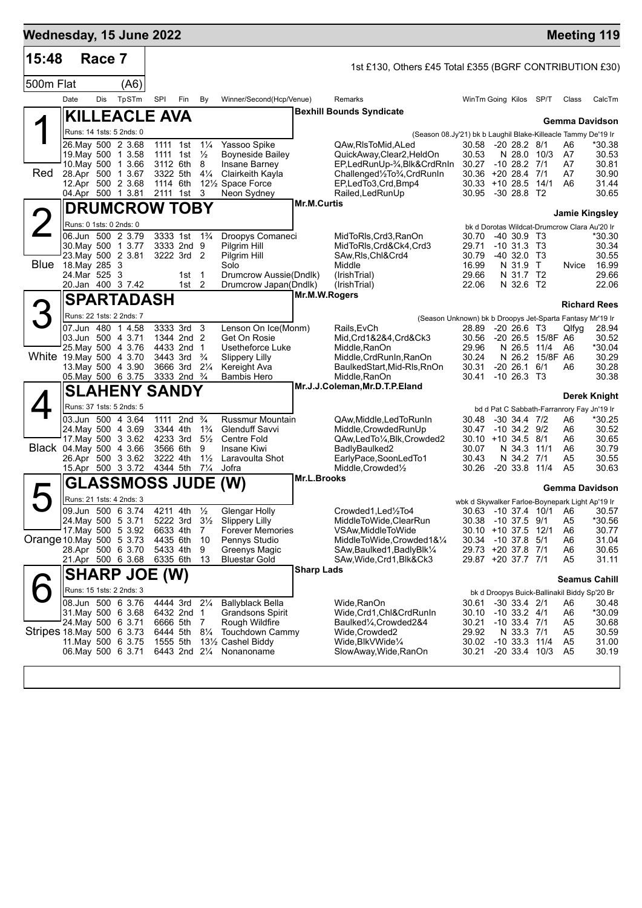| Race 7<br>500m Flat<br>Date<br>Dis<br>23. May 500 2 3.81<br><b>Blue</b> 18. May 285 3 | (A6)<br>TpSTm<br><b>KILLEACLE AVA</b><br>Runs: 14 1sts: 5 2nds: 0<br>26. May 500 2 3.68<br>19. May 500 1 3.58<br>10. May 500 1 3.66<br>28.Apr 500 1 3.67<br>12.Apr 500 2 3.68<br>04.Apr 500 1 3.81<br><b>DRUMCROW TOBY</b><br>Runs: 0 1sts: 0 2nds: 0<br>06.Jun 500 2 3.79<br>30. May 500 1 3.77 | SPI<br>1114 6th      | Fin<br>1111 1st 11/4<br>1111 1st $\frac{1}{2}$<br>3112 6th 8<br>3322 5th 41/4<br>2111 1st 3                                                                                                                                                                                          | By                                                                                                                   | Winner/Second(Hcp/Venue)<br>Yassoo Spike<br><b>Boyneside Bailey</b><br>Insane Barney<br>Clairkeith Kayla<br>121/ <sub>2</sub> Space Force<br>Neon Sydney |                                                                                                          | 1st £130, Others £45 Total £355 (BGRF CONTRIBUTION £30)<br>Remarks<br><b>Bexhill Bounds Syndicate</b><br>(Season 08.Jy'21) bk b Laughil Blake-Killeacle Tammy De'19 Ir<br>QAw,RIsToMid,ALed<br>QuickAway,Clear2,HeldOn | WinTm Going Kilos SP/T<br>30.58 -20 28.2 8/1<br>30.53                                                                                           |                         |                                       |                   | Class<br><b>Gemma Davidson</b>                                                                                                                                                                                  | CalcTm                                                                                                                                                     |
|---------------------------------------------------------------------------------------|--------------------------------------------------------------------------------------------------------------------------------------------------------------------------------------------------------------------------------------------------------------------------------------------------|----------------------|--------------------------------------------------------------------------------------------------------------------------------------------------------------------------------------------------------------------------------------------------------------------------------------|----------------------------------------------------------------------------------------------------------------------|----------------------------------------------------------------------------------------------------------------------------------------------------------|----------------------------------------------------------------------------------------------------------|------------------------------------------------------------------------------------------------------------------------------------------------------------------------------------------------------------------------|-------------------------------------------------------------------------------------------------------------------------------------------------|-------------------------|---------------------------------------|-------------------|-----------------------------------------------------------------------------------------------------------------------------------------------------------------------------------------------------------------|------------------------------------------------------------------------------------------------------------------------------------------------------------|
|                                                                                       |                                                                                                                                                                                                                                                                                                  |                      |                                                                                                                                                                                                                                                                                      |                                                                                                                      |                                                                                                                                                          |                                                                                                          |                                                                                                                                                                                                                        |                                                                                                                                                 |                         |                                       |                   |                                                                                                                                                                                                                 |                                                                                                                                                            |
|                                                                                       |                                                                                                                                                                                                                                                                                                  |                      |                                                                                                                                                                                                                                                                                      |                                                                                                                      |                                                                                                                                                          |                                                                                                          |                                                                                                                                                                                                                        |                                                                                                                                                 |                         |                                       |                   |                                                                                                                                                                                                                 |                                                                                                                                                            |
|                                                                                       |                                                                                                                                                                                                                                                                                                  |                      |                                                                                                                                                                                                                                                                                      |                                                                                                                      |                                                                                                                                                          |                                                                                                          |                                                                                                                                                                                                                        |                                                                                                                                                 |                         |                                       |                   |                                                                                                                                                                                                                 |                                                                                                                                                            |
|                                                                                       |                                                                                                                                                                                                                                                                                                  |                      |                                                                                                                                                                                                                                                                                      |                                                                                                                      |                                                                                                                                                          |                                                                                                          |                                                                                                                                                                                                                        |                                                                                                                                                 |                         |                                       |                   |                                                                                                                                                                                                                 |                                                                                                                                                            |
|                                                                                       |                                                                                                                                                                                                                                                                                                  |                      |                                                                                                                                                                                                                                                                                      |                                                                                                                      |                                                                                                                                                          |                                                                                                          |                                                                                                                                                                                                                        |                                                                                                                                                 |                         |                                       |                   |                                                                                                                                                                                                                 |                                                                                                                                                            |
|                                                                                       |                                                                                                                                                                                                                                                                                                  |                      |                                                                                                                                                                                                                                                                                      |                                                                                                                      |                                                                                                                                                          |                                                                                                          |                                                                                                                                                                                                                        |                                                                                                                                                 |                         |                                       | N 28.0 10/3       | A6<br>A7                                                                                                                                                                                                        | *30.38<br>30.53                                                                                                                                            |
|                                                                                       |                                                                                                                                                                                                                                                                                                  |                      |                                                                                                                                                                                                                                                                                      |                                                                                                                      |                                                                                                                                                          |                                                                                                          | EP,LedRunUp-3/4,Blk&CrdRnIn                                                                                                                                                                                            | 30.27                                                                                                                                           |                         | $-10$ 28.2 $7/1$                      |                   | A7                                                                                                                                                                                                              | 30.81                                                                                                                                                      |
|                                                                                       |                                                                                                                                                                                                                                                                                                  |                      |                                                                                                                                                                                                                                                                                      |                                                                                                                      |                                                                                                                                                          |                                                                                                          | Challenged1/2To3/4, CrdRunIn                                                                                                                                                                                           | 30.36 +20 28.4 7/1                                                                                                                              |                         |                                       |                   | A7                                                                                                                                                                                                              | 30.90                                                                                                                                                      |
|                                                                                       |                                                                                                                                                                                                                                                                                                  |                      |                                                                                                                                                                                                                                                                                      |                                                                                                                      |                                                                                                                                                          |                                                                                                          | EP.LedTo3.Crd.Bmp4<br>Railed, Led Run Up                                                                                                                                                                               | 30.33 +10 28.5 14/1<br>30.95 -30 28.8 T2                                                                                                        |                         |                                       |                   | A6                                                                                                                                                                                                              | 31.44<br>30.65                                                                                                                                             |
|                                                                                       |                                                                                                                                                                                                                                                                                                  |                      |                                                                                                                                                                                                                                                                                      |                                                                                                                      |                                                                                                                                                          | <b>Mr.M.Curtis</b>                                                                                       |                                                                                                                                                                                                                        |                                                                                                                                                 |                         |                                       |                   | <b>Jamie Kingsley</b>                                                                                                                                                                                           |                                                                                                                                                            |
|                                                                                       |                                                                                                                                                                                                                                                                                                  |                      |                                                                                                                                                                                                                                                                                      |                                                                                                                      |                                                                                                                                                          |                                                                                                          |                                                                                                                                                                                                                        |                                                                                                                                                 |                         |                                       |                   | bk d Dorotas Wildcat-Drumcrow Clara Au'20 Ir                                                                                                                                                                    |                                                                                                                                                            |
|                                                                                       |                                                                                                                                                                                                                                                                                                  |                      | 3333 1st 1 <sup>3</sup> / <sub>4</sub>                                                                                                                                                                                                                                               |                                                                                                                      | Droopys Comaneci                                                                                                                                         |                                                                                                          | MidToRIs, Crd3, RanOn                                                                                                                                                                                                  | 30.70                                                                                                                                           |                         | $-40,30.9$ T <sub>3</sub>             |                   |                                                                                                                                                                                                                 | *30.30                                                                                                                                                     |
|                                                                                       |                                                                                                                                                                                                                                                                                                  |                      | 3333 2nd 9<br>3222 3rd 2                                                                                                                                                                                                                                                             |                                                                                                                      | Pilgrim Hill                                                                                                                                             |                                                                                                          | MidToRIs, Crd&Ck4, Crd3                                                                                                                                                                                                | 29.71<br>30.79                                                                                                                                  |                         | $-10$ 31.3 T <sub>3</sub>             |                   |                                                                                                                                                                                                                 | 30.34                                                                                                                                                      |
|                                                                                       |                                                                                                                                                                                                                                                                                                  |                      |                                                                                                                                                                                                                                                                                      |                                                                                                                      | Pilgrim Hill<br>Solo                                                                                                                                     |                                                                                                          | SAw, RIs, Chl&Crd4<br>Middle                                                                                                                                                                                           | 16.99                                                                                                                                           |                         | $-40,32.0$ T <sub>3</sub><br>N 31.9 T |                   | Nvice                                                                                                                                                                                                           | 30.55<br>16.99                                                                                                                                             |
|                                                                                       | 24.Mar 525 3                                                                                                                                                                                                                                                                                     |                      | 1st                                                                                                                                                                                                                                                                                  | $\overline{1}$                                                                                                       | Drumcrow Aussie(Dndlk)                                                                                                                                   |                                                                                                          | (IrishTrial)                                                                                                                                                                                                           | 29.66                                                                                                                                           |                         | N 31.7 T2                             |                   |                                                                                                                                                                                                                 | 29.66                                                                                                                                                      |
|                                                                                       | 20.Jan 400 3 7.42                                                                                                                                                                                                                                                                                |                      | 1st                                                                                                                                                                                                                                                                                  | 2                                                                                                                    | Drumcrow Japan(Dndlk)                                                                                                                                    | Mr.M.W.Rogers                                                                                            | (IrishTrial)                                                                                                                                                                                                           | 22.06                                                                                                                                           |                         | N 32.6 T2                             |                   |                                                                                                                                                                                                                 | 22.06                                                                                                                                                      |
|                                                                                       | <b>SPARTADASH</b>                                                                                                                                                                                                                                                                                |                      |                                                                                                                                                                                                                                                                                      |                                                                                                                      |                                                                                                                                                          |                                                                                                          |                                                                                                                                                                                                                        |                                                                                                                                                 |                         |                                       |                   | <b>Richard Rees</b>                                                                                                                                                                                             |                                                                                                                                                            |
|                                                                                       | Runs: 22 1sts: 2 2nds: 7                                                                                                                                                                                                                                                                         |                      |                                                                                                                                                                                                                                                                                      |                                                                                                                      |                                                                                                                                                          |                                                                                                          | (Season Unknown) bk b Droopys Jet-Sparta Fantasy Mr'19 Ir                                                                                                                                                              |                                                                                                                                                 |                         |                                       |                   |                                                                                                                                                                                                                 |                                                                                                                                                            |
|                                                                                       | 07 Jun 480 1 4.58<br>03.Jun 500 4 3.71                                                                                                                                                                                                                                                           |                      | 3333 3rd 3<br>1344 2nd 2                                                                                                                                                                                                                                                             |                                                                                                                      | Lenson On Ice(Monm)<br>Get On Rosie                                                                                                                      |                                                                                                          | Rails, EvCh<br>Mid.Crd1&2&4.Crd&Ck3                                                                                                                                                                                    | 28.89<br>30.56                                                                                                                                  |                         | $-20$ 26.6 T3                         | -20 26.5 15/8F A6 | Qlfyg                                                                                                                                                                                                           | 28.94<br>30.52                                                                                                                                             |
|                                                                                       | 25. May 500 4 3.76                                                                                                                                                                                                                                                                               |                      | 4433 2nd 1                                                                                                                                                                                                                                                                           |                                                                                                                      | Usetheforce Luke                                                                                                                                         |                                                                                                          | Middle, RanOn                                                                                                                                                                                                          | 29.96                                                                                                                                           |                         | N 26.5 11/4                           |                   | A6                                                                                                                                                                                                              | *30.04                                                                                                                                                     |
|                                                                                       | White 19 May 500 4 3.70                                                                                                                                                                                                                                                                          | 3443 3rd             |                                                                                                                                                                                                                                                                                      | $\frac{3}{4}$                                                                                                        | <b>Slippery Lilly</b>                                                                                                                                    |                                                                                                          | Middle, CrdRunIn, RanOn                                                                                                                                                                                                | 30.24                                                                                                                                           |                         |                                       | N 26.2 15/8F A6   |                                                                                                                                                                                                                 | 30.29                                                                                                                                                      |
|                                                                                       | 13. May 500 4 3.90<br>05. May 500 6 3.75                                                                                                                                                                                                                                                         |                      | 3666 3rd 21/4<br>3333 2nd <sup>3</sup> / <sub>4</sub>                                                                                                                                                                                                                                |                                                                                                                      | Kereight Ava<br><b>Bambis Hero</b>                                                                                                                       |                                                                                                          | BaulkedStart, Mid-RIs, RnOn<br>Middle, RanOn                                                                                                                                                                           | 30.31<br>30.41                                                                                                                                  |                         | $-20, 26.1$<br>$-10$ 26.3 T3          | 6/1               | A6                                                                                                                                                                                                              | 30.28<br>30.38                                                                                                                                             |
|                                                                                       | <b>SLAHENY SANDY</b>                                                                                                                                                                                                                                                                             |                      |                                                                                                                                                                                                                                                                                      |                                                                                                                      |                                                                                                                                                          |                                                                                                          | Mr.J.J.Coleman, Mr.D.T.P.Eland                                                                                                                                                                                         |                                                                                                                                                 |                         |                                       |                   |                                                                                                                                                                                                                 |                                                                                                                                                            |
|                                                                                       | Runs: 37 1sts: 5 2nds: 5                                                                                                                                                                                                                                                                         |                      |                                                                                                                                                                                                                                                                                      |                                                                                                                      |                                                                                                                                                          |                                                                                                          |                                                                                                                                                                                                                        |                                                                                                                                                 |                         |                                       |                   |                                                                                                                                                                                                                 | <b>Derek Knight</b>                                                                                                                                        |
|                                                                                       | 03.Jun 500 4 3.64                                                                                                                                                                                                                                                                                |                      | 1111 2nd <sup>3</sup> / <sub>4</sub>                                                                                                                                                                                                                                                 |                                                                                                                      | <b>Russmur Mountain</b>                                                                                                                                  |                                                                                                          | QAw, Middle, Led To Run In                                                                                                                                                                                             | 30.48                                                                                                                                           |                         | $-30$ 34.4 $7/2$                      |                   | bd d Pat C Sabbath-Farranrory Fay Jn'19 Ir<br>A6                                                                                                                                                                | *30.25                                                                                                                                                     |
|                                                                                       | 24. May 500 4 3.69                                                                                                                                                                                                                                                                               |                      | 3344 4th                                                                                                                                                                                                                                                                             | $1\frac{3}{4}$                                                                                                       | <b>Glenduff Savvi</b>                                                                                                                                    |                                                                                                          | Middle, Crowded RunUp                                                                                                                                                                                                  | 30.47                                                                                                                                           |                         | $-10, 34.2, 9/2$                      |                   | A6                                                                                                                                                                                                              | 30.52                                                                                                                                                      |
|                                                                                       | 17. May 500 3 3.62                                                                                                                                                                                                                                                                               |                      | 4233 3rd 51/2                                                                                                                                                                                                                                                                        |                                                                                                                      | <b>Centre Fold</b><br>Insane Kiwi                                                                                                                        |                                                                                                          | QAw,LedTo1/4,Blk,Crowded2                                                                                                                                                                                              | $30.10 + 10.34.5$ 8/1                                                                                                                           |                         |                                       |                   | A6                                                                                                                                                                                                              | 30.65                                                                                                                                                      |
|                                                                                       | Black 04. May 500 4 3.66<br>26.Apr 500 3 3.62                                                                                                                                                                                                                                                    | 3566 6th<br>3222 4th |                                                                                                                                                                                                                                                                                      | 9<br>$1\frac{1}{2}$                                                                                                  | Laravoulta Shot                                                                                                                                          |                                                                                                          | BadlyBaulked2<br>EarlyPace,SoonLedTo1                                                                                                                                                                                  | 30.07<br>30.43                                                                                                                                  |                         | N 34.3 11/1<br>N 34.2 7/1             |                   | A6<br>A5                                                                                                                                                                                                        | 30.79<br>30.55                                                                                                                                             |
|                                                                                       | 15.Apr 500 3 3.72                                                                                                                                                                                                                                                                                | 4344 5th             |                                                                                                                                                                                                                                                                                      | $7\frac{1}{4}$                                                                                                       | Jofra                                                                                                                                                    |                                                                                                          | Middle, Crowded <sup>1</sup> / <sub>2</sub>                                                                                                                                                                            | 30.26                                                                                                                                           |                         | $-20.33.8$                            | 11/4              | A5                                                                                                                                                                                                              | 30.63                                                                                                                                                      |
|                                                                                       | <b>GLASSMOSS JUDE</b>                                                                                                                                                                                                                                                                            |                      |                                                                                                                                                                                                                                                                                      |                                                                                                                      | (W)                                                                                                                                                      | Mr.L.Brooks                                                                                              |                                                                                                                                                                                                                        |                                                                                                                                                 |                         |                                       |                   | <b>Gemma Davidson</b>                                                                                                                                                                                           |                                                                                                                                                            |
|                                                                                       | Runs: 21 1sts: 4 2nds: 3                                                                                                                                                                                                                                                                         |                      |                                                                                                                                                                                                                                                                                      |                                                                                                                      |                                                                                                                                                          |                                                                                                          |                                                                                                                                                                                                                        | wbk d Skywalker Farloe-Boynepark Light Ap'19 Ir                                                                                                 |                         |                                       |                   |                                                                                                                                                                                                                 |                                                                                                                                                            |
|                                                                                       | 09.Jun 500 6 3.74                                                                                                                                                                                                                                                                                |                      | 4211 4th 1/2                                                                                                                                                                                                                                                                         |                                                                                                                      | Glengar Holly                                                                                                                                            |                                                                                                          | Crowded1, Led1/2To4                                                                                                                                                                                                    |                                                                                                                                                 |                         |                                       |                   |                                                                                                                                                                                                                 | 30.57                                                                                                                                                      |
|                                                                                       |                                                                                                                                                                                                                                                                                                  |                      |                                                                                                                                                                                                                                                                                      |                                                                                                                      |                                                                                                                                                          |                                                                                                          |                                                                                                                                                                                                                        |                                                                                                                                                 |                         |                                       |                   |                                                                                                                                                                                                                 | *30.56<br>30.77                                                                                                                                            |
|                                                                                       |                                                                                                                                                                                                                                                                                                  |                      |                                                                                                                                                                                                                                                                                      |                                                                                                                      |                                                                                                                                                          |                                                                                                          | MiddleToWide,Crowded1&1⁄4                                                                                                                                                                                              | 30.34                                                                                                                                           |                         |                                       | 5/1               | A6                                                                                                                                                                                                              | 31.04                                                                                                                                                      |
|                                                                                       |                                                                                                                                                                                                                                                                                                  |                      |                                                                                                                                                                                                                                                                                      | 9                                                                                                                    | Greenys Magic                                                                                                                                            |                                                                                                          | SAw, Baulked 1, Badly Blk 1/4                                                                                                                                                                                          |                                                                                                                                                 |                         |                                       |                   | A6                                                                                                                                                                                                              | 30.65<br>31.11                                                                                                                                             |
|                                                                                       |                                                                                                                                                                                                                                                                                                  |                      |                                                                                                                                                                                                                                                                                      |                                                                                                                      |                                                                                                                                                          |                                                                                                          |                                                                                                                                                                                                                        |                                                                                                                                                 |                         |                                       |                   |                                                                                                                                                                                                                 |                                                                                                                                                            |
|                                                                                       |                                                                                                                                                                                                                                                                                                  |                      |                                                                                                                                                                                                                                                                                      |                                                                                                                      |                                                                                                                                                          |                                                                                                          |                                                                                                                                                                                                                        |                                                                                                                                                 |                         |                                       |                   |                                                                                                                                                                                                                 |                                                                                                                                                            |
|                                                                                       |                                                                                                                                                                                                                                                                                                  |                      |                                                                                                                                                                                                                                                                                      |                                                                                                                      |                                                                                                                                                          |                                                                                                          |                                                                                                                                                                                                                        | 30.61                                                                                                                                           |                         |                                       |                   |                                                                                                                                                                                                                 | 30.48                                                                                                                                                      |
|                                                                                       |                                                                                                                                                                                                                                                                                                  |                      |                                                                                                                                                                                                                                                                                      | $\overline{1}$                                                                                                       | Grandsons Spirit                                                                                                                                         |                                                                                                          | Wide, Crd1, Chl&CrdRunIn                                                                                                                                                                                               | 30.10                                                                                                                                           |                         |                                       |                   | A6                                                                                                                                                                                                              | *30.09                                                                                                                                                     |
|                                                                                       |                                                                                                                                                                                                                                                                                                  |                      |                                                                                                                                                                                                                                                                                      |                                                                                                                      | Rough Wildfire                                                                                                                                           |                                                                                                          | Baulked1⁄4, Crowded2&4                                                                                                                                                                                                 | 30.21                                                                                                                                           |                         |                                       |                   | A5                                                                                                                                                                                                              | 30.68                                                                                                                                                      |
|                                                                                       |                                                                                                                                                                                                                                                                                                  |                      |                                                                                                                                                                                                                                                                                      |                                                                                                                      |                                                                                                                                                          |                                                                                                          |                                                                                                                                                                                                                        |                                                                                                                                                 |                         |                                       |                   |                                                                                                                                                                                                                 | 30.59<br>31.00                                                                                                                                             |
|                                                                                       |                                                                                                                                                                                                                                                                                                  |                      |                                                                                                                                                                                                                                                                                      |                                                                                                                      | Nonanoname                                                                                                                                               |                                                                                                          | SlowAway, Wide, RanOn                                                                                                                                                                                                  | 30.21                                                                                                                                           |                         |                                       |                   | A <sub>5</sub>                                                                                                                                                                                                  | 30.19                                                                                                                                                      |
|                                                                                       |                                                                                                                                                                                                                                                                                                  |                      | 24. May 500 5 3.71<br>17. May 500 5 3.92<br>Orange 10 May 500 5 3.73<br>28.Apr 500 6 3.70<br>21.Apr 500 6 3.68<br>Runs: 15 1sts: 2 2nds: 3<br>08.Jun 500 6 3.76<br>31. May 500 6 3.68<br>24. May 500 6 3.71<br>Stripes 18.May 500 6 3.73<br>11. May 500 6 3.75<br>06. May 500 6 3.71 | 6633 4th<br>4435 6th<br>5433 4th<br>6335 6th<br><b>SHARP JOE (W)</b><br>4444 3rd<br>6432 2nd<br>6444 5th<br>1555 5th | 5222 3rd 31/2<br>$\overline{7}$<br>- 10<br>-13<br>$2\frac{1}{4}$<br>6666 5th 7<br>$8\frac{1}{4}$<br>6443 2nd 21/4                                        | Slippery Lilly<br>Pennys Studio<br><b>Bluestar Gold</b><br><b>Ballyblack Bella</b><br>131/2 Cashel Biddy | <b>Forever Memories</b><br><b>Touchdown Cammy</b>                                                                                                                                                                      | MiddleToWide,ClearRun<br>VSAw,MiddleToWide<br>SAw, Wide, Crd1, Blk&Ck3<br><b>Sharp Lads</b><br>Wide, RanOn<br>Wide, Crowded 2<br>Wide,BlkVWide¼ | 30.38<br>29.92<br>30.02 |                                       |                   | -10 37.5 9/1<br>30.10 +10 37.5 12/1<br>-10 37.8<br>29.73 +20 37.8 7/1<br>29.87 +20 37.7 7/1<br>$-30$ 33.4 $2/1$<br>$-10$ 33.2 $4/1$<br>$-10$ 33.4 $7/1$<br>N 33.3 7/1<br>$-10$ 33.3 $11/4$<br>$-20, 33.4, 10/3$ | 30.63 -10_37.4 10/1 A6<br>A <sub>5</sub><br>A6<br>A <sub>5</sub><br><b>Seamus Cahill</b><br>bk d Droopys Buick-Ballinakil Biddy Sp'20 Br<br>A6<br>A5<br>A5 |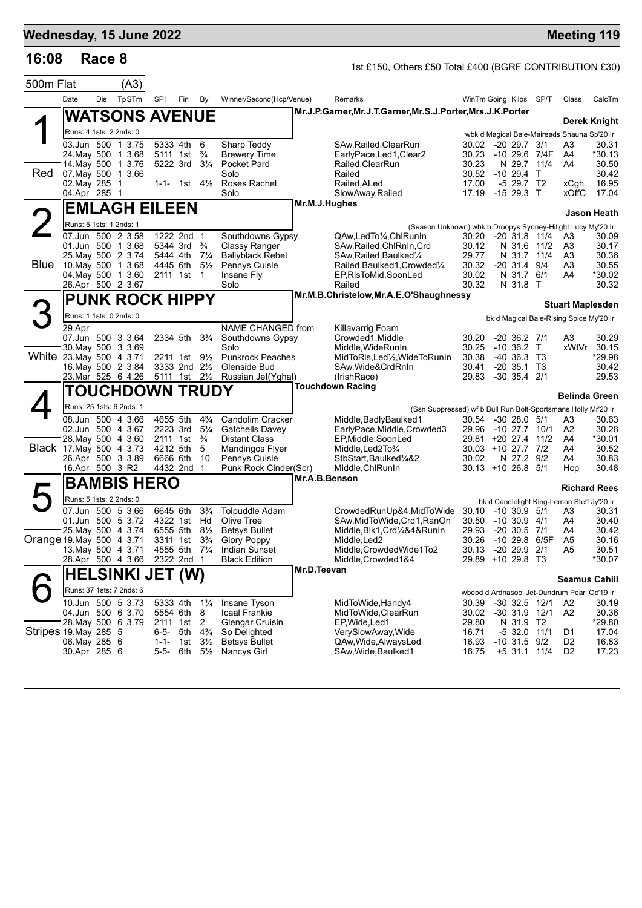| 16:08                    |                                   | Race 8 |                                               |                   |                                    |                                  |                                            |               |                                                                                       |                                              |                             |                  |                                    |                                                   |                     |
|--------------------------|-----------------------------------|--------|-----------------------------------------------|-------------------|------------------------------------|----------------------------------|--------------------------------------------|---------------|---------------------------------------------------------------------------------------|----------------------------------------------|-----------------------------|------------------|------------------------------------|---------------------------------------------------|---------------------|
|                          |                                   |        |                                               |                   |                                    |                                  |                                            |               | 1st £150, Others £50 Total £400 (BGRF CONTRIBUTION £30)                               |                                              |                             |                  |                                    |                                                   |                     |
| 500m Flat                | Date                              | Dis    | (A3)<br>TpSTm                                 | SPI               | Fin                                | By                               | Winner/Second(Hcp/Venue)                   |               | Remarks                                                                               | WinTm Going Kilos SP/T                       |                             |                  |                                    | Class                                             | CalcTm              |
|                          |                                   |        |                                               |                   |                                    |                                  |                                            |               | Mr.J.P.Garner, Mr.J.T.Garner, Mr.S.J.Porter, Mrs.J.K.Porter                           |                                              |                             |                  |                                    |                                                   |                     |
|                          |                                   |        | <b>WATSONS AVENUE</b>                         |                   |                                    |                                  |                                            |               |                                                                                       |                                              |                             |                  |                                    |                                                   | <b>Derek Knight</b> |
|                          | Runs: 4 1sts: 2 2nds: 0           |        | 03.Jun 500 1 3.75                             |                   | 5333 4th                           | 6                                | Sharp Teddy                                |               | SAw, Railed, Clear Run                                                                | 30.02 -20 29.7 3/1                           |                             |                  |                                    | wbk d Magical Bale-Maireads Shauna Sp'20 Ir<br>A3 | 30.31               |
|                          |                                   |        | 24 May 500 1 3.68                             |                   | 5111 1st                           | $\frac{3}{4}$                    | <b>Brewery Time</b>                        |               | EarlyPace,Led1,Clear2                                                                 | 30.23                                        |                             |                  | -10 29.6 7/4F                      | A4                                                | *30.13              |
| <b>Red</b>               |                                   |        | 14. May 500 1 3.76<br>07 May 500 1 3.66       |                   | 5222 3rd                           | $3\frac{1}{4}$                   | <b>Pocket Pard</b><br>Solo                 |               | Railed, ClearRun<br>Railed                                                            | 30.23<br>30.52                               | $-10, 29.4$ T               |                  | N 29.7 11/4                        | A4                                                | 30.50<br>30.42      |
|                          | 02. May 285 1                     |        |                                               |                   | 1-1- 1st $4\frac{1}{2}$            |                                  | Roses Rachel                               |               | Railed, ALed                                                                          | 17.00                                        |                             | $-529.7$ T2      |                                    | xCgh                                              | 16.95               |
|                          | 04.Apr 285 1                      |        |                                               |                   |                                    |                                  | Solo                                       | Mr.M.J.Hughes | SlowAway, Railed                                                                      | 17.19 -15 29.3 T                             |                             |                  |                                    | xOffC                                             | 17.04               |
|                          |                                   |        | <b>EMLAGH EILEEN</b>                          |                   |                                    |                                  |                                            |               |                                                                                       |                                              |                             |                  |                                    |                                                   | Jason Heath         |
|                          | Runs: 5 1sts: 1 2nds: 1           |        | 07.Jun 500 2 3.58                             |                   | 1222 2nd 1                         |                                  | Southdowns Gypsy                           |               | (Season Unknown) wbk b Droopys Sydney-Hilight Lucy My'20 Ir<br>QAw,LedTo1/4,ChlRunIn  | 30.20 -20 31.8 11/4                          |                             |                  |                                    | A3                                                | 30.09               |
|                          |                                   |        | 01.Jun 500 1 3.68                             |                   | 5344 3rd $\frac{3}{4}$             |                                  | <b>Classy Ranger</b>                       |               | SAw, Railed, ChlRnIn, Crd                                                             | 30.12                                        |                             |                  | N 31.6 11/2                        | A3                                                | 30.17               |
|                          |                                   |        | 25. May 500 2 3.74<br>Blue 10 May 500 1 3.68  | 4445 6th          | 5444 4th 71/4                      | $5\frac{1}{2}$                   | <b>Ballyblack Rebel</b><br>Pennys Cuisle   |               | SAw, Railed, Baulked <sup>1/4</sup><br>Railed, Baulked 1, Crowded 1/4                 | 29.77<br>30.32                               |                             | $-20$ 31.4 $9/4$ | N 31.7 11/4                        | A3<br>A3                                          | 30.36<br>30.55      |
|                          |                                   |        | 04. May 500 1 3.60                            |                   | 2111 1st 1                         |                                  | Insane Fly                                 |               | EP, RIsToMid, SoonLed                                                                 | 30.02                                        |                             | N 31.7 6/1       |                                    | A4                                                | *30.02              |
|                          |                                   |        | 26.Apr 500 2 3.67                             |                   |                                    |                                  | Solo                                       |               | Railed<br>Mr.M.B.Christelow, Mr.A.E.O'Shaughnessy                                     | 30.32                                        |                             | N 31.8 T         |                                    |                                                   | 30.32               |
| З                        |                                   |        | <b>PUNK ROCK HIPPY</b>                        |                   |                                    |                                  |                                            |               |                                                                                       |                                              |                             |                  |                                    | <b>Stuart Maplesden</b>                           |                     |
|                          | Runs: 1 1sts: 0 2nds: 0<br>29.Apr |        |                                               |                   |                                    |                                  | NAME CHANGED from                          |               | Killavarrig Foam                                                                      |                                              |                             |                  |                                    | bk d Magical Bale-Rising Spice My'20 Ir           |                     |
|                          |                                   |        | 07.Jun 500 3 3.64                             |                   | 2334 5th                           | $3\frac{3}{4}$                   | Southdowns Gypsy                           |               | Crowded1.Middle                                                                       | 30.20                                        |                             | $-20, 36.2, 7/1$ |                                    | A3                                                | 30.29               |
| White 23. May 500 4 3.71 |                                   |        | 30. May 500 3 3.69                            |                   | 2211 1st                           | $9\frac{1}{2}$                   | Solo<br><b>Punkrock Peaches</b>            |               | Middle, Wide Run In<br>MidToRls,Led½,WideToRunIn                                      | 30.25<br>30.38                               | $-10,36.2$ T<br>-40 36.3 T3 |                  |                                    | xWtVr                                             | 30.15<br>*29.98     |
|                          |                                   |        | 16 May 500 2 3.84                             |                   | 3333 2nd 21/2                      |                                  | Glenside Bud                               |               | SAw, Wide&CrdRnIn                                                                     | 30.41                                        |                             | $-20$ 35.1 T3    |                                    |                                                   | 30.42               |
|                          |                                   |        | 23.Mar 525 6 4.26                             | 5111 1st 2½       |                                    |                                  | Russian Jet(Yghal)                         |               | (IrishRace)<br><b>Touchdown Racing</b>                                                | 29.83                                        | $-30$ 35.4 $2/1$            |                  |                                    |                                                   | 29.53               |
|                          |                                   |        | <b>TOUCHDOWN TRUDY</b>                        |                   |                                    |                                  |                                            |               |                                                                                       |                                              |                             |                  |                                    | <b>Belinda Green</b>                              |                     |
|                          |                                   |        | Runs: 25 1sts: 6 2nds: 1<br>08.Jun 500 4 3.66 | 4655 5th          |                                    | $4\frac{3}{4}$                   | Candolim Cracker                           |               | (Ssn Suppressed) wf b Bull Run Bolt-Sportsmans Holly Mr'20 Ir<br>Middle,BadlyBaulked1 | 30.54                                        |                             | $-30$ 28.0 $5/1$ |                                    | A3                                                | 30.63               |
|                          |                                   |        | 02.Jun 500 4 3.67                             |                   | 2223 3rd                           | $5\frac{1}{4}$                   | <b>Gatchells Davey</b>                     |               | EarlyPace, Middle, Crowded3                                                           | 29.96                                        | -10 27.7 10/1               |                  |                                    | A <sub>2</sub>                                    | 30.28               |
| Black 17 May 500 4 3.73  |                                   |        | 28. May 500 4 3.60                            |                   | 2111 1st $\frac{3}{4}$<br>4212 5th | 5                                | <b>Distant Class</b><br>Mandingos Flyer    |               | EP, Middle, SoonLed<br>Middle, Led 2To 3/4                                            | 29.81 +20 27.4 11/2<br>$30.03 + 10.27.7$ 7/2 |                             |                  |                                    | A4<br>A4                                          | *30.01<br>30.52     |
|                          |                                   |        | 26.Apr 500 3 3.89                             | 6666 6th          |                                    | 10                               | Pennys Cuisle                              |               | StbStart, Baulked <sup>1</sup> / <sub>4</sub> &2                                      | 30.02                                        |                             | N 27.2 9/2       |                                    | A4                                                | 30.83               |
|                          | 16.Apr 500 3 R2                   |        |                                               |                   | 4432 2nd 1                         |                                  | Punk Rock Cinder(Scr)                      | Mr.A.B.Benson | Middle, ChlRunIn                                                                      | $30.13 + 1026.8$                             |                             |                  | -5/1                               | Hcp                                               | 30.48               |
|                          |                                   |        | <b>BAMBIS HERO</b>                            |                   |                                    |                                  |                                            |               |                                                                                       |                                              |                             |                  |                                    |                                                   | <b>Richard Rees</b> |
|                          | Runs: 5 1sts: 2 2nds: 0           |        | 07.Jun 500 5 3.66                             |                   | 6645 6th                           | $3\frac{3}{4}$                   | Tolpuddle Adam                             |               | CrowdedRunUp&4,MidToWide 30.10 -10 30.9 5/1                                           |                                              |                             |                  |                                    | bk d Candlelight King-Lemon Steff Jy'20 Ir        | A3 30.31            |
|                          |                                   |        | 01.Jun 500 5 3.72                             | 4322 1st Hd       |                                    |                                  | Olive Tree                                 |               | SAw, MidToWide, Crd1, RanOn                                                           | 30.50                                        | $-10$ 30.9 $4/1$            |                  |                                    | A4                                                | 30.40               |
| Orange 19 May 500 4 3 71 |                                   |        | 25. May 500 4 3.74                            |                   | 6555 5th 81/2<br>3311 1st          | $3\frac{3}{4}$                   | <b>Betsys Bullet</b><br><b>Glory Poppy</b> |               | Middle, Blk1, Crd1/4&4&RunIn<br>Middle, Led <sub>2</sub>                              | 29.93<br>30.26                               | $-1029.8$                   | $-20$ 30.5 $7/1$ | 6/5F                               | A4<br>A <sub>5</sub>                              | 30.42<br>30.16      |
|                          |                                   |        | 13. May 500 4 3.71                            |                   | 4555 5th 71/4                      |                                  | <b>Indian Sunset</b>                       |               | Middle, Crowded Wide1To2                                                              | 30.13                                        | -20 29.9 2/1                |                  |                                    | A5                                                | 30.51               |
|                          |                                   |        | 28.Apr 500 4 3.66                             |                   | 2322 2nd 1                         |                                  | <b>Black Edition</b>                       | Mr.D.Teevan   | Middle, Crowded 1&4                                                                   | 29.89 +10 29.8 T3                            |                             |                  |                                    |                                                   | *30.07              |
|                          |                                   |        | <b>HELSINKI JET (W)</b>                       |                   |                                    |                                  |                                            |               |                                                                                       |                                              |                             |                  |                                    | <b>Seamus Cahill</b>                              |                     |
|                          |                                   |        | Runs: 37 1sts: 7 2nds: 6                      |                   |                                    |                                  |                                            |               |                                                                                       |                                              |                             |                  |                                    | wbebd d Ardnasool Jet-Dundrum Pearl Oc'19 Ir      |                     |
|                          |                                   |        | 10.Jun 500 5 3.73<br>04.Jun 500 6 3.70        |                   | 5333 4th<br>5554 6th               | $1\frac{1}{4}$<br>8              | Insane Tyson<br>Icaal Frankie              |               | MidToWide, Handy4<br>MidToWide, ClearRun                                              | 30.39<br>30.02                               |                             |                  | $-30$ 32.5 12/1<br>$-30$ 31.9 12/1 | A2<br>A2                                          | 30.19<br>30.36      |
|                          |                                   |        | 28. May 500 6 3.79                            |                   | 2111 1st 2                         |                                  | Glengar Cruisin                            |               | EP, Wide, Led 1                                                                       | 29.80                                        |                             | N 31.9 T2        |                                    |                                                   | *29.80              |
| Stripes 19. May 285 5    | 06. May 285 6                     |        |                                               | 6-5-<br>$1 - 1 -$ | 5th<br>1st                         | $4\frac{3}{4}$<br>$3\frac{1}{2}$ | So Delighted<br><b>Betsys Bullet</b>       |               | VerySlowAway, Wide<br>QAw, Wide, AlwaysLed                                            | 16.71<br>16.93                               |                             | $-10$ 31.5 $9/2$ | $-5$ 32.0 11/1                     | D1<br>D2                                          | 17.04<br>16.83      |
|                          | 30.Apr 285 6                      |        |                                               | 5-5-              | 6th                                | $5\frac{1}{2}$                   | Nancys Girl                                |               | SAw, Wide, Baulked1                                                                   | 16.75                                        |                             |                  | +5 31.1 11/4                       | D <sub>2</sub>                                    | 17.23               |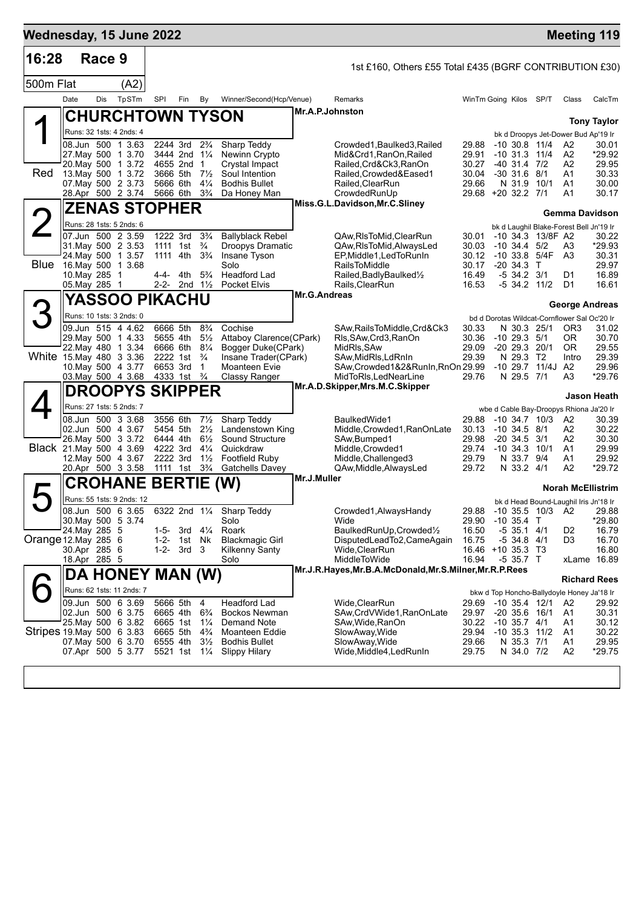| Wednesday, 15 June 2022   |                                     |        |                                               |                      |                                        |                                  |                                               |                     |                                                              |                            |                                       |                    | <b>Meeting 119</b>                               |                      |
|---------------------------|-------------------------------------|--------|-----------------------------------------------|----------------------|----------------------------------------|----------------------------------|-----------------------------------------------|---------------------|--------------------------------------------------------------|----------------------------|---------------------------------------|--------------------|--------------------------------------------------|----------------------|
| 16:28                     |                                     | Race 9 |                                               |                      |                                        |                                  |                                               |                     | 1st £160, Others £55 Total £435 (BGRF CONTRIBUTION £30)      |                            |                                       |                    |                                                  |                      |
| 500m Flat                 |                                     |        | (A2)                                          |                      |                                        |                                  |                                               |                     |                                                              |                            |                                       |                    |                                                  |                      |
|                           | Date                                | Dis    | TpSTm                                         | SPI                  | Fin                                    | By                               | Winner/Second(Hcp/Venue)                      |                     | Remarks                                                      | WinTm Going Kilos SP/T     |                                       |                    | Class                                            | CalcTm               |
|                           |                                     |        | <b>CHURCHTOWN TYSON</b>                       |                      |                                        |                                  |                                               | Mr.A.P.Johnston     |                                                              |                            |                                       |                    |                                                  |                      |
|                           |                                     |        | Runs: 32 1sts: 4 2nds: 4                      |                      |                                        |                                  |                                               |                     |                                                              |                            |                                       |                    |                                                  | <b>Tony Taylor</b>   |
|                           |                                     |        | 08.Jun 500 1 3.63                             |                      | 2244 3rd                               | $2\frac{3}{4}$                   | Sharp Teddy                                   |                     | Crowded1, Baulked3, Railed                                   | 29.88                      | $-10$ 30.8 11/4                       |                    | bk d Droopys Jet-Dower Bud Ap'19 Ir<br>A2        | 30.01                |
|                           |                                     |        | 27. May 500 1 3.70                            |                      | 3444 2nd 11/4                          |                                  | Newinn Crypto                                 |                     | Mid&Crd1, RanOn, Railed                                      | 29.91                      | $-10$ 31.3 11/4                       |                    | A <sub>2</sub>                                   | *29.92               |
| Red                       |                                     |        | 20. May 500 1 3.72<br>13. May 500 1 3.72      |                      | 4655 2nd 1<br>3666 5th                 | $7\frac{1}{2}$                   | Crystal Impact<br>Soul Intention              |                     | Railed, Crd&Ck3, RanOn<br>Railed, Crowded&Eased1             | 30.27<br>30.04             | -40 31.4 7/2<br>$-30$ 31.6 8/1        |                    | A2<br>A1                                         | 29.95<br>30.33       |
|                           |                                     |        | 07. May 500 2 3.73                            | 5666 6th             |                                        | $4\frac{1}{4}$                   | <b>Bodhis Bullet</b>                          |                     | Railed, ClearRun                                             | 29.66                      | N 31.9 10/1                           |                    | A1                                               | 30.00                |
|                           |                                     |        | 28.Apr 500 2 3.74                             | 5666 6th             |                                        | $3\frac{3}{4}$                   | Da Honey Man                                  |                     | CrowdedRunUp<br>Miss.G.L.Davidson, Mr.C.Sliney               | 29.68 +20 32.2 7/1         |                                       |                    | A1                                               | 30.17                |
|                           |                                     |        | <b>ZENAS STOPHER</b>                          |                      |                                        |                                  |                                               |                     |                                                              |                            |                                       |                    | Gemma Davidson                                   |                      |
|                           |                                     |        | Runs: 28 1sts: 5 2nds: 6                      |                      |                                        |                                  |                                               |                     |                                                              |                            |                                       |                    | bk d Laughil Blake-Forest Bell Jn'19 Ir          |                      |
|                           | 07.Jun 500 2 3.59                   |        | 31 May 500 2 3.53                             |                      | 1222 3rd<br>1111 1st                   | $3\frac{3}{4}$<br>$\frac{3}{4}$  | <b>Ballyblack Rebel</b><br>Droopys Dramatic   |                     | QAw,RIsToMid,ClearRun<br>QAw, RIsToMid, AlwaysLed            | 30.01<br>30.03             | $-10, 34.4, 5/2$                      | -10 34.3 13/8F A2  | A3                                               | 30.22<br>*29.93      |
|                           | 24. May 500 1 3.57                  |        |                                               | 1111 4th             |                                        | $3\frac{3}{4}$                   | Insane Tyson                                  |                     | EP, Middle1, Led To Run In                                   | 30.12                      |                                       | $-10$ 33.8 $5/4F$  | A <sub>3</sub>                                   | 30.31                |
| <b>Blue</b>               | 16. May 500 1 3.68<br>10. May 285 1 |        |                                               | 4-4-                 | 4th                                    | $5\frac{3}{4}$                   | Solo<br>Headford Lad                          |                     | <b>RailsToMiddle</b><br>Railed, Badly Baulked <sup>1/2</sup> | 30.17<br>16.49             | $-20, 34.3$ T<br>$-5$ 34.2 3/1        |                    | D1                                               | 29.97<br>16.89       |
|                           | 05. May 285 1                       |        |                                               |                      | 2-2- 2nd 11/2                          |                                  | <b>Pocket Elvis</b>                           |                     | Rails, Clear Run                                             | 16.53                      |                                       | $-5$ 34.2 $11/2$   | D1                                               | 16.61                |
|                           |                                     |        | YASSOO PIKACHU                                |                      |                                        |                                  |                                               | <b>Mr.G.Andreas</b> |                                                              |                            |                                       |                    | <b>George Andreas</b>                            |                      |
| 3                         |                                     |        | Runs: 10 1sts: 3 2nds: 0                      |                      |                                        |                                  |                                               |                     |                                                              |                            |                                       |                    | bd d Dorotas Wildcat-Cornflower Sal Oc'20 Ir     |                      |
|                           |                                     |        | 09.Jun 515 4 4.62                             | 6666 5th             |                                        | $8\frac{3}{4}$                   | Cochise                                       |                     | SAw, Rails To Middle, Crd& Ck3                               | 30.33                      | N 30.3 25/1                           |                    | OR <sub>3</sub>                                  | 31.02                |
|                           |                                     |        | 29. May 500 1 4.33<br>22. May 480 1 3.34      | 6666 6th             | 5655 4th                               | $5\frac{1}{2}$<br>$8\frac{1}{4}$ | Attaboy Clarence(CPark)<br>Bogger Duke(CPark) |                     | Rls, SAw, Crd3, RanOn<br>MidRls, SAw                         | 30.36<br>29.09             | $-10$ 29.3 $5/1$<br>$-20$ 29.3 20/1   |                    | 0R<br>0R                                         | 30.70<br>29.55       |
| White 15 May 480 3 3.36   |                                     |        |                                               | 2222 1st             |                                        | $\frac{3}{4}$                    | Insane Trader(CPark)                          |                     | SAw,MidRls,LdRnIn                                            | 29.39                      | N 29.3 T2                             |                    | Intro                                            | 29.39                |
|                           |                                     |        | 10. May 500 4 3.77                            | 6653 3rd             | 4333 1st <sup>3</sup> / <sub>4</sub>   | 1                                | Moanteen Evie                                 |                     | SAw, Crowded 1&2& RunIn, RnOn 29.99                          | 29.76                      | N 29.5 7/1                            | $-10$ 29.7 $11/4J$ | A2<br>A3                                         | 29.96<br>*29.76      |
|                           |                                     |        | 03. May 500 4 3.68<br><b>DROOPYS SKIPPER</b>  |                      |                                        |                                  | Classy Ranger                                 |                     | MidToRIs, LedNear Line<br>Mr.A.D.Skipper, Mrs.M.C.Skipper    |                            |                                       |                    |                                                  |                      |
|                           |                                     |        |                                               |                      |                                        |                                  |                                               |                     |                                                              |                            |                                       |                    |                                                  | Jason Heath          |
|                           |                                     |        | Runs: 27 1sts: 5 2nds: 7<br>08.Jun 500 3 3.68 | 3556 6th             |                                        | $7\frac{1}{2}$                   | Sharp Teddy                                   |                     | BaulkedWide1                                                 | 29.88                      |                                       | $-10$ 34.7 $10/3$  | wbe d Cable Bay-Droopys Rhiona Ja'20 Ir<br>A2    | 30.39                |
|                           |                                     |        | 02.Jun 500 4 3.67                             |                      | 5454 5th                               | $2\frac{1}{2}$                   | Landenstown King                              |                     | Middle, Crowded1, RanOnLate                                  | 30.13                      | -10 34.5 8/1                          |                    | A2                                               | 30.22                |
| Black 21. May 500 4 3.69  |                                     |        | 26. May 500 3 3.72                            | 6444 4th<br>4222 3rd |                                        | $6\frac{1}{2}$<br>$4\frac{1}{4}$ | <b>Sound Structure</b><br>Quickdraw           |                     | SAw, Bumped1<br>Middle, Crowded1                             | 29.98<br>29.74             | $-20, 34.5, 3/1$<br>$-10$ 34.3 $10/1$ |                    | A2<br>A1                                         | 30.30<br>29.99       |
|                           |                                     |        | 12. May 500 4 3.67                            |                      | 2222 3rd                               | $1\frac{1}{2}$                   | Footfield Ruby                                |                     | Middle, Challenged 3                                         | 29.79                      | N 33.7 9/4                            |                    | A1                                               | 29.92                |
|                           |                                     |        | 20.Apr 500 3 3.58                             |                      | 1111 1st 3 <sup>3</sup> / <sub>4</sub> |                                  | <b>Gatchells Davey</b>                        |                     | QAw, Middle, Always Led                                      | 29.72                      | N 33.2 4/1                            |                    | A2                                               | *29.72               |
|                           |                                     |        | <b>CROHANE BERTIE</b>                         |                      |                                        |                                  | (W)                                           | Mr.J.Muller         |                                                              |                            |                                       |                    | <b>Norah McEllistrim</b>                         |                      |
| $\blacktriangleright$     |                                     |        | Runs: 55 1sts: 9 2nds: 12                     |                      |                                        |                                  |                                               |                     |                                                              |                            |                                       |                    | bk d Head Bound-Laughil Iris Jn'18 Ir            |                      |
|                           | 30. May 500 5 3.74                  |        | 08.Jun 500 6 3.65                             |                      |                                        |                                  | 6322 2nd 11/4 Sharp Teddy<br>Solo             |                     | Crowded1, Always Handy<br>Wide                               | 29.88<br>29.90             | $-10$ 35.4 T                          | -10 35.5 10/3 A2   |                                                  | 29.88<br>*29.80      |
|                           | 24. May 285 5                       |        |                                               | 1-5-                 | 3rd 41⁄4                               |                                  | Roark                                         |                     | BaulkedRunUp, Crowded1/2                                     | 16.50                      | $-5$ 35.1 4/1                         |                    | D <sub>2</sub>                                   | 16.79                |
| Orange 12. May 285 6      |                                     |        |                                               | 1-2-                 | 1st Nk                                 |                                  | <b>Blackmagic Girl</b>                        |                     | DisputedLeadTo2,CameAgain                                    | 16.75                      | -5 34.8 4/1                           |                    | D3                                               | 16.70                |
|                           | 30.Apr 285 6<br>18.Apr 285 5        |        |                                               | 1-2-                 | 3rd 3                                  |                                  | <b>Kilkenny Santy</b><br>Solo                 |                     | Wide,ClearRun<br>MiddleToWide                                | 16.46 +10 35.3 T3<br>16.94 | $-535.7$ T                            |                    |                                                  | 16.80<br>xLame 16.89 |
|                           |                                     |        | DA HONEY MAN (W)                              |                      |                                        |                                  |                                               |                     | Mr.J.R.Hayes, Mr.B.A.McDonald, Mr.S.Milner, Mr.R.P.Rees      |                            |                                       |                    |                                                  |                      |
|                           |                                     |        | Runs: 62 1sts: 11 2nds: 7                     |                      |                                        |                                  |                                               |                     |                                                              |                            |                                       |                    |                                                  | <b>Richard Rees</b>  |
|                           |                                     |        | 09.Jun 500 6 3.69                             | 5666 5th             |                                        | 4                                | Headford Lad                                  |                     | Wide, ClearRun                                               | 29.69                      | $-10$ 35.4 $12/1$                     |                    | bkw d Top Honcho-Ballydoyle Honey Ja'18 Ir<br>A2 | 29.92                |
|                           |                                     |        | 02.Jun 500 6 3.75                             | 6665 4th             |                                        | $6\frac{3}{4}$                   | Bockos Newman                                 |                     | SAw,CrdVWide1,RanOnLate                                      | 29.97                      | $-20$ 35.6 16/1                       |                    | A1                                               | 30.31                |
| Stripes 19 May 500 6 3.83 |                                     |        | 25. May 500 6 3.82                            | 6665 1st<br>6665 5th |                                        | $1\frac{1}{4}$<br>$4\frac{3}{4}$ | Demand Note<br>Moanteen Eddie                 |                     | SAw, Wide, RanOn<br>SlowAway, Wide                           | 30.22<br>29.94             | $-10$ 35.7 $4/1$<br>$-10$ 35.3 $11/2$ |                    | A1<br>A1                                         | 30.12<br>30.22       |
|                           |                                     |        | 07. May 500 6 3.70                            | 6555 4th             |                                        | $3\frac{1}{2}$                   | <b>Bodhis Bullet</b>                          |                     | SlowAway, Wide                                               | 29.66                      | N 35.3 7/1                            |                    | A1                                               | 29.95                |
|                           |                                     |        | 07.Apr 500 5 3.77                             |                      | 5521 1st                               | $1\frac{1}{4}$                   | <b>Slippy Hilary</b>                          |                     | Wide, Middle4, Led Run In                                    | 29.75                      | N 34.0 7/2                            |                    | A <sub>2</sub>                                   | $*29.75$             |
|                           |                                     |        |                                               |                      |                                        |                                  |                                               |                     |                                                              |                            |                                       |                    |                                                  |                      |
|                           |                                     |        |                                               |                      |                                        |                                  |                                               |                     |                                                              |                            |                                       |                    |                                                  |                      |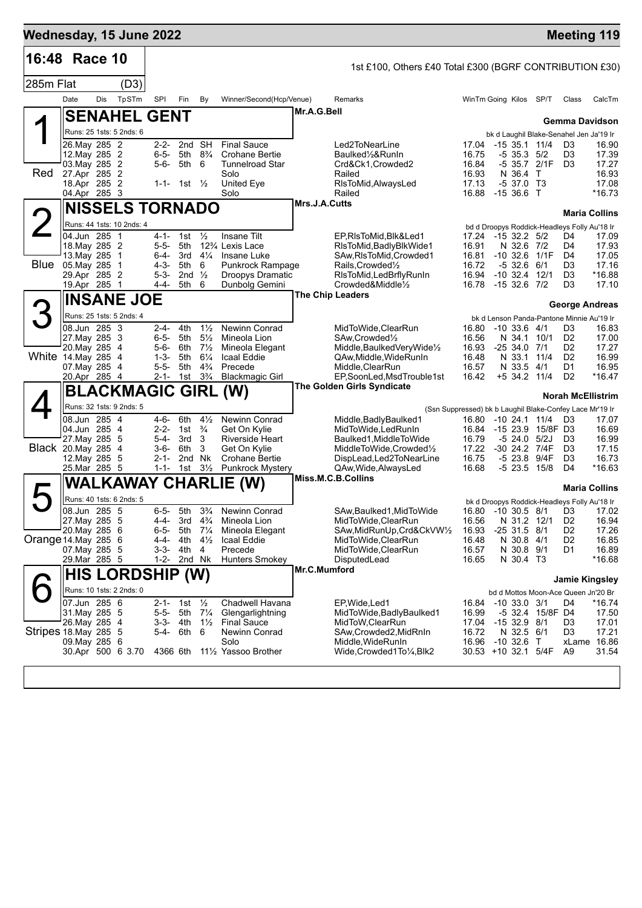| 16:48 Race 10         |                                |     |                            |                        |                           |                                  |                                                          |               |                                                                 |                              |                            |                                   |                                                                                      |                 |
|-----------------------|--------------------------------|-----|----------------------------|------------------------|---------------------------|----------------------------------|----------------------------------------------------------|---------------|-----------------------------------------------------------------|------------------------------|----------------------------|-----------------------------------|--------------------------------------------------------------------------------------|-----------------|
|                       |                                |     |                            |                        |                           |                                  |                                                          |               | 1st £100, Others £40 Total £300 (BGRF CONTRIBUTION £30)         |                              |                            |                                   |                                                                                      |                 |
| 285m Flat             | Date                           | Dis | (D3)                       | SPI                    |                           |                                  |                                                          |               |                                                                 |                              |                            |                                   |                                                                                      |                 |
|                       |                                |     | TpSTm                      |                        | Fin                       | By                               | Winner/Second(Hcp/Venue)                                 | Mr.A.G.Bell   | Remarks                                                         | WinTm Going Kilos SP/T       |                            |                                   | Class                                                                                | CalcTm          |
|                       |                                |     | <b>SENAHEL GENT</b>        |                        |                           |                                  |                                                          |               |                                                                 |                              |                            |                                   | Gemma Davidson                                                                       |                 |
|                       | 26. May 285 2                  |     | Runs: 25 1sts: 5 2nds: 6   | $2 - 2 -$              | 2nd SH                    |                                  | <b>Final Sauce</b>                                       |               | Led2ToNearLine                                                  | 17.04                        |                            | -15 35.1 11/4                     | bk d Laughil Blake-Senahel Jen Ja'19 Ir<br>D <sub>3</sub>                            | 16.90           |
|                       | 12. May 285 2                  |     |                            | $6 - 5 -$              | 5th                       | $8\frac{3}{4}$                   | Crohane Bertie                                           |               | Baulked1/2&RunIn                                                | 16.75                        | $-5$ 35.3 $5/2$            |                                   | D3                                                                                   | 17.39           |
|                       | 03. May 285 2                  |     |                            | 5-6-                   | 5th 6                     |                                  | Tunnelroad Star                                          |               | Crd&Ck1, Crowded2                                               | 16.84                        |                            | -5 35.7 2/1F                      | D <sub>3</sub>                                                                       | 17.27           |
| Red                   | 27.Apr 285 2<br>18.Apr 285 2   |     |                            |                        | 1-1- 1st $\frac{1}{2}$    |                                  | Solo<br>United Eye                                       |               | Railed<br>RIsToMid, AlwaysLed                                   | 16.93<br>17.13               | N 36.4 T<br>$-537.0$ T3    |                                   |                                                                                      | 16.93<br>17.08  |
|                       | 04.Apr 285 3                   |     |                            |                        |                           |                                  | Solo                                                     |               | Railed                                                          | 16.88 -15 36.6 T             |                            |                                   |                                                                                      | *16.73          |
|                       |                                |     | <b>NISSELS TORNADO</b>     |                        |                           |                                  |                                                          | Mrs.J.A.Cutts |                                                                 |                              |                            |                                   | <b>Maria Collins</b>                                                                 |                 |
|                       |                                |     | Runs: 44 1sts: 10 2nds: 4  |                        |                           |                                  |                                                          |               |                                                                 |                              |                            |                                   | bd d Droopys Roddick-Headleys Folly Au'18 Ir                                         |                 |
|                       | 04.Jun 285 1                   |     |                            | $4 - 1 -$              | 1st                       | $\frac{1}{2}$                    | Insane Tilt                                              |               | EP,RIsToMid,Blk&Led1                                            | 17.24                        | -15 32.2 5/2               |                                   | D4                                                                                   | 17.09           |
|                       | 18. May 285 2<br>13. May 285 1 |     |                            | $5 - 5 -$<br>6-4-      | 5th<br>3rd                | $4\frac{1}{4}$                   | 12 <sup>3</sup> / <sub>4</sub> Lexis Lace<br>Insane Luke |               | RIsToMid, Badly Blk Wide 1<br>SAw, RIsToMid, Crowded1           | 16.91<br>16.81               | N 32.6 7/2                 | $-10$ 32.6 $1/1F$                 | D4<br>D4                                                                             | 17.93<br>17.05  |
|                       | <b>Blue</b> 05. May 285 1      |     |                            | $4 - 3 -$              | 5th                       | 6                                | Punkrock Rampage                                         |               | Rails, Crowded <sup>1</sup> / <sub>2</sub>                      | 16.72                        | $-5$ 32.6 6/1              |                                   | D <sub>3</sub>                                                                       | 17.16           |
|                       | 29.Apr 285 2<br>19.Apr 285 1   |     |                            | $5 - 3 -$<br>4-4-      | 2nd $\frac{1}{2}$<br>5th  | 6                                | <b>Droopys Dramatic</b>                                  |               | RIsToMid, LedBrflyRunIn                                         | 16.94<br>16.78 -15 32.6 7/2  | $-10$ 32.4 $12/1$          |                                   | D <sub>3</sub><br>D <sub>3</sub>                                                     | $*16.88$        |
|                       |                                |     |                            |                        |                           |                                  | Dunbolg Gemini                                           |               | Crowded&Middle1/2<br><b>The Chip Leaders</b>                    |                              |                            |                                   |                                                                                      | 17.10           |
|                       |                                |     | <b>INSANE JOE</b>          |                        |                           |                                  |                                                          |               |                                                                 |                              |                            |                                   | George Andreas                                                                       |                 |
|                       |                                |     | Runs: 25 1sts: 5 2nds: 4   |                        |                           |                                  |                                                          |               |                                                                 |                              |                            |                                   | bk d Lenson Panda-Pantone Minnie Au'19 Ir                                            |                 |
|                       | 08.Jun 285 3<br>27. May 285 3  |     |                            | $2 - 4 -$<br>6-5-      | 4th<br>5th                | $1\frac{1}{2}$<br>$5\frac{1}{2}$ | Newinn Conrad<br>Mineola Lion                            |               | MidToWide, ClearRun<br>SAw, Crowded <sup>1</sup> / <sub>2</sub> | 16.80<br>16.56               | $-10, 33.6, 4/1$<br>N 34.1 | 10/1                              | D3<br>D <sub>2</sub>                                                                 | 16.83<br>17.00  |
|                       | 20. May 285 4                  |     |                            | 5-6-                   | 6th                       | $7\frac{1}{2}$                   | Mineola Elegant                                          |               | Middle,BaulkedVeryWide½                                         | 16.93                        | $-2534.07/1$               |                                   | D <sub>2</sub>                                                                       | 17.27           |
| White 14. May 285 4   |                                |     |                            | $1 - 3 -$              | 5th                       | $6\frac{1}{4}$                   | Icaal Eddie                                              |               | QAw,Middle,WideRunIn                                            | 16.48                        | N 33.1                     | 11/4                              | D <sub>2</sub>                                                                       | 16.99           |
|                       | 07. May 285 4<br>20.Apr 285 4  |     |                            | $5 - 5 -$<br>2-1-      | 5th<br>1st $3\frac{3}{4}$ | $4\frac{3}{4}$                   | Precede<br><b>Blackmagic Girl</b>                        |               | Middle, ClearRun<br>EP,SoonLed,MsdTrouble1st                    | 16.57<br>16.42               | N 33.5<br>+5 34.2 11/4     | 4/1                               | D1<br>D <sub>2</sub>                                                                 | 16.95<br>*16.47 |
|                       |                                |     | <b>BLACKMAGIC GIRL (W)</b> |                        |                           |                                  |                                                          |               | <b>The Golden Girls Syndicate</b>                               |                              |                            |                                   |                                                                                      |                 |
|                       |                                |     | Runs: 32 1sts: 9 2nds: 5   |                        |                           |                                  |                                                          |               |                                                                 |                              |                            |                                   | <b>Norah McEllistrim</b><br>(Ssn Suppressed) bk b Laughil Blake-Confey Lace Mr'19 Ir |                 |
|                       | 08.Jun 285 4                   |     |                            | 4-6-                   | 6th                       | $4\frac{1}{2}$                   | <b>Newinn Conrad</b>                                     |               | Middle, Badly Baulked1                                          | 16.80                        | -10 24.1 11/4              |                                   | D3                                                                                   | 17.07           |
|                       | 04.Jun 285 4                   |     |                            | $2 - 2 -$              | 1st $\frac{3}{4}$         |                                  | Get On Kylie                                             |               | MidToWide, LedRunIn                                             | 16.84                        |                            | -15 23.9 15/8F D3                 |                                                                                      | 16.69           |
| Black 20. May 285 4   | 27. May 285 5                  |     |                            | $5 - 4 -$<br>$3-6-$    | 3rd<br>6th                | 3<br>3                           | Riverside Heart<br>Get On Kylie                          |               | Baulked1, MiddleToWide<br>MiddleToWide,Crowded1/2               | 16.79<br>17.22               |                            | $-5$ 24.0 $5/2J$<br>-30 24.2 7/4F | D3<br>D <sub>3</sub>                                                                 | 16.99<br>17.15  |
|                       | 12. May 285 5                  |     |                            | $2 - 1 -$              | 2nd Nk                    |                                  | Crohane Bertie                                           |               | DispLead,Led2ToNearLine                                         | 16.75                        | -5 23.8 9/4F               |                                   | D <sub>3</sub>                                                                       | 16.73           |
|                       | 25.Mar 285 5                   |     |                            | $1 - 1 -$              | 1st $3\frac{1}{2}$        |                                  | <b>Punkrock Mystery</b>                                  |               | QAw, Wide, Always Led                                           | 16.68                        | $-5$ 23.5 15/8             |                                   | D4                                                                                   | *16.63          |
|                       |                                |     | <b>WALKAWAY CHARLIE</b>    |                        |                           |                                  |                                                          |               | Miss.M.C.B.Collins                                              |                              |                            |                                   | <b>Maria Collins</b>                                                                 |                 |
|                       |                                |     | Runs: 40 1sts: 6 2nds: 5   |                        |                           |                                  |                                                          |               |                                                                 |                              |                            |                                   | bk d Droopys Roddick-Headleys Folly Au'18 Ir                                         |                 |
|                       | 08.Jun 285 5                   |     |                            | $6 - 5 -$              | 5th                       | $3\frac{3}{4}$                   | Newinn Conrad                                            |               | SAw, Baulked 1, Mid To Wide                                     |                              |                            | 16.80 -10 30.5 8/1                | D3 17.02                                                                             |                 |
|                       | 27. May 285 5<br>20.May 285 6  |     |                            | 4-4-<br>6-5-           | 3rd<br>5th                | $4\frac{3}{4}$<br>$7\frac{1}{4}$ | Mineola Lion<br>Mineola Elegant                          |               | MidToWide, ClearRun<br>SAw, MidRunUp, Crd&CkVW1/2               | 16.56<br>16.93               | N 31.2 12/1<br>$-2531.5$   | 8/1                               | D <sub>2</sub><br>D <sub>2</sub>                                                     | 16.94<br>17.26  |
| Orange 14. May 285 6  |                                |     |                            | $4 - 4 -$              | 4th                       | $4\frac{1}{2}$                   | Icaal Eddie                                              |               | MidToWide, ClearRun                                             | 16.48                        | N 30.8 4/1                 |                                   | D <sub>2</sub>                                                                       | 16.85           |
|                       | 07. May 285 5                  |     |                            | 3-3-                   | 4th                       | 4                                | Precede                                                  |               | MidToWide, ClearRun                                             | 16.57                        | N 30.8 9/1                 |                                   | D1                                                                                   | 16.89           |
|                       | 29.Mar 285 5                   |     |                            | $1 - 2 -$              | 2nd Nk                    |                                  | <b>Hunters Smokey</b>                                    | Mr.C.Mumford  | DisputedLead                                                    | 16.65                        | N 30.4 T3                  |                                   |                                                                                      | *16.68          |
|                       |                                |     | <b>HIS LORDSHIP (W)</b>    |                        |                           |                                  |                                                          |               |                                                                 |                              |                            |                                   | Jamie Kingsley                                                                       |                 |
|                       |                                |     | Runs: 10 1sts: 2 2nds: 0   |                        |                           |                                  |                                                          |               |                                                                 |                              |                            |                                   | bd d Mottos Moon-Ace Queen Jn'20 Br                                                  |                 |
|                       | 07.Jun 285 6<br>31. May 285 5  |     |                            | $2 - 1 -$<br>$5 - 5 -$ | 1st<br>5th                | $\frac{1}{2}$<br>$7\frac{1}{4}$  | Chadwell Havana<br>Glengarlightning                      |               | EP,Wide,Led1<br>MidToWide, Badly Baulked 1                      | 16.84<br>16.99               | $-10$ 33.0 3/1             | -5 32.4 15/8F D4                  | D4                                                                                   | *16.74<br>17.50 |
|                       | 26. May 285 4                  |     |                            | $3 - 3 -$              | 4th                       | $1\frac{1}{2}$                   | <b>Final Sauce</b>                                       |               | MidToW, ClearRun                                                | 17.04                        | $-1532.98/1$               |                                   | D <sub>3</sub>                                                                       | 17.01           |
| Stripes 18. May 285 5 |                                |     |                            | 5-4-                   | 6th                       | 6                                | Newinn Conrad                                            |               | SAw, Crowded 2, MidRnIn                                         | 16.72                        | N 32.5 6/1                 |                                   | D <sub>3</sub>                                                                       | 17.21           |
|                       | 09. May 285 6                  |     |                            |                        |                           |                                  | Solo<br>111/2 Yassoo Brother                             |               | Middle,WideRunIn                                                | 16.96<br>30.53 +10 32.1 5/4F | $-10$ 32.6 T               |                                   | xLame 16.86<br>A <sub>9</sub>                                                        | 31.54           |
|                       |                                |     | 30.Apr 500 6 3.70          | 4366 6th               |                           |                                  |                                                          |               | Wide,Crowded1To¼,Blk2                                           |                              |                            |                                   |                                                                                      |                 |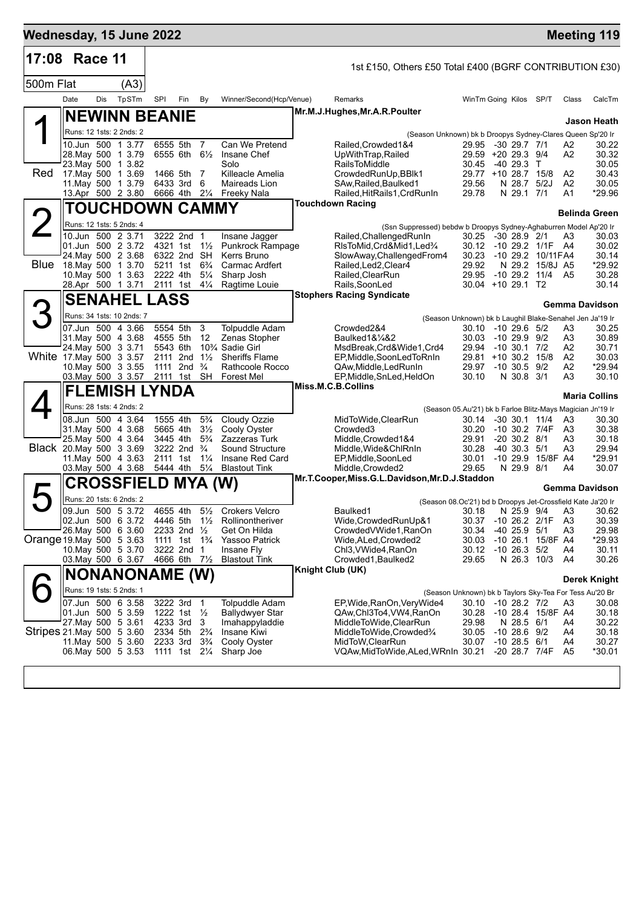| Wednesday, 15 June 2022   |                          |     |                                         |          |                                                      |                                  |                                                 |                                                                                   |                                              |                                       |                                     |                      | <b>Meeting 119</b>    |
|---------------------------|--------------------------|-----|-----------------------------------------|----------|------------------------------------------------------|----------------------------------|-------------------------------------------------|-----------------------------------------------------------------------------------|----------------------------------------------|---------------------------------------|-------------------------------------|----------------------|-----------------------|
| 17:08 Race 11             |                          |     |                                         |          |                                                      |                                  |                                                 | 1st £150, Others £50 Total £400 (BGRF CONTRIBUTION £30)                           |                                              |                                       |                                     |                      |                       |
| 500m Flat                 |                          |     | (A3)                                    |          |                                                      |                                  |                                                 |                                                                                   |                                              |                                       |                                     |                      |                       |
|                           | Date                     | Dis | TpSTm                                   | SPI      | Fin                                                  | By                               | Winner/Second(Hcp/Venue)                        | Remarks                                                                           | WinTm Going Kilos SP/T                       |                                       |                                     | Class                | CalcTm                |
|                           |                          |     | <b>NEWINN BEANIE</b>                    |          |                                                      |                                  |                                                 | Mr.M.J.Hughes, Mr.A.R.Poulter                                                     |                                              |                                       |                                     |                      |                       |
|                           |                          |     | Runs: 12 1sts: 2 2nds: 2                |          |                                                      |                                  |                                                 |                                                                                   |                                              |                                       |                                     |                      | Jason Heath           |
|                           |                          |     | 10.Jun 500 1 3.77                       |          | 6555 5th 7                                           |                                  | Can We Pretend                                  | (Season Unknown) bk b Droopys Sydney-Clares Queen Sp'20 Ir<br>Railed, Crowded 1&4 | 29.95 -30 29.7 7/1                           |                                       |                                     | A2                   | 30.22                 |
|                           |                          |     | 28. May 500 1 3.79                      |          | 6555 6th 61/2                                        |                                  | Insane Chef                                     | UpWithTrap, Railed                                                                | 29.59 +20 29.3 9/4                           |                                       |                                     | A2                   | 30.32                 |
| Red                       | 23. May 500 1 3.82       |     | 17 May 500 1 3.69                       |          | 1466 5th 7                                           |                                  | Solo<br>Killeacle Amelia                        | <b>RailsToMiddle</b><br>CrowdedRunUp, BBlk1                                       | 30.45<br>29.77 +10 28.7 15/8                 | $-4029.3$ T                           |                                     | A2                   | 30.05<br>30.43        |
|                           |                          |     | 11 May 500 1 3.79                       |          | 6433 3rd                                             | - 6                              | Maireads Lion                                   | SAw, Railed, Baulked1                                                             | 29.56                                        | N 28.7                                | 5/2J                                | A <sub>2</sub>       | 30.05                 |
|                           |                          |     | 13.Apr 500 2 3.80                       |          | 6666 4th 21/4                                        |                                  | Freeky Nala                                     | Railed, Hit Rails 1, Crd Run In<br><b>Touchdown Racing</b>                        | 29.78                                        | N 29.1 7/1                            |                                     | A1                   | *29.96                |
|                           |                          |     | TOUCHDOWN CAMMY                         |          |                                                      |                                  |                                                 |                                                                                   |                                              |                                       |                                     |                      | Belinda Green         |
|                           |                          |     | Runs: 12 1sts: 5 2nds: 4                |          |                                                      |                                  |                                                 | (Ssn Suppressed) bebdw b Droopys Sydney-Aghaburren Model Ap'20 Ir                 |                                              |                                       |                                     |                      |                       |
|                           |                          |     | 10.Jun 500 2 3.71<br>01.Jun 500 2 3.72  |          | 3222 2nd 1<br>4321 1st 1 <sup>1</sup> / <sub>2</sub> |                                  | Insane Jagger<br>Punkrock Rampage               | Railed, Challenged RunIn<br>RIsToMid, Crd&Mid1, Led%                              | 30.25 -30 28.9 2/1<br>30.12 -10 29.2 1/1F A4 |                                       |                                     | A3                   | 30.03<br>30.02        |
|                           |                          |     | 24. May 500 2 3.68                      |          | 6322 2nd SH                                          |                                  | Kerrs Bruno                                     | SlowAway, Challenged From 4                                                       | 30.23                                        |                                       | -10 29.2 10/11FA4                   |                      | 30.14                 |
|                           | Blue 18 May 500 1 3.70   |     | 10. May 500 1 3.63                      | 2222 4th | 5211 1st 6 <sup>3</sup> / <sub>4</sub>               | $5\frac{1}{4}$                   | Carmac Ardfert<br>Sharp Josh                    | Railed, Led 2, Clear4<br>Railed, ClearRun                                         | 29.92<br>29.95                               |                                       | N 29.2 15/8J A5<br>-10 29.2 11/4 A5 |                      | *29.92<br>30.28       |
|                           |                          |     | 28.Apr 500 1 3.71                       | 2111 1st |                                                      | $4\frac{1}{4}$                   | Ragtime Louie                                   | Rails, SoonLed                                                                    | 30.04 +10 29.1 T2                            |                                       |                                     |                      | 30.14                 |
|                           |                          |     | <b>SENAHEL LASS</b>                     |          |                                                      |                                  |                                                 | <b>Stophers Racing Syndicate</b>                                                  |                                              |                                       |                                     |                      |                       |
|                           |                          |     | Runs: 34 1sts: 10 2nds: 7               |          |                                                      |                                  |                                                 | (Season Unknown) bk b Laughil Blake-Senahel Jen Ja'19 Ir                          |                                              |                                       |                                     |                      | <b>Gemma Davidson</b> |
|                           |                          |     | 07.Jun 500 4 3.66                       | 5554 5th |                                                      | 3                                | <b>Tolpuddle Adam</b>                           | Crowded2&4                                                                        | 30.10                                        | -10 29.6 5/2                          |                                     | A3                   | 30.25                 |
|                           |                          |     | 31. May 500 4 3.68                      | 4555 5th |                                                      | 12                               | Zenas Stopher                                   | Baulked1&1⁄4&2                                                                    | 30.03                                        | -10 29.9 9/2                          |                                     | A3                   | 30.89                 |
| White 17 May 500 3 3.57   | 24. May 500 3 3.71       |     |                                         | 5543 6th | 2111 2nd                                             | $1\frac{1}{2}$                   | 10% Sadie Girl<br><b>Sheriffs Flame</b>         | MsdBreak,Crd&Wide1,Crd4<br>EP, Middle, SoonLedToRnIn                              | 29.94 -10 30.1 7/2<br>$29.81 + 10.30.2$      |                                       | 15/8                                | A2<br>A2             | 30.71<br>30.03        |
|                           |                          |     | 10. May 500 3 3.55                      |          | 1111 2nd $\frac{3}{4}$                               |                                  | Rathcoole Rocco                                 | QAw,Middle,LedRunIn                                                               | 29.97                                        | $-10,30.5$                            | 9/2                                 | A2                   | *29.94                |
|                           |                          |     | 03. May 500 3 3.57                      |          | 2111 1st                                             | SH                               | Forest Mel                                      | EP, Middle, SnLed, HeldOn<br>Miss.M.C.B.Collins                                   | 30.10                                        | N 30.8 3/1                            |                                     | A <sub>3</sub>       | 30.10                 |
|                           |                          |     | <b>FLEMISH LYNDA</b>                    |          |                                                      |                                  |                                                 |                                                                                   |                                              |                                       |                                     |                      | <b>Maria Collins</b>  |
|                           |                          |     | Runs: 28 1sts: 4 2nds: 2                |          |                                                      |                                  |                                                 | (Season 05.Au'21) bk b Farloe Blitz-Mays Magician Jn'19 Ir                        |                                              |                                       |                                     |                      |                       |
|                           |                          |     | 08.Jun 500 4 3.64<br>31. May 500 4 3.68 |          | 1555 4th<br>5665 4th                                 | $5\frac{3}{4}$<br>$3\frac{1}{2}$ | Cloudy Ozzie<br>Cooly Oyster                    | MidToWide, ClearRun<br>Crowded <sub>3</sub>                                       | 30.14<br>30.20                               | $-30$ 30.1 11/4                       | -10 30.2 7/4F                       | A3<br>A3             | 30.30<br>30.38        |
|                           |                          |     | 25. May 500 4 3.64                      |          | 3445 4th                                             | $5\frac{3}{4}$                   | Zazzeras Turk                                   | Middle, Crowded 1&4                                                               | 29.91                                        | $-20$ 30.2 $8/1$                      |                                     | A3                   | 30.18                 |
|                           | Black 20 May 500 3 3.69  |     | 11 May 500 4 3.63                       |          | 3222 2nd <sup>3</sup> / <sub>4</sub><br>2111 1st     | $1\frac{1}{4}$                   | Sound Structure<br>Insane Red Card              | Middle, Wide&ChlRnIn<br>EP, Middle, SoonLed                                       | 30.28<br>30.01                               | -40 30.3<br>$-1029.9$                 | 5/1<br>15/8F A4                     | A3                   | 29.94<br>*29.91       |
|                           |                          |     | 03. May 500 4 3.68                      |          | 5444 4th 51/4                                        |                                  | <b>Blastout Tink</b>                            | Middle, Crowded 2                                                                 | 29.65                                        | N 29.9                                | 8/1                                 | A4                   | 30.07                 |
|                           |                          |     | <b>CROSSFIELD</b>                       |          | MYA (W)                                              |                                  |                                                 | Mr.T.Cooper,Miss.G.L.Davidson,Mr.D.J.Staddon                                      |                                              |                                       |                                     |                      |                       |
|                           |                          |     | Runs: 20 1sts: 6 2nds: 2                |          |                                                      |                                  |                                                 | (Season 08.Oc'21) bd b Droopys Jet-Crossfield Kate Ja'20 Ir                       |                                              |                                       |                                     |                      | Gemma Davidson        |
|                           |                          |     | 09.Jun 500 5 3.72                       |          | 4655 4th                                             |                                  | 51/ <sub>2</sub> Crokers Velcro                 | Baulked1                                                                          |                                              |                                       | 30.18 N 25.9 9/4 A3                 |                      | 30.62                 |
|                           | 26. May 500 6 3.60       |     | 02.Jun 500 6 3.72                       | 4446 5th | 2233 2nd 1/2                                         | $1\frac{1}{2}$                   | Rollinontheriver<br>Get On Hilda                | Wide,CrowdedRunUp&1<br>CrowdedVWide1, RanOn                                       | 30.37<br>30.34                               | $-10$ 26.2 $2/1F$<br>$-40$ 25.9 $5/1$ |                                     | A <sub>3</sub><br>A3 | 30.39<br>29.98        |
| Orange 19 May 500 5 3.63  |                          |     |                                         |          | 1111 1st 1 <sup>3</sup> / <sub>4</sub>               |                                  | Yassoo Patrick                                  | Wide, ALed, Crowded 2                                                             | 30.03                                        | $-10, 26.1$                           | 15/8F A4                            |                      | *29.93                |
|                           |                          |     | 10. May 500 5 3.70                      |          | 3222 2nd 1                                           |                                  | Insane Fly                                      | Chl <sub>3</sub> , VWide4, RanOn                                                  | 30.12                                        | $-10$ 26.3 $5/2$                      |                                     | A4                   | 30.11                 |
|                           |                          |     | 03. May 500 6 3.67                      |          | 4666 6th 71/2                                        |                                  | <b>Blastout Tink</b>                            | Crowded1, Baulked2<br>Knight Club (UK)                                            | 29.65                                        | N 26.3 10/3                           |                                     | A4                   | 30.26                 |
|                           |                          |     | <b>NONANONAME (W)</b>                   |          |                                                      |                                  |                                                 |                                                                                   |                                              |                                       |                                     |                      | <b>Derek Knight</b>   |
|                           | Runs: 19 1sts: 5 2nds: 1 |     | 07.Jun 500 6 3.58                       |          |                                                      |                                  |                                                 | (Season Unknown) bk b Taylors Sky-Tea For Tess Au'20 Br                           |                                              |                                       |                                     |                      |                       |
|                           |                          |     | 01.Jun 500 5 3.59                       |          | 3222 3rd<br>1222 1st 1/2                             | $\overline{1}$                   | <b>Tolpuddle Adam</b><br><b>Ballydwyer Star</b> | EP, Wide, RanOn, Very Wide4<br>QAw,Chl3To4,VW4,RanOn                              | 30.10<br>30.28                               | $-10$ 28.2 $7/2$                      | -10 28.4 15/8F A4                   | A3                   | 30.08<br>30.18        |
|                           | 27 May 500 5 3.61        |     |                                         |          | 4233 3rd                                             | 3                                | Imahappyladdie                                  | MiddleToWide,ClearRun                                                             | 29.98                                        | N 28.5 6/1                            |                                     | A4                   | 30.22                 |
| Stripes 21 May 500 5 3.60 |                          |     | 11. May 500 5 3.60                      |          | 2334 5th<br>2233 3rd                                 | $2\frac{3}{4}$<br>$3\frac{3}{4}$ | Insane Kiwi<br>Cooly Oyster                     | MiddleToWide,Crowded%<br>MidToW,ClearRun                                          | 30.05<br>30.07                               | $-10$ 28.6 $9/2$<br>$-10$ 28.5 $6/1$  |                                     | A4<br>A4             | 30.18<br>30.27        |
|                           |                          |     | 06. May 500 5 3.53                      |          | 1111 1st 21/ <sub>4</sub>                            |                                  | Sharp Joe                                       | VQAw, MidToWide, ALed, WRnIn 30.21                                                |                                              |                                       | -20 28.7 7/4F                       | A <sub>5</sub>       | *30.01                |
|                           |                          |     |                                         |          |                                                      |                                  |                                                 |                                                                                   |                                              |                                       |                                     |                      |                       |
|                           |                          |     |                                         |          |                                                      |                                  |                                                 |                                                                                   |                                              |                                       |                                     |                      |                       |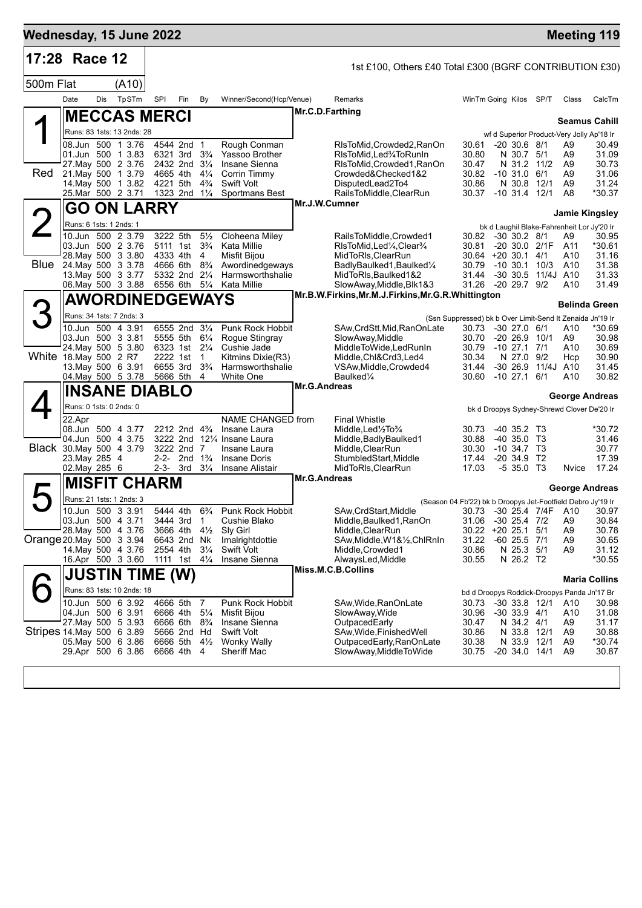| Wednesday, 15 June 2022   |                                                                                                                                    |     |       |                                              |                                                                                                                  |                                                                      |                                                                                                             |                     |                                                                                                                                                                                                               |                                                                                                                                                 |                                                                                                    |                                                          |                                                                                                                                   | <b>Meeting 119</b>                                  |
|---------------------------|------------------------------------------------------------------------------------------------------------------------------------|-----|-------|----------------------------------------------|------------------------------------------------------------------------------------------------------------------|----------------------------------------------------------------------|-------------------------------------------------------------------------------------------------------------|---------------------|---------------------------------------------------------------------------------------------------------------------------------------------------------------------------------------------------------------|-------------------------------------------------------------------------------------------------------------------------------------------------|----------------------------------------------------------------------------------------------------|----------------------------------------------------------|-----------------------------------------------------------------------------------------------------------------------------------|-----------------------------------------------------|
| 17:28 Race 12             |                                                                                                                                    |     |       |                                              |                                                                                                                  |                                                                      |                                                                                                             |                     | 1st £100, Others £40 Total £300 (BGRF CONTRIBUTION £30)                                                                                                                                                       |                                                                                                                                                 |                                                                                                    |                                                          |                                                                                                                                   |                                                     |
| 500m Flat                 |                                                                                                                                    |     | (A10) |                                              |                                                                                                                  |                                                                      |                                                                                                             |                     |                                                                                                                                                                                                               |                                                                                                                                                 |                                                                                                    |                                                          |                                                                                                                                   |                                                     |
|                           | Date                                                                                                                               | Dis | TpSTm | SPI                                          | Fin                                                                                                              | By                                                                   | Winner/Second(Hcp/Venue)                                                                                    |                     | Remarks                                                                                                                                                                                                       | WinTm Going Kilos SP/T                                                                                                                          |                                                                                                    |                                                          | Class                                                                                                                             | CalcTm                                              |
|                           | <b>MECCAS MERCI</b>                                                                                                                |     |       |                                              |                                                                                                                  |                                                                      |                                                                                                             |                     | Mr.C.D.Farthing                                                                                                                                                                                               |                                                                                                                                                 |                                                                                                    |                                                          |                                                                                                                                   | <b>Seamus Cahill</b>                                |
|                           | Runs: 83 1sts: 13 2nds: 28                                                                                                         |     |       |                                              |                                                                                                                  |                                                                      |                                                                                                             |                     |                                                                                                                                                                                                               |                                                                                                                                                 |                                                                                                    |                                                          | wf d Superior Product-Very Jolly Ap'18 Ir                                                                                         |                                                     |
| Red                       | 08.Jun 500 1 3.76<br>01.Jun 500 1 3.83<br>27 May 500 2 3.76<br>21. May 500 1 3.79                                                  |     |       | 4665 4th                                     | 4544 2nd 1<br>6321 3rd 3 <sup>3</sup> / <sub>4</sub><br>2432 2nd 31/4                                            | $4\frac{1}{4}$                                                       | Rough Conman<br>Yassoo Brother<br>Insane Sienna<br>Corrin Timmy                                             |                     | RIsToMid, Crowded 2, RanOn<br>RIsToMid, Led34ToRunIn<br>RIsToMid, Crowded1, RanOn<br>Crowded&Checked1&2                                                                                                       | 30.61<br>30.80<br>30.47<br>30.82                                                                                                                | $-20, 30.6, 8/1$<br>N 30.7 5/1<br>N 31.2 11/2<br>$-10, 31.0, 6/1$                                  |                                                          | A9<br>A9<br>A <sub>9</sub><br>A9                                                                                                  | 30.49<br>31.09<br>30.73<br>31.06                    |
|                           | 14. May 500 1 3.82<br>25.Mar 500 2 3.71                                                                                            |     |       | 4221 5th                                     | 1323 2nd 11/4                                                                                                    | $4\frac{3}{4}$                                                       | <b>Swift Volt</b><br>Sportmans Best                                                                         |                     | DisputedLead2To4<br>RailsToMiddle,ClearRun                                                                                                                                                                    | 30.86<br>30.37 -10 31.4 12/1                                                                                                                    | N 30.8                                                                                             | 12/1                                                     | A <sub>9</sub><br>A8                                                                                                              | 31.24<br>*30.37                                     |
|                           | GO                                                                                                                                 |     |       | <b>ON LARRY</b>                              |                                                                                                                  |                                                                      |                                                                                                             |                     | Mr.J.W.Cumner                                                                                                                                                                                                 |                                                                                                                                                 |                                                                                                    |                                                          |                                                                                                                                   | <b>Jamie Kingsley</b>                               |
|                           | Runs: 6 1sts: 1 2nds: 1                                                                                                            |     |       |                                              |                                                                                                                  |                                                                      |                                                                                                             |                     |                                                                                                                                                                                                               |                                                                                                                                                 |                                                                                                    |                                                          | bk d Laughil Blake-Fahrenheit Lor Jy'20 Ir                                                                                        |                                                     |
| Blue                      | 10.Jun 500 2 3.79<br>03.Jun 500 2 3.76<br>28. May 500 3 3.80<br>24. May 500 3 3.78<br>13 May 500 3 3.77<br>06. May 500 3 3.88      |     |       | 3222 5th<br>5111 1st<br>4333 4th             | 4666 6th 8 <sup>3</sup> / <sub>4</sub><br>5332 2nd 21/4<br>6556 6th 51/4                                         | $5\frac{1}{2}$<br>$3\frac{3}{4}$<br>4                                | Cloheena Miley<br>Kata Millie<br>Misfit Bijou<br>Awordinedgeways<br>Harmsworthshalie<br>Kata Millie         |                     | RailsToMiddle,Crowded1<br>RIsToMid, Led <sup>1</sup> / <sub>4</sub> , Clear <sup>3</sup> / <sub>4</sub><br>MidToRIs.ClearRun<br>BadlyBaulked1, Baulked1/4<br>MidToRIs, Baulked1&2<br>SlowAway, Middle, Blk1&3 | 30.82 -30 30.2 8/1<br>30.81<br>$30.64 + 20.30.1$ 4/1<br>30.79<br>31.44<br>31.26 -20 29.7 9/2                                                    |                                                                                                    | -20 30.0 2/1F<br>$-10, 30.1, 10/3$<br>-30 30.5 11/4J A10 | A9<br>A11<br>A10<br>A10<br>A10                                                                                                    | 30.95<br>*30.61<br>31.16<br>31.38<br>31.33<br>31.49 |
|                           | <b>AWORDINEDGEWAYS</b>                                                                                                             |     |       |                                              |                                                                                                                  |                                                                      |                                                                                                             |                     | Mr.B.W.Firkins, Mr.M.J.Firkins, Mr.G.R.Whittington                                                                                                                                                            |                                                                                                                                                 |                                                                                                    |                                                          |                                                                                                                                   | <b>Belinda Green</b>                                |
|                           | Runs: 34 1sts: 7 2nds: 3                                                                                                           |     |       |                                              |                                                                                                                  |                                                                      |                                                                                                             |                     |                                                                                                                                                                                                               | (Ssn Suppressed) bk b Over Limit-Send It Zenaida Jn'19 Ir                                                                                       |                                                                                                    |                                                          |                                                                                                                                   |                                                     |
| White 18. May 500 2 R7    | 10.Jun 500 4 3.91<br>03.Jun 500 3 3.81<br>24. May 500 5 3.80<br>13. May 500 6 3.91                                                 |     |       | 2222 1st<br>6655 3rd                         | 6555 2nd 31/4<br>5555 5th<br>6323 1st 21/4                                                                       | $6\frac{1}{4}$<br>$\overline{1}$<br>$3\frac{3}{4}$                   | Punk Rock Hobbit<br>Rogue Stingray<br>Cushie Jade<br>Kitmins Dixie(R3)<br>Harmsworthshalie                  |                     | SAw, CrdStt, Mid, RanOnLate<br>SlowAway, Middle<br>MiddleToWide,LedRunIn<br>Middle, Chl&Crd3, Led4<br>VSAw, Middle, Crowded4                                                                                  | 30.73<br>30.70<br>30.79<br>30.34<br>31.44                                                                                                       | $-30$ 27.0 $6/1$<br>$-20, 26.9$<br>$-1027.1$<br>N 27.0<br>$-30, 26.9$                              | 10/1<br>7/1<br>9/2<br>11/4J A10                          | A10<br>A9<br>A10<br>Hcp                                                                                                           | *30.69<br>30.98<br>30.69<br>30.90<br>31.45          |
|                           | 04. May 500 5 3.78                                                                                                                 |     |       | 5666 5th                                     |                                                                                                                  | $\overline{4}$                                                       | White One                                                                                                   | Mr.G.Andreas        | Baulked <sup>1/4</sup>                                                                                                                                                                                        | 30.60                                                                                                                                           | $-10$ 27.1 6/1                                                                                     |                                                          | A10                                                                                                                               | 30.82                                               |
|                           | <b>INSANE DIABLO</b>                                                                                                               |     |       |                                              |                                                                                                                  |                                                                      |                                                                                                             |                     |                                                                                                                                                                                                               |                                                                                                                                                 |                                                                                                    |                                                          |                                                                                                                                   | George Andreas                                      |
|                           | Runs: 0 1sts: 0 2nds: 0<br>22.Apr                                                                                                  |     |       |                                              |                                                                                                                  |                                                                      | NAME CHANGED from                                                                                           |                     | <b>Final Whistle</b>                                                                                                                                                                                          |                                                                                                                                                 |                                                                                                    |                                                          | bk d Droopys Sydney-Shrewd Clover De'20 Ir                                                                                        |                                                     |
| Black 30. May 500 4 3.79  | 08.Jun 500 4 3.77<br>04.Jun 500 4 3.75<br>23. May 285 4<br>02. May 285 6                                                           |     |       |                                              | 2212 2nd 4 <sup>3</sup> / <sub>4</sub><br>3222 2nd 7<br>2-2- 2nd $1\frac{3}{4}$<br>$2 - 3 - 3$ rd $3\frac{1}{4}$ |                                                                      | Insane Laura<br>3222 2nd 121/4 Insane Laura<br>Insane Laura<br>Insane Doris<br>Insane Alistair              | <b>Mr.G.Andreas</b> | Middle, Led <sup>1</sup> / <sub>2</sub> To <sup>3</sup> / <sub>4</sub><br>Middle, Badly Baulked 1<br>Middle, ClearRun<br>StumbledStart, Middle<br>MidToRIs, ClearRun                                          | 30.73<br>30.88<br>30.30<br>17.44<br>17.03                                                                                                       | $-40$ 35.2 T3<br>$-40,35.0$ T <sub>3</sub><br>$-10, 34.7, 13$<br>$-20, 34.9$<br>-5 35.0 T3         | T2                                                       | Nvice                                                                                                                             | *30.72<br>31.46<br>30.77<br>17.39<br>17.24          |
|                           | <b>MISFIT CHARM</b>                                                                                                                |     |       |                                              |                                                                                                                  |                                                                      |                                                                                                             |                     |                                                                                                                                                                                                               |                                                                                                                                                 |                                                                                                    |                                                          |                                                                                                                                   | George Andreas                                      |
| Orange 20 May 500 3 3 94  | Runs: 21 1sts: 1 2nds: 3<br>10.Jun 500 3 3.91<br>03.Jun 500 4 3.71<br>28. May 500 4 3.76<br>14 May 500 4 3.76<br>16.Apr 500 3 3.60 |     |       | 5444 4th<br>3444 3rd<br>3666 4th<br>2554 4th | 6643 2nd Nk<br>1111 1st 41/4                                                                                     | $6\frac{3}{4}$<br>$\overline{1}$<br>$4\frac{1}{2}$<br>$3\frac{1}{4}$ | Punk Rock Hobbit<br>Cushie Blako<br>Sly Girl<br>Imalrightdottie<br><b>Swift Volt</b><br>Insane Sienna       |                     | SAw, CrdStart, Middle<br>Middle, Baulked1, RanOn<br>Middle, ClearRun<br>SAw, Middle, W1&1/2, ChlRnIn<br>Middle, Crowded1<br>AlwaysLed, Middle                                                                 | (Season 04.Fb'22) bk b Droopys Jet-Footfield Debro Jy'19 Ir<br>30.73 -30 25.4 7/4F A10<br>31.06<br>$30.22 + 20 25.1$<br>31.22<br>30.86<br>30.55 | $-30$ 25.4 $7/2$<br>$-60$ 25.5 $7/1$<br>N 25.3 5/1<br>N 26.2 T2                                    | 5/1                                                      | A <sub>9</sub><br>A <sub>9</sub><br>A <sub>9</sub><br>A <sub>9</sub>                                                              | 30.97<br>30.84<br>30.78<br>30.65<br>31.12<br>*30.55 |
|                           | <b>JUSTIN TIME (W)</b>                                                                                                             |     |       |                                              |                                                                                                                  |                                                                      |                                                                                                             |                     | Miss.M.C.B.Collins                                                                                                                                                                                            |                                                                                                                                                 |                                                                                                    |                                                          |                                                                                                                                   |                                                     |
|                           | Runs: 83 1sts: 10 2nds: 18                                                                                                         |     |       |                                              |                                                                                                                  |                                                                      |                                                                                                             |                     |                                                                                                                                                                                                               |                                                                                                                                                 |                                                                                                    |                                                          |                                                                                                                                   | <b>Maria Collins</b>                                |
| Stripes 14 May 500 6 3.89 | 10.Jun 500 6 3.92<br>04.Jun 500 6 3.91<br>27 May 500 5 3.93<br>05. May 500 6 3.86<br>29.Apr 500 6 3.86                             |     |       | 6666 4th<br>6666 6th<br>6666 5th<br>6666 4th | 4666 5th 7<br>5666 2nd Hd                                                                                        | $5\frac{1}{4}$<br>$8\frac{3}{4}$<br>$4\frac{1}{2}$<br>-4             | Punk Rock Hobbit<br>Misfit Bijou<br>Insane Sienna<br><b>Swift Volt</b><br><b>Wonky Wally</b><br>Sheriff Mac |                     | SAw, Wide, RanOnLate<br>SlowAway, Wide<br>OutpacedEarly<br>SAw, Wide, Finished Well<br>OutpacedEarly, RanOnLate<br>SlowAway, MiddleToWide                                                                     | 30.73<br>30.96<br>30.47<br>30.86<br>30.38<br>30.75                                                                                              | $-30$ 33.8 12/1<br>$-30$ 33.9 $4/1$<br>N 34.2 4/1<br>N 33.8 12/1<br>N 33.9 12/1<br>$-20$ 34.0 14/1 |                                                          | bd d Droopys Roddick-Droopys Panda Jn'17 Br<br>A10<br>A10<br>A <sub>9</sub><br>A <sub>9</sub><br>A <sub>9</sub><br>A <sub>9</sub> | 30.98<br>31.08<br>31.17<br>30.88<br>*30.74<br>30.87 |
|                           |                                                                                                                                    |     |       |                                              |                                                                                                                  |                                                                      |                                                                                                             |                     |                                                                                                                                                                                                               |                                                                                                                                                 |                                                                                                    |                                                          |                                                                                                                                   |                                                     |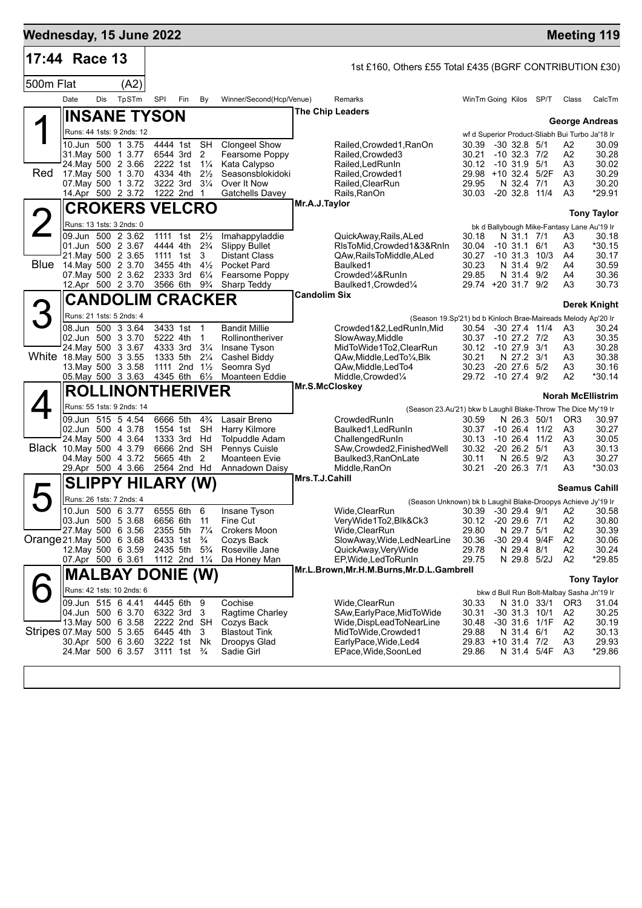| 17:44 Race 13<br>1st £160, Others £55 Total £435 (BGRF CONTRIBUTION £30)<br>500m Flat<br>(A2)<br>TpSTm<br>Date<br>Dis<br><b>SPI</b><br>Fin<br>By<br>Winner/Second(Hcp/Venue)<br>WinTm Going Kilos SP/T<br>Remarks<br>Class<br>The Chip Leaders<br>∥INSANE TYSON<br><b>George Andreas</b><br>Runs: 44 1sts: 9 2nds: 12<br>wf d Superior Product-Sliabh Bui Turbo Ja'18 Ir<br>10.Jun 500 1 3.75<br>4444 1st SH<br><b>Clongeel Show</b><br>30.39<br>-30 32.8 5/1<br>Railed, Crowded 1, RanOn<br>A2<br>31 May 500 1 3.77<br>6544 3rd<br>2<br>Fearsome Poppy<br>Railed, Crowded 3<br>30.21<br>$-10$ 32.3 $7/2$<br>A2<br>24. May 500 2 3.66<br>2222 1st 11/4<br>Kata Calypso<br>Railed, Led Run In<br>30.12<br>$-10$ 31.9 $5/1$<br>A3<br>30.02<br>Red<br>17 May 500 1 3.70<br>4334 4th<br>$2\frac{1}{2}$<br>Seasonsblokidoki<br>Railed, Crowded1<br>29.98 +10 32.4 5/2F<br>A <sub>3</sub><br>07. May 500 1 3.72<br>3222 3rd<br>$3\frac{1}{4}$<br>Over It Now<br>Railed, ClearRun<br>29.95<br>N 32.4<br>A3<br>7/1<br>*29.91<br>14.Apr 500 2 3.72<br>1222 2nd 1<br><b>Gatchells Davey</b><br>Rails, RanOn<br>30.03 -20 32.8 11/4<br>A <sub>3</sub><br>Mr.A.J.Taylor<br><b>CROKERS VELCRO</b><br>2<br><b>Tony Taylor</b><br>Runs: 13 1sts: 3 2nds: 0<br>bk d Ballybough Mike-Fantasy Lane Au'19 Ir<br>09.Jun 500 2 3.62<br>1111 1st<br>$2\frac{1}{2}$<br>Imahappyladdie<br>QuickAway, Rails, ALed<br>30.18<br>30.18<br>N 31.1 7/1<br>A3<br>01.Jun 500 2 3.67<br>4444 4th<br>$2\frac{3}{4}$<br><b>Slippy Bullet</b><br>RIsToMid, Crowded1&3&RnIn<br>30.04<br>$-10$ 31.1 6/1<br>A3<br>21. May 500 2 3.65<br>1111 1st<br>3<br><b>Distant Class</b><br>QAw, Rails To Middle, ALed<br>30.27<br>$-10$ 31.3 $10/3$<br>A4<br>Blue<br>14. May 500 2 3.70<br>30.23<br>3455 4th<br>$4\frac{1}{2}$<br>Pocket Pard<br>Baulked1<br>N 31.4 9/2<br>30.59<br>A4<br>07. May 500 2 3.62<br>29.85<br>30.36<br>2333 3rd<br>$6\frac{1}{4}$<br>Fearsome Poppy<br>Crowded1/4&RunIn<br>N 31.4 9/2<br>A4<br>12.Apr 500 2 3.70<br>29.74 +20 31.7 9/2<br>3566 6th 9 <sup>3</sup> / <sub>4</sub><br>Sharp Teddy<br>Baulked1, Crowded1/4<br>A3<br>Candolim Six<br><b>CANDOLIM CRACKER</b><br>З<br>Derek Knight<br>Runs: 21 1sts: 5 2nds: 4<br>(Season 19.Sp'21) bd b Kinloch Brae-Maireads Melody Ap'20 Ir<br>3433 1st<br><b>Bandit Millie</b><br>08.Jun 500 3 3.64<br>$\mathbf{1}$<br>Crowded1&2,LedRunIn,Mid<br>30.54<br>$-30$ 27.4 11/4<br>A3<br>02.Jun 500 3 3.70<br>5222 4th<br>$\mathbf{1}$<br>Rollinontheriver<br>30.37<br>$-10$ 27.2 $7/2$<br>A3<br>30.35<br>SlowAway, Middle<br>24. May 500 3 3.67<br>4333 3rd<br>$3\frac{1}{4}$<br>Insane Tyson<br>MidToWide1To2, ClearRun<br>30.12 -10 27.9 3/1<br>A3<br>30.28<br>White 18. May 500 3 3.55<br>30.21<br>N 27.2 3/1<br>1333 5th<br>$2\frac{1}{4}$<br>A3<br>Cashel Biddy<br>QAw,Middle,LedTo¼,Blk<br>$-20\,27.6$<br>13 May 500 3 3.58<br>1111 2nd $1\frac{1}{2}$<br>Seomra Syd<br>30.23<br>5/2<br>A3<br>QAw, Middle, Led To 4<br>05. May 500 3 3.63<br>29.72 -10 27.4<br>*30.14<br>4345 6th<br>$6\frac{1}{2}$<br>Moanteen Eddie<br>Middle, Crowded <sup>1/4</sup><br>9/2<br>A2<br>Mr.S.McCloskey<br><b>ROLLINONTHERIVER</b><br><b>Norah McEllistrim</b><br>Runs: 55 1sts: 9 2nds: 14<br>(Season 23.Au'21) bkw b Laughil Blake-Throw The Dice My'19 Ir<br>6666 5th<br>Lasair Breno<br>09.Jun 515 5 4.54<br>$4\frac{3}{4}$<br>CrowdedRunIn<br>30.59<br>N 26.3 50/1<br>OR <sub>3</sub><br>30.97<br>02.Jun 500 4 3.78<br>1554 1st SH<br>Harry Kilmore<br>Baulked1, Led RunIn<br>30.37 -10 26.4 11/2<br>A3<br>24. May 500 4 3.64<br>1333 3rd Hd<br><b>Tolpuddle Adam</b><br>ChallengedRunIn<br>30.13<br>$-10$ 26.4 $11/2$<br>A3<br>Black 10. May 500 4 3.79<br>6666 2nd SH<br>$-20$ 26.2 $5/1$<br>Pennys Cuisle<br>SAw, Crowded 2, Finished Well<br>30.32<br>A3<br>30.13<br>5665 4th<br>2<br>N 26.5 9/2<br>04 May 500 4 3.72<br>Moanteen Evie<br>Baulked3,RanOnLate<br>30.11<br>A3<br>29.Apr 500 4 3.66<br>2564 2nd Hd<br>Annadown Daisy<br>30.21<br>$-20$ 26.3 $7/1$<br>Middle, RanOn<br>A3<br>Mrs.T.J.Cahill<br><b>SLIPPY</b><br><b>HILARY</b><br>(W)<br><b>Seamus Cahill</b><br>$\blacktriangleright$<br>Runs: 26 1sts: 7 2nds: 4<br>(Season Unknown) bk b Laughil Blake-Droopys Achieve Jy'19 Ir<br>10.Jun 500 6 3.77<br>6555 6th<br>Wide, ClearRun<br>30.39 -30 29.4 9/1 A2<br>Insane Tyson<br>6<br>03.Jun 500 5 3.68<br>6656 6th<br>$-11$<br>Fine Cut<br>VeryWide1To2,Blk&Ck3<br>$-20$ 29.6 $7/1$<br>A <sub>2</sub><br>30.80<br>30.12<br>27 May 500 6 3.56<br>2355 5th<br>$7\frac{1}{4}$<br><b>Crokers Moon</b><br>Wide, ClearRun<br>29.80<br>N 29.7 5/1<br>A <sub>2</sub><br>30.39<br>Orange 21 May 500 6 3.68<br>6433 1st<br>$\frac{3}{4}$<br>SlowAway, Wide, LedNearLine<br>30.36<br>-30 29.4 9/4F<br>A2<br>Cozys Back<br>12. May 500 6 3.59<br>2435 5th<br>QuickAway, VeryWide<br>29.78<br>A <sub>2</sub><br>$5\frac{3}{4}$<br>Roseville Jane<br>N 29.4 8/1<br>07.Apr 500 6 3.61<br>1112 2nd 11/4<br>EP, Wide, Led To Run In<br>29.75<br>N 29.8 5/2J<br>A2<br>*29.85<br>Da Honey Man<br>Mr.L.Brown, Mr.H.M.Burns, Mr.D.L.Gambrell<br><b>MALBAY DONIE (W)</b><br><b>Tony Taylor</b><br>Runs: 42 1sts: 10 2nds: 6<br>bkw d Bull Run Bolt-Malbay Sasha Jn'19 Ir<br>09.Jun 515 6 4.41<br>4445 6th<br>Wide, ClearRun<br>N 31.0 33/1<br>9<br>Cochise<br>30.33<br>OR <sub>3</sub><br>31.04<br>04.Jun 500 6 3.70<br>6322 3rd<br>3<br>30.31<br>A2<br>Ragtime Charley<br>SAw, Early Pace, Mid To Wide<br>$-30$ 31.3 10/1<br>13 May 500 6 3.58<br>2222 2nd SH<br>30.48<br>-30 31.6 1/1F<br>A2<br>Cozys Back<br>Wide, DispLead To Near Line<br>Stripes 07 May 500 5 3.65<br>MidToWide, Crowded1<br>29.88<br>A <sub>2</sub><br>30.13<br>6445 4th<br><b>Blastout Tink</b><br>N 31.4 6/1<br>3<br>30.Apr 500 6 3.60<br>3222 1st Nk<br>29.83<br>+10 31.4 7/2<br>A <sub>3</sub><br>Droopys Glad<br>EarlyPace, Wide, Led4<br>24.Mar 500 6 3.57<br>A <sub>3</sub><br>3111 1st<br>$\frac{3}{4}$<br>Sadie Girl<br>EPace, Wide, SoonLed<br>29.86<br>N 31.4 5/4F | Wednesday, 15 June 2022 |  |  |  |  |  |  |  | <b>Meeting 119</b> |
|----------------------------------------------------------------------------------------------------------------------------------------------------------------------------------------------------------------------------------------------------------------------------------------------------------------------------------------------------------------------------------------------------------------------------------------------------------------------------------------------------------------------------------------------------------------------------------------------------------------------------------------------------------------------------------------------------------------------------------------------------------------------------------------------------------------------------------------------------------------------------------------------------------------------------------------------------------------------------------------------------------------------------------------------------------------------------------------------------------------------------------------------------------------------------------------------------------------------------------------------------------------------------------------------------------------------------------------------------------------------------------------------------------------------------------------------------------------------------------------------------------------------------------------------------------------------------------------------------------------------------------------------------------------------------------------------------------------------------------------------------------------------------------------------------------------------------------------------------------------------------------------------------------------------------------------------------------------------------------------------------------------------------------------------------------------------------------------------------------------------------------------------------------------------------------------------------------------------------------------------------------------------------------------------------------------------------------------------------------------------------------------------------------------------------------------------------------------------------------------------------------------------------------------------------------------------------------------------------------------------------------------------------------------------------------------------------------------------------------------------------------------------------------------------------------------------------------------------------------------------------------------------------------------------------------------------------------------------------------------------------------------------------------------------------------------------------------------------------------------------------------------------------------------------------------------------------------------------------------------------------------------------------------------------------------------------------------------------------------------------------------------------------------------------------------------------------------------------------------------------------------------------------------------------------------------------------------------------------------------------------------------------------------------------------------------------------------------------------------------------------------------------------------------------------------------------------------------------------------------------------------------------------------------------------------------------------------------------------------------------------------------------------------------------------------------------------------------------------------------------------------------------------------------------------------------------------------------------------------------------------------------------------------------------------------------------------------------------------------------------------------------------------------------------------------------------------------------------------------------------------------------------------------------------------------------------------------------------------------------------------------------------------------------------------------------------------------------------------------------------------------------------------------------------------------------------------------------------------------------------------------------------------------------------------------------------------------------------------------------------------------------------------------------------------------------------------------------------------------------------------------------------------------------------------------------------------------------------------------------------------------------------------------------------------------------------------------------------------------------------------------------------------------------------------------------------------------------------------------------------------------------------------------------------------------------------------------------------------------------------------------------------------------------------------------------------------------------------------------------------------------------------------------------------------------------------------------------------------------------------------------------------------------------------------------------------------------------|-------------------------|--|--|--|--|--|--|--|--------------------|
|                                                                                                                                                                                                                                                                                                                                                                                                                                                                                                                                                                                                                                                                                                                                                                                                                                                                                                                                                                                                                                                                                                                                                                                                                                                                                                                                                                                                                                                                                                                                                                                                                                                                                                                                                                                                                                                                                                                                                                                                                                                                                                                                                                                                                                                                                                                                                                                                                                                                                                                                                                                                                                                                                                                                                                                                                                                                                                                                                                                                                                                                                                                                                                                                                                                                                                                                                                                                                                                                                                                                                                                                                                                                                                                                                                                                                                                                                                                                                                                                                                                                                                                                                                                                                                                                                                                                                                                                                                                                                                                                                                                                                                                                                                                                                                                                                                                                                                                                                                                                                                                                                                                                                                                                                                                                                                                                                                                                                                                                                                                                                                                                                                                                                                                                                                                                                                                                                                                                                                |                         |  |  |  |  |  |  |  |                    |
|                                                                                                                                                                                                                                                                                                                                                                                                                                                                                                                                                                                                                                                                                                                                                                                                                                                                                                                                                                                                                                                                                                                                                                                                                                                                                                                                                                                                                                                                                                                                                                                                                                                                                                                                                                                                                                                                                                                                                                                                                                                                                                                                                                                                                                                                                                                                                                                                                                                                                                                                                                                                                                                                                                                                                                                                                                                                                                                                                                                                                                                                                                                                                                                                                                                                                                                                                                                                                                                                                                                                                                                                                                                                                                                                                                                                                                                                                                                                                                                                                                                                                                                                                                                                                                                                                                                                                                                                                                                                                                                                                                                                                                                                                                                                                                                                                                                                                                                                                                                                                                                                                                                                                                                                                                                                                                                                                                                                                                                                                                                                                                                                                                                                                                                                                                                                                                                                                                                                                                |                         |  |  |  |  |  |  |  |                    |
|                                                                                                                                                                                                                                                                                                                                                                                                                                                                                                                                                                                                                                                                                                                                                                                                                                                                                                                                                                                                                                                                                                                                                                                                                                                                                                                                                                                                                                                                                                                                                                                                                                                                                                                                                                                                                                                                                                                                                                                                                                                                                                                                                                                                                                                                                                                                                                                                                                                                                                                                                                                                                                                                                                                                                                                                                                                                                                                                                                                                                                                                                                                                                                                                                                                                                                                                                                                                                                                                                                                                                                                                                                                                                                                                                                                                                                                                                                                                                                                                                                                                                                                                                                                                                                                                                                                                                                                                                                                                                                                                                                                                                                                                                                                                                                                                                                                                                                                                                                                                                                                                                                                                                                                                                                                                                                                                                                                                                                                                                                                                                                                                                                                                                                                                                                                                                                                                                                                                                                |                         |  |  |  |  |  |  |  | CalcTm             |
|                                                                                                                                                                                                                                                                                                                                                                                                                                                                                                                                                                                                                                                                                                                                                                                                                                                                                                                                                                                                                                                                                                                                                                                                                                                                                                                                                                                                                                                                                                                                                                                                                                                                                                                                                                                                                                                                                                                                                                                                                                                                                                                                                                                                                                                                                                                                                                                                                                                                                                                                                                                                                                                                                                                                                                                                                                                                                                                                                                                                                                                                                                                                                                                                                                                                                                                                                                                                                                                                                                                                                                                                                                                                                                                                                                                                                                                                                                                                                                                                                                                                                                                                                                                                                                                                                                                                                                                                                                                                                                                                                                                                                                                                                                                                                                                                                                                                                                                                                                                                                                                                                                                                                                                                                                                                                                                                                                                                                                                                                                                                                                                                                                                                                                                                                                                                                                                                                                                                                                |                         |  |  |  |  |  |  |  |                    |
|                                                                                                                                                                                                                                                                                                                                                                                                                                                                                                                                                                                                                                                                                                                                                                                                                                                                                                                                                                                                                                                                                                                                                                                                                                                                                                                                                                                                                                                                                                                                                                                                                                                                                                                                                                                                                                                                                                                                                                                                                                                                                                                                                                                                                                                                                                                                                                                                                                                                                                                                                                                                                                                                                                                                                                                                                                                                                                                                                                                                                                                                                                                                                                                                                                                                                                                                                                                                                                                                                                                                                                                                                                                                                                                                                                                                                                                                                                                                                                                                                                                                                                                                                                                                                                                                                                                                                                                                                                                                                                                                                                                                                                                                                                                                                                                                                                                                                                                                                                                                                                                                                                                                                                                                                                                                                                                                                                                                                                                                                                                                                                                                                                                                                                                                                                                                                                                                                                                                                                |                         |  |  |  |  |  |  |  |                    |
|                                                                                                                                                                                                                                                                                                                                                                                                                                                                                                                                                                                                                                                                                                                                                                                                                                                                                                                                                                                                                                                                                                                                                                                                                                                                                                                                                                                                                                                                                                                                                                                                                                                                                                                                                                                                                                                                                                                                                                                                                                                                                                                                                                                                                                                                                                                                                                                                                                                                                                                                                                                                                                                                                                                                                                                                                                                                                                                                                                                                                                                                                                                                                                                                                                                                                                                                                                                                                                                                                                                                                                                                                                                                                                                                                                                                                                                                                                                                                                                                                                                                                                                                                                                                                                                                                                                                                                                                                                                                                                                                                                                                                                                                                                                                                                                                                                                                                                                                                                                                                                                                                                                                                                                                                                                                                                                                                                                                                                                                                                                                                                                                                                                                                                                                                                                                                                                                                                                                                                |                         |  |  |  |  |  |  |  | 30.09              |
|                                                                                                                                                                                                                                                                                                                                                                                                                                                                                                                                                                                                                                                                                                                                                                                                                                                                                                                                                                                                                                                                                                                                                                                                                                                                                                                                                                                                                                                                                                                                                                                                                                                                                                                                                                                                                                                                                                                                                                                                                                                                                                                                                                                                                                                                                                                                                                                                                                                                                                                                                                                                                                                                                                                                                                                                                                                                                                                                                                                                                                                                                                                                                                                                                                                                                                                                                                                                                                                                                                                                                                                                                                                                                                                                                                                                                                                                                                                                                                                                                                                                                                                                                                                                                                                                                                                                                                                                                                                                                                                                                                                                                                                                                                                                                                                                                                                                                                                                                                                                                                                                                                                                                                                                                                                                                                                                                                                                                                                                                                                                                                                                                                                                                                                                                                                                                                                                                                                                                                |                         |  |  |  |  |  |  |  | 30.28              |
|                                                                                                                                                                                                                                                                                                                                                                                                                                                                                                                                                                                                                                                                                                                                                                                                                                                                                                                                                                                                                                                                                                                                                                                                                                                                                                                                                                                                                                                                                                                                                                                                                                                                                                                                                                                                                                                                                                                                                                                                                                                                                                                                                                                                                                                                                                                                                                                                                                                                                                                                                                                                                                                                                                                                                                                                                                                                                                                                                                                                                                                                                                                                                                                                                                                                                                                                                                                                                                                                                                                                                                                                                                                                                                                                                                                                                                                                                                                                                                                                                                                                                                                                                                                                                                                                                                                                                                                                                                                                                                                                                                                                                                                                                                                                                                                                                                                                                                                                                                                                                                                                                                                                                                                                                                                                                                                                                                                                                                                                                                                                                                                                                                                                                                                                                                                                                                                                                                                                                                |                         |  |  |  |  |  |  |  | 30.29              |
|                                                                                                                                                                                                                                                                                                                                                                                                                                                                                                                                                                                                                                                                                                                                                                                                                                                                                                                                                                                                                                                                                                                                                                                                                                                                                                                                                                                                                                                                                                                                                                                                                                                                                                                                                                                                                                                                                                                                                                                                                                                                                                                                                                                                                                                                                                                                                                                                                                                                                                                                                                                                                                                                                                                                                                                                                                                                                                                                                                                                                                                                                                                                                                                                                                                                                                                                                                                                                                                                                                                                                                                                                                                                                                                                                                                                                                                                                                                                                                                                                                                                                                                                                                                                                                                                                                                                                                                                                                                                                                                                                                                                                                                                                                                                                                                                                                                                                                                                                                                                                                                                                                                                                                                                                                                                                                                                                                                                                                                                                                                                                                                                                                                                                                                                                                                                                                                                                                                                                                |                         |  |  |  |  |  |  |  | 30.20              |
|                                                                                                                                                                                                                                                                                                                                                                                                                                                                                                                                                                                                                                                                                                                                                                                                                                                                                                                                                                                                                                                                                                                                                                                                                                                                                                                                                                                                                                                                                                                                                                                                                                                                                                                                                                                                                                                                                                                                                                                                                                                                                                                                                                                                                                                                                                                                                                                                                                                                                                                                                                                                                                                                                                                                                                                                                                                                                                                                                                                                                                                                                                                                                                                                                                                                                                                                                                                                                                                                                                                                                                                                                                                                                                                                                                                                                                                                                                                                                                                                                                                                                                                                                                                                                                                                                                                                                                                                                                                                                                                                                                                                                                                                                                                                                                                                                                                                                                                                                                                                                                                                                                                                                                                                                                                                                                                                                                                                                                                                                                                                                                                                                                                                                                                                                                                                                                                                                                                                                                |                         |  |  |  |  |  |  |  |                    |
|                                                                                                                                                                                                                                                                                                                                                                                                                                                                                                                                                                                                                                                                                                                                                                                                                                                                                                                                                                                                                                                                                                                                                                                                                                                                                                                                                                                                                                                                                                                                                                                                                                                                                                                                                                                                                                                                                                                                                                                                                                                                                                                                                                                                                                                                                                                                                                                                                                                                                                                                                                                                                                                                                                                                                                                                                                                                                                                                                                                                                                                                                                                                                                                                                                                                                                                                                                                                                                                                                                                                                                                                                                                                                                                                                                                                                                                                                                                                                                                                                                                                                                                                                                                                                                                                                                                                                                                                                                                                                                                                                                                                                                                                                                                                                                                                                                                                                                                                                                                                                                                                                                                                                                                                                                                                                                                                                                                                                                                                                                                                                                                                                                                                                                                                                                                                                                                                                                                                                                |                         |  |  |  |  |  |  |  |                    |
|                                                                                                                                                                                                                                                                                                                                                                                                                                                                                                                                                                                                                                                                                                                                                                                                                                                                                                                                                                                                                                                                                                                                                                                                                                                                                                                                                                                                                                                                                                                                                                                                                                                                                                                                                                                                                                                                                                                                                                                                                                                                                                                                                                                                                                                                                                                                                                                                                                                                                                                                                                                                                                                                                                                                                                                                                                                                                                                                                                                                                                                                                                                                                                                                                                                                                                                                                                                                                                                                                                                                                                                                                                                                                                                                                                                                                                                                                                                                                                                                                                                                                                                                                                                                                                                                                                                                                                                                                                                                                                                                                                                                                                                                                                                                                                                                                                                                                                                                                                                                                                                                                                                                                                                                                                                                                                                                                                                                                                                                                                                                                                                                                                                                                                                                                                                                                                                                                                                                                                |                         |  |  |  |  |  |  |  |                    |
|                                                                                                                                                                                                                                                                                                                                                                                                                                                                                                                                                                                                                                                                                                                                                                                                                                                                                                                                                                                                                                                                                                                                                                                                                                                                                                                                                                                                                                                                                                                                                                                                                                                                                                                                                                                                                                                                                                                                                                                                                                                                                                                                                                                                                                                                                                                                                                                                                                                                                                                                                                                                                                                                                                                                                                                                                                                                                                                                                                                                                                                                                                                                                                                                                                                                                                                                                                                                                                                                                                                                                                                                                                                                                                                                                                                                                                                                                                                                                                                                                                                                                                                                                                                                                                                                                                                                                                                                                                                                                                                                                                                                                                                                                                                                                                                                                                                                                                                                                                                                                                                                                                                                                                                                                                                                                                                                                                                                                                                                                                                                                                                                                                                                                                                                                                                                                                                                                                                                                                |                         |  |  |  |  |  |  |  | *30.15             |
|                                                                                                                                                                                                                                                                                                                                                                                                                                                                                                                                                                                                                                                                                                                                                                                                                                                                                                                                                                                                                                                                                                                                                                                                                                                                                                                                                                                                                                                                                                                                                                                                                                                                                                                                                                                                                                                                                                                                                                                                                                                                                                                                                                                                                                                                                                                                                                                                                                                                                                                                                                                                                                                                                                                                                                                                                                                                                                                                                                                                                                                                                                                                                                                                                                                                                                                                                                                                                                                                                                                                                                                                                                                                                                                                                                                                                                                                                                                                                                                                                                                                                                                                                                                                                                                                                                                                                                                                                                                                                                                                                                                                                                                                                                                                                                                                                                                                                                                                                                                                                                                                                                                                                                                                                                                                                                                                                                                                                                                                                                                                                                                                                                                                                                                                                                                                                                                                                                                                                                |                         |  |  |  |  |  |  |  | 30.17              |
|                                                                                                                                                                                                                                                                                                                                                                                                                                                                                                                                                                                                                                                                                                                                                                                                                                                                                                                                                                                                                                                                                                                                                                                                                                                                                                                                                                                                                                                                                                                                                                                                                                                                                                                                                                                                                                                                                                                                                                                                                                                                                                                                                                                                                                                                                                                                                                                                                                                                                                                                                                                                                                                                                                                                                                                                                                                                                                                                                                                                                                                                                                                                                                                                                                                                                                                                                                                                                                                                                                                                                                                                                                                                                                                                                                                                                                                                                                                                                                                                                                                                                                                                                                                                                                                                                                                                                                                                                                                                                                                                                                                                                                                                                                                                                                                                                                                                                                                                                                                                                                                                                                                                                                                                                                                                                                                                                                                                                                                                                                                                                                                                                                                                                                                                                                                                                                                                                                                                                                |                         |  |  |  |  |  |  |  |                    |
|                                                                                                                                                                                                                                                                                                                                                                                                                                                                                                                                                                                                                                                                                                                                                                                                                                                                                                                                                                                                                                                                                                                                                                                                                                                                                                                                                                                                                                                                                                                                                                                                                                                                                                                                                                                                                                                                                                                                                                                                                                                                                                                                                                                                                                                                                                                                                                                                                                                                                                                                                                                                                                                                                                                                                                                                                                                                                                                                                                                                                                                                                                                                                                                                                                                                                                                                                                                                                                                                                                                                                                                                                                                                                                                                                                                                                                                                                                                                                                                                                                                                                                                                                                                                                                                                                                                                                                                                                                                                                                                                                                                                                                                                                                                                                                                                                                                                                                                                                                                                                                                                                                                                                                                                                                                                                                                                                                                                                                                                                                                                                                                                                                                                                                                                                                                                                                                                                                                                                                |                         |  |  |  |  |  |  |  | 30.73              |
|                                                                                                                                                                                                                                                                                                                                                                                                                                                                                                                                                                                                                                                                                                                                                                                                                                                                                                                                                                                                                                                                                                                                                                                                                                                                                                                                                                                                                                                                                                                                                                                                                                                                                                                                                                                                                                                                                                                                                                                                                                                                                                                                                                                                                                                                                                                                                                                                                                                                                                                                                                                                                                                                                                                                                                                                                                                                                                                                                                                                                                                                                                                                                                                                                                                                                                                                                                                                                                                                                                                                                                                                                                                                                                                                                                                                                                                                                                                                                                                                                                                                                                                                                                                                                                                                                                                                                                                                                                                                                                                                                                                                                                                                                                                                                                                                                                                                                                                                                                                                                                                                                                                                                                                                                                                                                                                                                                                                                                                                                                                                                                                                                                                                                                                                                                                                                                                                                                                                                                |                         |  |  |  |  |  |  |  |                    |
|                                                                                                                                                                                                                                                                                                                                                                                                                                                                                                                                                                                                                                                                                                                                                                                                                                                                                                                                                                                                                                                                                                                                                                                                                                                                                                                                                                                                                                                                                                                                                                                                                                                                                                                                                                                                                                                                                                                                                                                                                                                                                                                                                                                                                                                                                                                                                                                                                                                                                                                                                                                                                                                                                                                                                                                                                                                                                                                                                                                                                                                                                                                                                                                                                                                                                                                                                                                                                                                                                                                                                                                                                                                                                                                                                                                                                                                                                                                                                                                                                                                                                                                                                                                                                                                                                                                                                                                                                                                                                                                                                                                                                                                                                                                                                                                                                                                                                                                                                                                                                                                                                                                                                                                                                                                                                                                                                                                                                                                                                                                                                                                                                                                                                                                                                                                                                                                                                                                                                                |                         |  |  |  |  |  |  |  |                    |
|                                                                                                                                                                                                                                                                                                                                                                                                                                                                                                                                                                                                                                                                                                                                                                                                                                                                                                                                                                                                                                                                                                                                                                                                                                                                                                                                                                                                                                                                                                                                                                                                                                                                                                                                                                                                                                                                                                                                                                                                                                                                                                                                                                                                                                                                                                                                                                                                                                                                                                                                                                                                                                                                                                                                                                                                                                                                                                                                                                                                                                                                                                                                                                                                                                                                                                                                                                                                                                                                                                                                                                                                                                                                                                                                                                                                                                                                                                                                                                                                                                                                                                                                                                                                                                                                                                                                                                                                                                                                                                                                                                                                                                                                                                                                                                                                                                                                                                                                                                                                                                                                                                                                                                                                                                                                                                                                                                                                                                                                                                                                                                                                                                                                                                                                                                                                                                                                                                                                                                |                         |  |  |  |  |  |  |  | 30.24              |
|                                                                                                                                                                                                                                                                                                                                                                                                                                                                                                                                                                                                                                                                                                                                                                                                                                                                                                                                                                                                                                                                                                                                                                                                                                                                                                                                                                                                                                                                                                                                                                                                                                                                                                                                                                                                                                                                                                                                                                                                                                                                                                                                                                                                                                                                                                                                                                                                                                                                                                                                                                                                                                                                                                                                                                                                                                                                                                                                                                                                                                                                                                                                                                                                                                                                                                                                                                                                                                                                                                                                                                                                                                                                                                                                                                                                                                                                                                                                                                                                                                                                                                                                                                                                                                                                                                                                                                                                                                                                                                                                                                                                                                                                                                                                                                                                                                                                                                                                                                                                                                                                                                                                                                                                                                                                                                                                                                                                                                                                                                                                                                                                                                                                                                                                                                                                                                                                                                                                                                |                         |  |  |  |  |  |  |  |                    |
|                                                                                                                                                                                                                                                                                                                                                                                                                                                                                                                                                                                                                                                                                                                                                                                                                                                                                                                                                                                                                                                                                                                                                                                                                                                                                                                                                                                                                                                                                                                                                                                                                                                                                                                                                                                                                                                                                                                                                                                                                                                                                                                                                                                                                                                                                                                                                                                                                                                                                                                                                                                                                                                                                                                                                                                                                                                                                                                                                                                                                                                                                                                                                                                                                                                                                                                                                                                                                                                                                                                                                                                                                                                                                                                                                                                                                                                                                                                                                                                                                                                                                                                                                                                                                                                                                                                                                                                                                                                                                                                                                                                                                                                                                                                                                                                                                                                                                                                                                                                                                                                                                                                                                                                                                                                                                                                                                                                                                                                                                                                                                                                                                                                                                                                                                                                                                                                                                                                                                                |                         |  |  |  |  |  |  |  | 30.38              |
|                                                                                                                                                                                                                                                                                                                                                                                                                                                                                                                                                                                                                                                                                                                                                                                                                                                                                                                                                                                                                                                                                                                                                                                                                                                                                                                                                                                                                                                                                                                                                                                                                                                                                                                                                                                                                                                                                                                                                                                                                                                                                                                                                                                                                                                                                                                                                                                                                                                                                                                                                                                                                                                                                                                                                                                                                                                                                                                                                                                                                                                                                                                                                                                                                                                                                                                                                                                                                                                                                                                                                                                                                                                                                                                                                                                                                                                                                                                                                                                                                                                                                                                                                                                                                                                                                                                                                                                                                                                                                                                                                                                                                                                                                                                                                                                                                                                                                                                                                                                                                                                                                                                                                                                                                                                                                                                                                                                                                                                                                                                                                                                                                                                                                                                                                                                                                                                                                                                                                                |                         |  |  |  |  |  |  |  | 30.16              |
|                                                                                                                                                                                                                                                                                                                                                                                                                                                                                                                                                                                                                                                                                                                                                                                                                                                                                                                                                                                                                                                                                                                                                                                                                                                                                                                                                                                                                                                                                                                                                                                                                                                                                                                                                                                                                                                                                                                                                                                                                                                                                                                                                                                                                                                                                                                                                                                                                                                                                                                                                                                                                                                                                                                                                                                                                                                                                                                                                                                                                                                                                                                                                                                                                                                                                                                                                                                                                                                                                                                                                                                                                                                                                                                                                                                                                                                                                                                                                                                                                                                                                                                                                                                                                                                                                                                                                                                                                                                                                                                                                                                                                                                                                                                                                                                                                                                                                                                                                                                                                                                                                                                                                                                                                                                                                                                                                                                                                                                                                                                                                                                                                                                                                                                                                                                                                                                                                                                                                                |                         |  |  |  |  |  |  |  |                    |
|                                                                                                                                                                                                                                                                                                                                                                                                                                                                                                                                                                                                                                                                                                                                                                                                                                                                                                                                                                                                                                                                                                                                                                                                                                                                                                                                                                                                                                                                                                                                                                                                                                                                                                                                                                                                                                                                                                                                                                                                                                                                                                                                                                                                                                                                                                                                                                                                                                                                                                                                                                                                                                                                                                                                                                                                                                                                                                                                                                                                                                                                                                                                                                                                                                                                                                                                                                                                                                                                                                                                                                                                                                                                                                                                                                                                                                                                                                                                                                                                                                                                                                                                                                                                                                                                                                                                                                                                                                                                                                                                                                                                                                                                                                                                                                                                                                                                                                                                                                                                                                                                                                                                                                                                                                                                                                                                                                                                                                                                                                                                                                                                                                                                                                                                                                                                                                                                                                                                                                |                         |  |  |  |  |  |  |  |                    |
|                                                                                                                                                                                                                                                                                                                                                                                                                                                                                                                                                                                                                                                                                                                                                                                                                                                                                                                                                                                                                                                                                                                                                                                                                                                                                                                                                                                                                                                                                                                                                                                                                                                                                                                                                                                                                                                                                                                                                                                                                                                                                                                                                                                                                                                                                                                                                                                                                                                                                                                                                                                                                                                                                                                                                                                                                                                                                                                                                                                                                                                                                                                                                                                                                                                                                                                                                                                                                                                                                                                                                                                                                                                                                                                                                                                                                                                                                                                                                                                                                                                                                                                                                                                                                                                                                                                                                                                                                                                                                                                                                                                                                                                                                                                                                                                                                                                                                                                                                                                                                                                                                                                                                                                                                                                                                                                                                                                                                                                                                                                                                                                                                                                                                                                                                                                                                                                                                                                                                                |                         |  |  |  |  |  |  |  |                    |
|                                                                                                                                                                                                                                                                                                                                                                                                                                                                                                                                                                                                                                                                                                                                                                                                                                                                                                                                                                                                                                                                                                                                                                                                                                                                                                                                                                                                                                                                                                                                                                                                                                                                                                                                                                                                                                                                                                                                                                                                                                                                                                                                                                                                                                                                                                                                                                                                                                                                                                                                                                                                                                                                                                                                                                                                                                                                                                                                                                                                                                                                                                                                                                                                                                                                                                                                                                                                                                                                                                                                                                                                                                                                                                                                                                                                                                                                                                                                                                                                                                                                                                                                                                                                                                                                                                                                                                                                                                                                                                                                                                                                                                                                                                                                                                                                                                                                                                                                                                                                                                                                                                                                                                                                                                                                                                                                                                                                                                                                                                                                                                                                                                                                                                                                                                                                                                                                                                                                                                |                         |  |  |  |  |  |  |  | 30.27              |
|                                                                                                                                                                                                                                                                                                                                                                                                                                                                                                                                                                                                                                                                                                                                                                                                                                                                                                                                                                                                                                                                                                                                                                                                                                                                                                                                                                                                                                                                                                                                                                                                                                                                                                                                                                                                                                                                                                                                                                                                                                                                                                                                                                                                                                                                                                                                                                                                                                                                                                                                                                                                                                                                                                                                                                                                                                                                                                                                                                                                                                                                                                                                                                                                                                                                                                                                                                                                                                                                                                                                                                                                                                                                                                                                                                                                                                                                                                                                                                                                                                                                                                                                                                                                                                                                                                                                                                                                                                                                                                                                                                                                                                                                                                                                                                                                                                                                                                                                                                                                                                                                                                                                                                                                                                                                                                                                                                                                                                                                                                                                                                                                                                                                                                                                                                                                                                                                                                                                                                |                         |  |  |  |  |  |  |  | 30.05              |
|                                                                                                                                                                                                                                                                                                                                                                                                                                                                                                                                                                                                                                                                                                                                                                                                                                                                                                                                                                                                                                                                                                                                                                                                                                                                                                                                                                                                                                                                                                                                                                                                                                                                                                                                                                                                                                                                                                                                                                                                                                                                                                                                                                                                                                                                                                                                                                                                                                                                                                                                                                                                                                                                                                                                                                                                                                                                                                                                                                                                                                                                                                                                                                                                                                                                                                                                                                                                                                                                                                                                                                                                                                                                                                                                                                                                                                                                                                                                                                                                                                                                                                                                                                                                                                                                                                                                                                                                                                                                                                                                                                                                                                                                                                                                                                                                                                                                                                                                                                                                                                                                                                                                                                                                                                                                                                                                                                                                                                                                                                                                                                                                                                                                                                                                                                                                                                                                                                                                                                |                         |  |  |  |  |  |  |  | 30.27              |
|                                                                                                                                                                                                                                                                                                                                                                                                                                                                                                                                                                                                                                                                                                                                                                                                                                                                                                                                                                                                                                                                                                                                                                                                                                                                                                                                                                                                                                                                                                                                                                                                                                                                                                                                                                                                                                                                                                                                                                                                                                                                                                                                                                                                                                                                                                                                                                                                                                                                                                                                                                                                                                                                                                                                                                                                                                                                                                                                                                                                                                                                                                                                                                                                                                                                                                                                                                                                                                                                                                                                                                                                                                                                                                                                                                                                                                                                                                                                                                                                                                                                                                                                                                                                                                                                                                                                                                                                                                                                                                                                                                                                                                                                                                                                                                                                                                                                                                                                                                                                                                                                                                                                                                                                                                                                                                                                                                                                                                                                                                                                                                                                                                                                                                                                                                                                                                                                                                                                                                |                         |  |  |  |  |  |  |  | *30.03             |
|                                                                                                                                                                                                                                                                                                                                                                                                                                                                                                                                                                                                                                                                                                                                                                                                                                                                                                                                                                                                                                                                                                                                                                                                                                                                                                                                                                                                                                                                                                                                                                                                                                                                                                                                                                                                                                                                                                                                                                                                                                                                                                                                                                                                                                                                                                                                                                                                                                                                                                                                                                                                                                                                                                                                                                                                                                                                                                                                                                                                                                                                                                                                                                                                                                                                                                                                                                                                                                                                                                                                                                                                                                                                                                                                                                                                                                                                                                                                                                                                                                                                                                                                                                                                                                                                                                                                                                                                                                                                                                                                                                                                                                                                                                                                                                                                                                                                                                                                                                                                                                                                                                                                                                                                                                                                                                                                                                                                                                                                                                                                                                                                                                                                                                                                                                                                                                                                                                                                                                |                         |  |  |  |  |  |  |  |                    |
|                                                                                                                                                                                                                                                                                                                                                                                                                                                                                                                                                                                                                                                                                                                                                                                                                                                                                                                                                                                                                                                                                                                                                                                                                                                                                                                                                                                                                                                                                                                                                                                                                                                                                                                                                                                                                                                                                                                                                                                                                                                                                                                                                                                                                                                                                                                                                                                                                                                                                                                                                                                                                                                                                                                                                                                                                                                                                                                                                                                                                                                                                                                                                                                                                                                                                                                                                                                                                                                                                                                                                                                                                                                                                                                                                                                                                                                                                                                                                                                                                                                                                                                                                                                                                                                                                                                                                                                                                                                                                                                                                                                                                                                                                                                                                                                                                                                                                                                                                                                                                                                                                                                                                                                                                                                                                                                                                                                                                                                                                                                                                                                                                                                                                                                                                                                                                                                                                                                                                                |                         |  |  |  |  |  |  |  |                    |
|                                                                                                                                                                                                                                                                                                                                                                                                                                                                                                                                                                                                                                                                                                                                                                                                                                                                                                                                                                                                                                                                                                                                                                                                                                                                                                                                                                                                                                                                                                                                                                                                                                                                                                                                                                                                                                                                                                                                                                                                                                                                                                                                                                                                                                                                                                                                                                                                                                                                                                                                                                                                                                                                                                                                                                                                                                                                                                                                                                                                                                                                                                                                                                                                                                                                                                                                                                                                                                                                                                                                                                                                                                                                                                                                                                                                                                                                                                                                                                                                                                                                                                                                                                                                                                                                                                                                                                                                                                                                                                                                                                                                                                                                                                                                                                                                                                                                                                                                                                                                                                                                                                                                                                                                                                                                                                                                                                                                                                                                                                                                                                                                                                                                                                                                                                                                                                                                                                                                                                |                         |  |  |  |  |  |  |  | 30.58              |
|                                                                                                                                                                                                                                                                                                                                                                                                                                                                                                                                                                                                                                                                                                                                                                                                                                                                                                                                                                                                                                                                                                                                                                                                                                                                                                                                                                                                                                                                                                                                                                                                                                                                                                                                                                                                                                                                                                                                                                                                                                                                                                                                                                                                                                                                                                                                                                                                                                                                                                                                                                                                                                                                                                                                                                                                                                                                                                                                                                                                                                                                                                                                                                                                                                                                                                                                                                                                                                                                                                                                                                                                                                                                                                                                                                                                                                                                                                                                                                                                                                                                                                                                                                                                                                                                                                                                                                                                                                                                                                                                                                                                                                                                                                                                                                                                                                                                                                                                                                                                                                                                                                                                                                                                                                                                                                                                                                                                                                                                                                                                                                                                                                                                                                                                                                                                                                                                                                                                                                |                         |  |  |  |  |  |  |  |                    |
|                                                                                                                                                                                                                                                                                                                                                                                                                                                                                                                                                                                                                                                                                                                                                                                                                                                                                                                                                                                                                                                                                                                                                                                                                                                                                                                                                                                                                                                                                                                                                                                                                                                                                                                                                                                                                                                                                                                                                                                                                                                                                                                                                                                                                                                                                                                                                                                                                                                                                                                                                                                                                                                                                                                                                                                                                                                                                                                                                                                                                                                                                                                                                                                                                                                                                                                                                                                                                                                                                                                                                                                                                                                                                                                                                                                                                                                                                                                                                                                                                                                                                                                                                                                                                                                                                                                                                                                                                                                                                                                                                                                                                                                                                                                                                                                                                                                                                                                                                                                                                                                                                                                                                                                                                                                                                                                                                                                                                                                                                                                                                                                                                                                                                                                                                                                                                                                                                                                                                                |                         |  |  |  |  |  |  |  | 30.06              |
|                                                                                                                                                                                                                                                                                                                                                                                                                                                                                                                                                                                                                                                                                                                                                                                                                                                                                                                                                                                                                                                                                                                                                                                                                                                                                                                                                                                                                                                                                                                                                                                                                                                                                                                                                                                                                                                                                                                                                                                                                                                                                                                                                                                                                                                                                                                                                                                                                                                                                                                                                                                                                                                                                                                                                                                                                                                                                                                                                                                                                                                                                                                                                                                                                                                                                                                                                                                                                                                                                                                                                                                                                                                                                                                                                                                                                                                                                                                                                                                                                                                                                                                                                                                                                                                                                                                                                                                                                                                                                                                                                                                                                                                                                                                                                                                                                                                                                                                                                                                                                                                                                                                                                                                                                                                                                                                                                                                                                                                                                                                                                                                                                                                                                                                                                                                                                                                                                                                                                                |                         |  |  |  |  |  |  |  | 30.24              |
|                                                                                                                                                                                                                                                                                                                                                                                                                                                                                                                                                                                                                                                                                                                                                                                                                                                                                                                                                                                                                                                                                                                                                                                                                                                                                                                                                                                                                                                                                                                                                                                                                                                                                                                                                                                                                                                                                                                                                                                                                                                                                                                                                                                                                                                                                                                                                                                                                                                                                                                                                                                                                                                                                                                                                                                                                                                                                                                                                                                                                                                                                                                                                                                                                                                                                                                                                                                                                                                                                                                                                                                                                                                                                                                                                                                                                                                                                                                                                                                                                                                                                                                                                                                                                                                                                                                                                                                                                                                                                                                                                                                                                                                                                                                                                                                                                                                                                                                                                                                                                                                                                                                                                                                                                                                                                                                                                                                                                                                                                                                                                                                                                                                                                                                                                                                                                                                                                                                                                                |                         |  |  |  |  |  |  |  |                    |
|                                                                                                                                                                                                                                                                                                                                                                                                                                                                                                                                                                                                                                                                                                                                                                                                                                                                                                                                                                                                                                                                                                                                                                                                                                                                                                                                                                                                                                                                                                                                                                                                                                                                                                                                                                                                                                                                                                                                                                                                                                                                                                                                                                                                                                                                                                                                                                                                                                                                                                                                                                                                                                                                                                                                                                                                                                                                                                                                                                                                                                                                                                                                                                                                                                                                                                                                                                                                                                                                                                                                                                                                                                                                                                                                                                                                                                                                                                                                                                                                                                                                                                                                                                                                                                                                                                                                                                                                                                                                                                                                                                                                                                                                                                                                                                                                                                                                                                                                                                                                                                                                                                                                                                                                                                                                                                                                                                                                                                                                                                                                                                                                                                                                                                                                                                                                                                                                                                                                                                |                         |  |  |  |  |  |  |  |                    |
|                                                                                                                                                                                                                                                                                                                                                                                                                                                                                                                                                                                                                                                                                                                                                                                                                                                                                                                                                                                                                                                                                                                                                                                                                                                                                                                                                                                                                                                                                                                                                                                                                                                                                                                                                                                                                                                                                                                                                                                                                                                                                                                                                                                                                                                                                                                                                                                                                                                                                                                                                                                                                                                                                                                                                                                                                                                                                                                                                                                                                                                                                                                                                                                                                                                                                                                                                                                                                                                                                                                                                                                                                                                                                                                                                                                                                                                                                                                                                                                                                                                                                                                                                                                                                                                                                                                                                                                                                                                                                                                                                                                                                                                                                                                                                                                                                                                                                                                                                                                                                                                                                                                                                                                                                                                                                                                                                                                                                                                                                                                                                                                                                                                                                                                                                                                                                                                                                                                                                                |                         |  |  |  |  |  |  |  |                    |
|                                                                                                                                                                                                                                                                                                                                                                                                                                                                                                                                                                                                                                                                                                                                                                                                                                                                                                                                                                                                                                                                                                                                                                                                                                                                                                                                                                                                                                                                                                                                                                                                                                                                                                                                                                                                                                                                                                                                                                                                                                                                                                                                                                                                                                                                                                                                                                                                                                                                                                                                                                                                                                                                                                                                                                                                                                                                                                                                                                                                                                                                                                                                                                                                                                                                                                                                                                                                                                                                                                                                                                                                                                                                                                                                                                                                                                                                                                                                                                                                                                                                                                                                                                                                                                                                                                                                                                                                                                                                                                                                                                                                                                                                                                                                                                                                                                                                                                                                                                                                                                                                                                                                                                                                                                                                                                                                                                                                                                                                                                                                                                                                                                                                                                                                                                                                                                                                                                                                                                |                         |  |  |  |  |  |  |  | 30.25              |
|                                                                                                                                                                                                                                                                                                                                                                                                                                                                                                                                                                                                                                                                                                                                                                                                                                                                                                                                                                                                                                                                                                                                                                                                                                                                                                                                                                                                                                                                                                                                                                                                                                                                                                                                                                                                                                                                                                                                                                                                                                                                                                                                                                                                                                                                                                                                                                                                                                                                                                                                                                                                                                                                                                                                                                                                                                                                                                                                                                                                                                                                                                                                                                                                                                                                                                                                                                                                                                                                                                                                                                                                                                                                                                                                                                                                                                                                                                                                                                                                                                                                                                                                                                                                                                                                                                                                                                                                                                                                                                                                                                                                                                                                                                                                                                                                                                                                                                                                                                                                                                                                                                                                                                                                                                                                                                                                                                                                                                                                                                                                                                                                                                                                                                                                                                                                                                                                                                                                                                |                         |  |  |  |  |  |  |  | 30.19              |
|                                                                                                                                                                                                                                                                                                                                                                                                                                                                                                                                                                                                                                                                                                                                                                                                                                                                                                                                                                                                                                                                                                                                                                                                                                                                                                                                                                                                                                                                                                                                                                                                                                                                                                                                                                                                                                                                                                                                                                                                                                                                                                                                                                                                                                                                                                                                                                                                                                                                                                                                                                                                                                                                                                                                                                                                                                                                                                                                                                                                                                                                                                                                                                                                                                                                                                                                                                                                                                                                                                                                                                                                                                                                                                                                                                                                                                                                                                                                                                                                                                                                                                                                                                                                                                                                                                                                                                                                                                                                                                                                                                                                                                                                                                                                                                                                                                                                                                                                                                                                                                                                                                                                                                                                                                                                                                                                                                                                                                                                                                                                                                                                                                                                                                                                                                                                                                                                                                                                                                |                         |  |  |  |  |  |  |  | 29.93              |
|                                                                                                                                                                                                                                                                                                                                                                                                                                                                                                                                                                                                                                                                                                                                                                                                                                                                                                                                                                                                                                                                                                                                                                                                                                                                                                                                                                                                                                                                                                                                                                                                                                                                                                                                                                                                                                                                                                                                                                                                                                                                                                                                                                                                                                                                                                                                                                                                                                                                                                                                                                                                                                                                                                                                                                                                                                                                                                                                                                                                                                                                                                                                                                                                                                                                                                                                                                                                                                                                                                                                                                                                                                                                                                                                                                                                                                                                                                                                                                                                                                                                                                                                                                                                                                                                                                                                                                                                                                                                                                                                                                                                                                                                                                                                                                                                                                                                                                                                                                                                                                                                                                                                                                                                                                                                                                                                                                                                                                                                                                                                                                                                                                                                                                                                                                                                                                                                                                                                                                |                         |  |  |  |  |  |  |  | *29.86             |
|                                                                                                                                                                                                                                                                                                                                                                                                                                                                                                                                                                                                                                                                                                                                                                                                                                                                                                                                                                                                                                                                                                                                                                                                                                                                                                                                                                                                                                                                                                                                                                                                                                                                                                                                                                                                                                                                                                                                                                                                                                                                                                                                                                                                                                                                                                                                                                                                                                                                                                                                                                                                                                                                                                                                                                                                                                                                                                                                                                                                                                                                                                                                                                                                                                                                                                                                                                                                                                                                                                                                                                                                                                                                                                                                                                                                                                                                                                                                                                                                                                                                                                                                                                                                                                                                                                                                                                                                                                                                                                                                                                                                                                                                                                                                                                                                                                                                                                                                                                                                                                                                                                                                                                                                                                                                                                                                                                                                                                                                                                                                                                                                                                                                                                                                                                                                                                                                                                                                                                |                         |  |  |  |  |  |  |  |                    |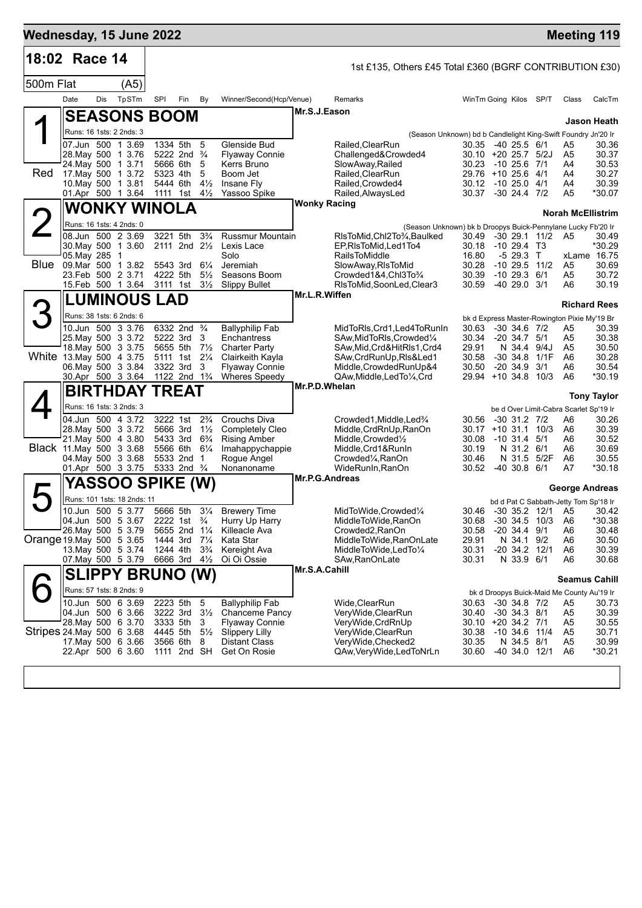| Wednesday, 15 June 2022   |                                                  |     |                       |          |                                                         |                                  |                                          |                                                                   |                                                               |                                      |                        | <b>Meeting 119</b>                                 |                       |
|---------------------------|--------------------------------------------------|-----|-----------------------|----------|---------------------------------------------------------|----------------------------------|------------------------------------------|-------------------------------------------------------------------|---------------------------------------------------------------|--------------------------------------|------------------------|----------------------------------------------------|-----------------------|
| 18:02 Race 14             |                                                  |     |                       |          |                                                         |                                  |                                          | 1st £135, Others £45 Total £360 (BGRF CONTRIBUTION £30)           |                                                               |                                      |                        |                                                    |                       |
| 500m Flat                 |                                                  |     | (A5)                  |          |                                                         |                                  |                                          |                                                                   |                                                               |                                      |                        |                                                    |                       |
|                           | Date                                             | Dis | TpSTm                 | SPI      | Fin                                                     | By                               | Winner/Second(Hcp/Venue)                 | Remarks                                                           | WinTm Going Kilos SP/T                                        |                                      |                        | Class                                              | CalcTm                |
|                           | <b>SEASONS BOOM</b>                              |     |                       |          |                                                         |                                  |                                          | Mr.S.J.Eason                                                      |                                                               |                                      |                        |                                                    | Jason Heath           |
|                           | Runs: 16 1sts: 2 2nds: 3                         |     |                       |          |                                                         |                                  |                                          |                                                                   | (Season Unknown) bd b Candlelight King-Swift Foundry Jn'20 Ir |                                      |                        |                                                    |                       |
|                           | 07.Jun 500 1 3.69                                |     |                       |          | 1334 5th 5                                              |                                  | Glenside Bud                             | Railed,ClearRun                                                   | 30.35 -40 25.5 6/1                                            |                                      |                        | A5                                                 | 30.36                 |
|                           | 28. May 500 1 3.76<br>24. May 500 1 3.71         |     |                       |          | 5222 2nd <sup>3</sup> / <sub>4</sub><br>5666 6th        | -5                               | <b>Flyaway Connie</b><br>Kerrs Bruno     | Challenged&Crowded4<br>SlowAway, Railed                           | $30.10 + 20 25.7 5/2J$<br>30.23                               | $-10$ 25.6 $7/1$                     |                        | A5<br>A4                                           | 30.37<br>30.53        |
| Red                       | 17. May 500 1 3.72                               |     |                       |          | 5323 4th                                                | 5                                | Boom Jet                                 | Railed, ClearRun                                                  | 29.76 +10 25.6 4/1                                            |                                      |                        | A4                                                 | 30.27                 |
|                           | 10. May 500 1 3.81<br>01.Apr 500 1 3.64          |     |                       |          | 5444 6th<br>1111 1st $4\frac{1}{2}$                     | $4\frac{1}{2}$                   | Insane Fly<br>Yassoo Spike               | Railed, Crowded4<br>Railed, AlwaysLed                             | 30.12<br>30.37 -30 24.4 7/2                                   | $-1025.04/1$                         |                        | A4<br>A5                                           | 30.39<br>*30.07       |
|                           | <b>WONKY WINOLA</b>                              |     |                       |          |                                                         |                                  |                                          | <b>Wonky Racing</b>                                               |                                                               |                                      |                        |                                                    |                       |
|                           | Runs: 16 1sts: 4 2nds: 0                         |     |                       |          |                                                         |                                  |                                          |                                                                   | (Season Unknown) bk b Droopys Buick-Pennylane Lucky Fb'20 Ir  |                                      |                        | <b>Norah McEllistrim</b>                           |                       |
|                           | 08.Jun 500 2 3.69                                |     |                       |          | 3221 5th                                                | $3\frac{3}{4}$                   | <b>Russmur Mountain</b>                  | RIsToMid, Chl2To3⁄4, Baulked                                      |                                                               |                                      | 30.49 -30 29.1 11/2 A5 |                                                    | 30.49                 |
|                           | 30. May 500 1 3.60<br>05. May 285 1              |     |                       |          | $2111$ 2nd $2\frac{1}{2}$                               |                                  | Lexis Lace<br>Solo                       | EP.RIsToMid.Led1To4<br>RailsToMiddle                              | 30.18<br>16.80                                                | $-1029.4$ T3<br>$-529.3$ T           |                        |                                                    | *30.29<br>xLame 16.75 |
| Blue                      | 09. Mar 500 1 3.82                               |     |                       |          | 5543 3rd                                                | $6\frac{1}{4}$                   | Jeremiah                                 | SlowAway, RIsToMid                                                | 30.28                                                         |                                      | $-10$ 29.5 $11/2$      | A5                                                 | 30.69                 |
|                           | 23.Feb 500 2 3.71<br>15.Feb 500 1 3.64           |     |                       | 4222 5th | 3111 1st                                                | $5\frac{1}{2}$<br>$3\frac{1}{2}$ | Seasons Boom<br><b>Slippy Bullet</b>     | Crowded1&4,Chl3To3/4<br>RIsToMid, SoonLed, Clear3                 | 30.39<br>30.59                                                | $-10$ 29.3 $6/1$<br>$-4029.03/1$     |                        | A5<br>A6                                           | 30.72<br>30.19        |
|                           | <b>LUMINOUS LAD</b>                              |     |                       |          |                                                         |                                  |                                          | Mr.L.R.Wiffen                                                     |                                                               |                                      |                        |                                                    |                       |
|                           | Runs: 38 1sts: 6 2nds: 6                         |     |                       |          |                                                         |                                  |                                          |                                                                   |                                                               |                                      |                        |                                                    | <b>Richard Rees</b>   |
|                           | 10.Jun 500 3 3.76                                |     |                       |          | 6332 2nd <sup>3</sup> / <sub>4</sub>                    |                                  | <b>Ballyphilip Fab</b>                   | MidToRIs, Crd1, Led4ToRunIn                                       | 30.63                                                         | $-30$ 34.6 $7/2$                     |                        | bk d Express Master-Rowington Pixie My'19 Br<br>A5 | 30.39                 |
|                           | 25. May 500 3 3.72                               |     |                       |          | 5222 3rd                                                | 3                                | Enchantress                              | SAw, MidToRIs, Crowded 1/4                                        | 30.34                                                         | $-20, 34.7, 5/1$                     |                        | A5                                                 | 30.38                 |
|                           | 18. May 500 3 3.75<br>White 13 May 500 4 3.75    |     |                       |          | 5655 5th<br>5111 1st                                    | $7\frac{1}{2}$<br>$2\frac{1}{4}$ | <b>Charter Party</b><br>Clairkeith Kayla | SAw, Mid, Crd& HitRIs1, Crd4<br>SAw, CrdRunUp, RIs&Led1           | 29.91<br>30.58                                                | N 34.4 9/4J<br>$-30$ 34.8            | 1/1F                   | A5<br>A6                                           | 30.50<br>30.28        |
|                           | 06. May 500 3 3.84                               |     |                       |          | 3322 3rd                                                | 3                                | <b>Flyaway Connie</b>                    | Middle, Crowded RunUp&4                                           | 30.50                                                         | $-20, 34.9$                          | 3/1                    | A6<br>A6                                           | 30.54<br>*30.19       |
|                           | 30.Apr 500 3 3.64                                |     | <b>BIRTHDAY TREAT</b> |          | 1122 2nd 1 <sup>3</sup> / <sub>4</sub>                  |                                  | Wheres Speedy                            | QAw, Middle, Led To 1/4, Crd<br>Mr.P.D.Whelan                     | 29.94 +10 34.8                                                |                                      | 10/3                   |                                                    |                       |
|                           | Runs: 16 1sts: 3 2nds: 3                         |     |                       |          |                                                         |                                  |                                          |                                                                   |                                                               |                                      |                        |                                                    | <b>Tony Taylor</b>    |
|                           | 04.Jun 500 4 3.72                                |     |                       |          | 3222 1st                                                | $2\frac{3}{4}$                   | Crouchs Diva                             | Crowded1, Middle, Led <sup>3</sup> / <sub>4</sub>                 | 30.56                                                         | $-30$ 31.2 $7/2$                     |                        | be d Over Limit-Cabra Scarlet Sp'19 Ir<br>A6       | 30.26                 |
|                           | 28. May 500 3 3.72                               |     |                       |          | 5666 3rd                                                | $1\frac{1}{2}$                   | <b>Completely Cleo</b>                   | Middle, CrdRnUp, RanOn                                            | 30.17                                                         |                                      | $+10$ 31.1 10/3        | A6                                                 | 30.39                 |
|                           | 21. May 500 4 3.80<br>Black 11 May 500 3 3.68    |     |                       |          | 5433 3rd 6 <sup>3</sup> / <sub>4</sub><br>5566 6th 61/4 |                                  | <b>Rising Amber</b><br>Imahappychappie   | Middle, Crowded <sup>1</sup> / <sub>2</sub><br>Middle, Crd1&RunIn | 30.08<br>30.19                                                | $-10$ 31.4 $5/1$<br>N 31.2 6/1       |                        | A6<br>A6                                           | 30.52<br>30.69        |
|                           | 04. May 500 3 3.68                               |     |                       |          | 5533 2nd 1                                              |                                  | Rogue Angel                              | Crowded¼,RanOn                                                    | 30.46                                                         |                                      | N 31.5 5/2F            | A6                                                 | 30.55                 |
|                           | 01.Apr 500 3 3.75                                |     |                       |          | 5333 2nd <sup>3</sup> / <sub>4</sub>                    |                                  | Nonanoname                               | WideRunIn, RanOn<br><b>Mr.P.G.Andreas</b>                         | 30.52                                                         | $-40, 30.8, 6/1$                     |                        | A7                                                 | *30.18                |
|                           |                                                  |     | YASSOO SPIKE (W)      |          |                                                         |                                  |                                          |                                                                   |                                                               |                                      |                        | George Andreas                                     |                       |
|                           | Runs: 101 1sts: 18 2nds: 11<br>10.Jun 500 5 3.77 |     |                       |          | 5666 5th                                                | $3\frac{1}{4}$                   | <b>Brewery Time</b>                      | MidToWide, Crowded1/4                                             | 30.46                                                         |                                      | -30 35.2 12/1 A5       | bd d Pat C Sabbath-Jetty Tom Sp'18 Ir              | 30.42                 |
|                           | 04.Jun 500 5 3.67                                |     |                       |          | 2222 1st <sup>3</sup> / <sub>4</sub>                    |                                  | Hurry Up Harry                           | MiddleToWide, RanOn                                               | 30.68                                                         | $-30$ 34.5 10/3                      |                        | A <sub>6</sub>                                     | *30.38                |
| Orange 19. May 500 5 3.65 | 26. May 500 5 3.79                               |     |                       |          | 5655 2nd 11/4<br>1444 3rd                               | $7\frac{1}{4}$                   | Killeacle Ava<br>Kata Star               | Crowded2, RanOn<br>MiddleToWide,RanOnLate                         | 30.58<br>29.91                                                | $-20$ 34.4 $9/1$<br>N 34.1 9/2       |                        | A <sub>6</sub><br>A <sub>6</sub>                   | 30.48<br>30.50        |
|                           | 13 May 500 5 3.74                                |     |                       |          | 1244 4th                                                | $3\frac{3}{4}$                   | Kereight Ava                             | MiddleToWide,LedTo¼                                               | 30.31                                                         | $-20$ 34.2 12/1                      |                        | A6                                                 | 30.39                 |
|                           | 07. May 500 5 3.79                               |     |                       |          | 6666 3rd 41/2                                           |                                  | Oi Oi Ossie                              | SAw, RanOnLate<br>Mr.S.A.Cahill                                   | 30.31                                                         | N 33.9 6/1                           |                        | A6                                                 | 30.68                 |
|                           | <b>SLIPPY BRUNO (W)</b>                          |     |                       |          |                                                         |                                  |                                          |                                                                   |                                                               |                                      |                        | <b>Seamus Cahill</b>                               |                       |
|                           | Runs: 57 1sts: 8 2nds: 9                         |     |                       |          |                                                         |                                  |                                          |                                                                   |                                                               |                                      |                        | bk d Droopys Buick-Maid Me County Au'19 Ir         |                       |
|                           | 10.Jun 500 6 3.69<br>04.Jun 500 6 3.66           |     |                       |          | 2223 5th<br>3222 3rd                                    | -5<br>$3\frac{1}{2}$             | <b>Ballyphilip Fab</b><br>Chanceme Pancy | Wide, Clear Run<br>VeryWide, ClearRun                             | 30.63<br>30.40                                                | $-30$ 34.8 $7/2$<br>$-30$ 34.3 $8/1$ |                        | A5<br>A5                                           | 30.73<br>30.39        |
|                           | 28. May 500 6 3.70                               |     |                       |          | 3333 5th                                                | -3                               | Flyaway Connie                           | VeryWide, CrdRnUp                                                 | 30.10 +20 34.2 7/1                                            |                                      |                        | A5                                                 | 30.55                 |
| Stripes 24 May 500 6 3.68 | 17 May 500 6 3.66                                |     |                       |          | 4445 5th<br>3566 6th                                    | $5\frac{1}{2}$<br>8              | <b>Slippery Lilly</b><br>Distant Class   | VeryWide, ClearRun<br>VeryWide, Checked2                          | 30.38<br>30.35                                                | $-10, 34.6$<br>N 34.5 8/1            | 11/4                   | A <sub>5</sub><br>A5                               | 30.71<br>30.99        |
|                           | 22.Apr 500 6 3.60                                |     |                       |          | 1111 2nd SH                                             |                                  | Get On Rosie                             | QAw, Very Wide, Led ToNrLn                                        | 30.60                                                         |                                      | -40 34.0 12/1          | A <sub>6</sub>                                     | *30.21                |
|                           |                                                  |     |                       |          |                                                         |                                  |                                          |                                                                   |                                                               |                                      |                        |                                                    |                       |
|                           |                                                  |     |                       |          |                                                         |                                  |                                          |                                                                   |                                                               |                                      |                        |                                                    |                       |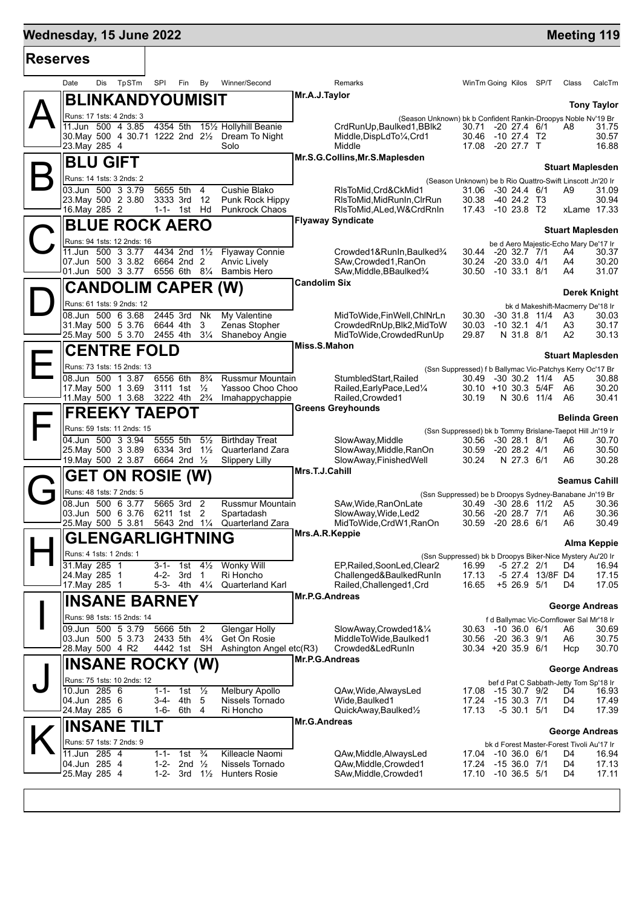# **Mednesday, 15 June 2022 Meeting 119**

| <b>Reserves</b> |                                |                                                        |                             |                                  |                                                                                        |                                                                  |                |                                                                 |                                        |                      |
|-----------------|--------------------------------|--------------------------------------------------------|-----------------------------|----------------------------------|----------------------------------------------------------------------------------------|------------------------------------------------------------------|----------------|-----------------------------------------------------------------|----------------------------------------|----------------------|
|                 | Date                           | TpSTm<br>Dis                                           | SPI<br>Fin                  | By                               | Winner/Second                                                                          | <b>Remarks</b>                                                   |                | WinTm Going Kilos SP/T                                          | Class                                  | CalcTm               |
|                 |                                | BLINKANDYOUMISIT                                       |                             |                                  |                                                                                        | Mr.A.J.Taylor                                                    |                |                                                                 |                                        | <b>Tony Taylor</b>   |
|                 |                                | Runs: 17 1sts: 4 2nds: 3                               |                             |                                  |                                                                                        | (Season Unknown) bk b Confident Rankin-Droopys Noble Nv'19 Br    |                |                                                                 |                                        |                      |
|                 |                                | 11.Jun 500 4 3.85                                      | 4354 5th                    |                                  | 151/ <sub>2</sub> Hollyhill Beanie<br>30. May 500 4 30.71 1222 2nd 21/2 Dream To Night | CrdRunUp, Baulked1, BBlk2<br>Middle, DispLdTo1/4, Crd1           |                | 30.71 -20 27.4 6/1<br>30.46 -10 27.4 T2                         | A8                                     | 31.75<br>30.57       |
|                 | 23. May 285 4                  |                                                        |                             |                                  | Solo                                                                                   | Middle                                                           |                | 17.08 -20 27.7 T                                                |                                        | 16.88                |
|                 |                                | <b>BLU GIFT</b>                                        |                             |                                  |                                                                                        | Mr.S.G.Collins, Mr.S.Maplesden                                   |                |                                                                 | <b>Stuart Maplesden</b>                |                      |
|                 |                                | Runs: 14 1sts: 3 2nds: 2                               |                             |                                  |                                                                                        |                                                                  |                | (Season Unknown) be b Rio Quattro-Swift Linscott Jn'20 Ir       |                                        |                      |
|                 |                                | 03.Jun 500 3 3.79                                      | 5655 5th                    | 4                                | Cushie Blako                                                                           | RIsToMid, Crd&CkMid1                                             |                | 31.06 -30 24.4 6/1                                              | A9                                     | 31.09                |
|                 | 16. May 285 2                  | 23. May 500 2 3.80                                     | 3333 3rd<br>1-1- 1st        | 12<br>Hd                         | Punk Rock Hippy<br><b>Punkrock Chaos</b>                                               | RIsToMid,MidRunIn,CIrRun<br>RIsToMid,ALed,W&CrdRnIn              | 30.38          | -40 24.2 T3<br>17.43 -10 23.8 T2                                |                                        | 30.94<br>xLame 17.33 |
|                 |                                | <b>BLUE ROCK AERO</b>                                  |                             |                                  |                                                                                        | <b>Flyaway Syndicate</b>                                         |                |                                                                 |                                        |                      |
|                 |                                | Runs: 94 1sts: 12 2nds: 16                             |                             |                                  |                                                                                        |                                                                  |                |                                                                 | <b>Stuart Maplesden</b>                |                      |
|                 |                                | 11.Jun 500 3 3.77                                      | 4434 2nd 11/2               |                                  | <b>Flyaway Connie</b>                                                                  | Crowded1&RunIn, Baulked3/4                                       |                | be d Aero Majestic-Echo Mary De'17 Ir<br>30.44 -20 32.7 7/1     | A4                                     | 30.37                |
|                 |                                | 07.Jun 500 3 3.82<br>01.Jun 500 3 3.77                 | 6664 2nd 2<br>6556 6th 81/4 |                                  | Anvic Lively<br><b>Bambis Hero</b>                                                     | SAw, Crowded 1, RanOn<br>SAw, Middle, BBaulked <sup>3</sup> /4   | 30.24          | $-2033.04/1$<br>30.50 -10 33.1 8/1                              | A4<br>A4                               | 30.20<br>31.07       |
|                 |                                |                                                        |                             |                                  |                                                                                        | <b>Candolim Six</b>                                              |                |                                                                 |                                        |                      |
|                 |                                | <b>CANDOLIM CAPER (W)</b><br>Runs: 61 1sts: 9 2nds: 12 |                             |                                  |                                                                                        |                                                                  |                |                                                                 |                                        | <b>Derek Knight</b>  |
|                 |                                | 08.Jun 500 6 3.68                                      | 2445 3rd                    | Nk                               | My Valentine                                                                           | MidToWide, FinWell, ChlNrLn                                      | 30.30          | $-30$ 31.8 11/4                                                 | bk d Makeshift-Macmerry De'18 Ir<br>A3 | 30.03                |
|                 |                                | 31. May 500 5 3.76                                     | 6644 4th                    | 3                                | Zenas Stopher                                                                          | CrowdedRnUp, Blk2, MidToW                                        | 30.03          | $-10$ 32.1 4/1                                                  | A3                                     | 30.17                |
|                 |                                | 25. May 500 5 3.70                                     | 2455 4th                    | $3\frac{1}{4}$                   | Shaneboy Angie                                                                         | MidToWide, Crowded RunUp<br>Miss.S.Mahon                         | 29.87          | N 31.8 8/1                                                      | A2                                     | 30.13                |
|                 |                                | <b>CENTRE FOLD</b>                                     |                             |                                  |                                                                                        |                                                                  |                |                                                                 | <b>Stuart Maplesden</b>                |                      |
|                 |                                | Runs: 73 1sts: 15 2nds: 13                             |                             |                                  |                                                                                        |                                                                  |                | (Ssn Suppressed) f b Ballymac Vic-Patchys Kerry Oc'17 Br        |                                        |                      |
|                 |                                | 08.Jun 500 1 3.87<br>17 May 500 1 3.69                 | 6556 6th<br>3111 1st        | $8\frac{3}{4}$<br>$\frac{1}{2}$  | <b>Russmur Mountain</b><br>Yassoo Choo Choo                                            | StumbledStart, Railed<br>Railed, Early Pace, Led <sup>1/4</sup>  |                | 30.49 -30 30.2 11/4<br>30.10 +10 30.3 5/4F                      | A5<br>A6                               | 30.88<br>30.20       |
|                 |                                | 11. May 500 1 3.68                                     | 3222 4th                    | $2\frac{3}{4}$                   | Imahappychappie                                                                        | Railed, Crowded1                                                 | 30.19          | N 30.6 11/4                                                     | A6                                     | 30.41                |
|                 |                                | <b>FREEKY TAEPOT</b>                                   |                             |                                  |                                                                                        | <b>Greens Greyhounds</b>                                         |                |                                                                 | Belinda Green                          |                      |
|                 |                                | Runs: 59 1sts: 11 2nds: 15                             |                             |                                  |                                                                                        | (Ssn Suppressed) bk b Tommy Brislane-Taepot Hill Jn'19 Ir        |                |                                                                 |                                        |                      |
|                 |                                | 04.Jun 500 3 3.94<br>25. May 500 3 3.89                | 5555 5th<br>6334 3rd        | $5\frac{1}{2}$<br>$1\frac{1}{2}$ | <b>Birthday Treat</b><br>Quarterland Zara                                              | SlowAway, Middle<br>SlowAway, Middle, RanOn                      | 30.56<br>30.59 | -30 28.1 8/1<br>$-20$ 28.2 $4/1$                                | A6<br>A6                               | 30.70<br>30.50       |
|                 |                                | 19. May 500 2 3.87                                     | 6664 2nd 1/2                |                                  | <b>Slippery Lilly</b>                                                                  | SlowAway, FinishedWell                                           | 30.24          | N 27.3 6/1                                                      | A6                                     | 30.28                |
|                 |                                | <b>GET ON ROSIE (W)</b>                                |                             |                                  |                                                                                        | Mrs.T.J.Cahill                                                   |                |                                                                 | <b>Seamus Cahill</b>                   |                      |
|                 |                                | Runs: 48 1sts: 7 2nds: 5                               |                             |                                  |                                                                                        | (Ssn Suppressed) be b Droopys Sydney-Banabane Jn'19 Br           |                |                                                                 |                                        |                      |
|                 |                                | 08.Jun 500 6 3.77<br>03.Jun 500 6 3.76                 | 5665 3rd 2<br>6211 1st 2    |                                  | Russmur Mountain<br>Spartadash                                                         | SAw, Wide, RanOnLate<br>SlowAway, Wide, Led2                     | 30.56          | 30.49 -30 28.6 11/2<br>-20 28.7 7/1                             | A5<br>A6                               | 30.36<br>30.36       |
|                 |                                | 25. May 500 5 3.81                                     | 5643 2nd 11/4               |                                  | Quarterland Zara                                                                       | MidToWide,CrdW1,RanOn                                            | 30.59          | $-20$ 28.6 6/1                                                  | A6                                     | 30.49                |
|                 |                                | <b>GLENGARLIGHTNING</b>                                |                             |                                  |                                                                                        | Mrs.A.R.Keppie                                                   |                |                                                                 |                                        | <b>Alma Keppie</b>   |
|                 |                                | Runs: 4 1sts: 1 2nds: 1                                |                             |                                  |                                                                                        | (Ssn Suppressed) bk b Droopys Biker-Nice Mystery Au'20 Ir        |                |                                                                 |                                        |                      |
|                 | 31. May 285 1                  |                                                        | $3 - 1 -$                   | $4\frac{1}{2}$<br>1st            | <b>Wonky Will</b>                                                                      | EP, Railed, SoonLed, Clear2                                      | 16.99          | $-5$ 27.2 2/1                                                   | D4                                     | 16.94                |
|                 | 24. May 285 1<br>17. May 285 1 |                                                        | 4-2-<br>5-3- 4th 41/4       | 3rd<br>$\mathbf{1}$              | Ri Honcho<br><b>Quarterland Karl</b>                                                   | Challenged&BaulkedRunIn<br>Railed, Challenged1, Crd              | 17.13<br>16.65 | -5 27.4 13/8F D4<br>$+5$ 26.9 $5/1$                             | D4                                     | 17.15<br>17.05       |
|                 |                                | <b>INSANE BARNEY</b>                                   |                             |                                  |                                                                                        | Mr.P.G.Andreas                                                   |                |                                                                 |                                        |                      |
|                 |                                | Runs: 98 1sts: 15 2nds: 14                             |                             |                                  |                                                                                        |                                                                  |                | f d Ballymac Vic-Cornflower Sal Mr'18 Ir                        | <b>George Andreas</b>                  |                      |
|                 |                                | 09.Jun 500 5 3.79                                      | 5666 5th                    | $\overline{2}$                   | Glengar Holly                                                                          | SlowAway,Crowded1&1/4                                            |                | 30.63 -10 36.0 6/1                                              | A6                                     | 30.69                |
|                 |                                | 03.Jun 500 5 3.73<br>28. May 500 4 R2                  | 2433 5th<br>4442 1st SH     | $4\frac{3}{4}$                   | Get On Rosie<br>Ashington Angel etc(R3)                                                | MiddleToWide.Baulked1<br>Crowded&LedRunIn                        | 30.56          | $-20$ 36.3 $9/1$<br>$30.34 + 20.35.9$ 6/1                       | A6<br>Hcp                              | 30.75<br>30.70       |
|                 |                                | <b>INSANE ROCKY (W)</b>                                |                             |                                  |                                                                                        | Mr.P.G.Andreas                                                   |                |                                                                 |                                        |                      |
|                 |                                | Runs: 75 1sts: 10 2nds: 12                             |                             |                                  |                                                                                        |                                                                  |                |                                                                 | <b>George Andreas</b>                  |                      |
|                 | 10.Jun 285 6                   |                                                        | $1 - 1 -$                   | $\frac{1}{2}$<br>1st             | Melbury Apollo                                                                         | QAw, Wide, Always Led                                            |                | bef d Pat C Sabbath-Jetty Tom Sp'18 Ir<br>17.08 -15 30.7 9/2    | D4.                                    | 16.93                |
|                 | 04.Jun 285 6<br>24. May 285 6  |                                                        | $3-4-$<br>1-6-              | 4th<br>5<br>6th<br>4             | Nissels Tornado<br>Ri Honcho                                                           | Wide, Baulked1<br>QuickAway, Baulked <sup>1</sup> / <sub>2</sub> | 17.24<br>17.13 | $-1530.37/1$<br>$-5$ 30.1 $5/1$                                 | D4<br>D4                               | 17.49<br>17.39       |
|                 |                                |                                                        |                             |                                  |                                                                                        | <b>Mr.G.Andreas</b>                                              |                |                                                                 |                                        |                      |
|                 |                                | <b>INSANE TILT</b>                                     |                             |                                  |                                                                                        |                                                                  |                |                                                                 | <b>George Andreas</b>                  |                      |
|                 | 11.Jun 285 4                   | Runs: 57 1sts: 7 2nds: 9                               | $1 - 1 -$                   | $\frac{3}{4}$<br>1st             | Killeacle Naomi                                                                        | QAw, Middle, Always Led                                          |                | bk d Forest Master-Forest Tivoli Au'17 Ir<br>17.04 -10 36.0 6/1 | D4                                     | 16.94                |
|                 | 04.Jun 285 4                   |                                                        | 1-2-                        | $\frac{1}{2}$<br>2nd             | Nissels Tornado                                                                        | QAw, Middle, Crowded1                                            | 17.24          | -15 36.0 7/1                                                    | D4                                     | 17.13                |
|                 | 25. May 285 4                  |                                                        | 1-2-                        | 3rd<br>$1\frac{1}{2}$            | <b>Hunters Rosie</b>                                                                   | SAw, Middle, Crowded1                                            |                | 17.10 -10 36.5 5/1                                              | D4                                     | 17.11                |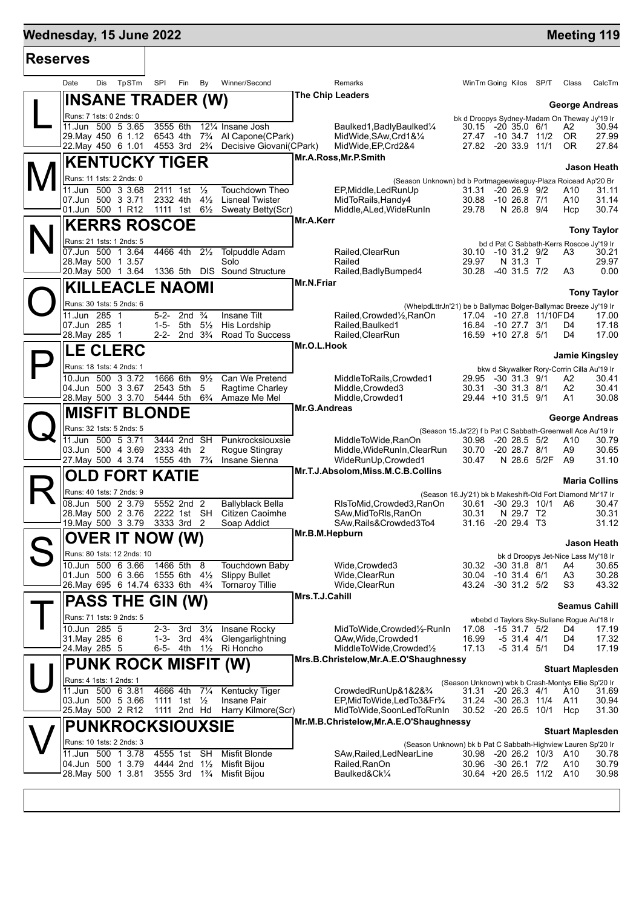## **Wednesday, 15 June 2022 Meeting 119**

| <b>Reserves</b> |                                                            |                                                                    |                                                               |                         |                                                                         |                |                                                                                |  |              |                         |
|-----------------|------------------------------------------------------------|--------------------------------------------------------------------|---------------------------------------------------------------|-------------------------|-------------------------------------------------------------------------|----------------|--------------------------------------------------------------------------------|--|--------------|-------------------------|
|                 | TpSTm<br>Date<br>Dis                                       | SPI<br>Fin<br>By                                                   | Winner/Second                                                 |                         | Remarks                                                                 |                | WinTm Going Kilos SP/T                                                         |  | Class        | CalcTm                  |
|                 | <b>INSANE TRADER (W)</b>                                   |                                                                    |                                                               |                         | The Chip Leaders                                                        |                |                                                                                |  |              | <b>George Andreas</b>   |
|                 | Runs: 7 1sts: 0 2nds: 0                                    |                                                                    |                                                               |                         |                                                                         |                | bk d Droopys Sydney-Madam On Theway Jy'19 Ir                                   |  |              |                         |
|                 | 11.Jun 500 5 3.65<br>29. May 450 6 1.12                    | 3555 6th<br>6543 4th<br>$7\frac{3}{4}$                             | 121/4 Insane Josh<br>Al Capone(CPark)                         |                         | Baulked1, Badly Baulked <sup>1/4</sup><br>MidWide, SAw, Crd1&1/4        |                | 30.15 -20 35.0 6/1<br>27.47 -10 34.7 11/2                                      |  | A2<br>0R     | 30.94<br>27.99          |
|                 | 22. May 450 6 1.01                                         | 4553 3rd 2 <sup>3</sup> / <sub>4</sub>                             | Decisive Giovani(CPark)                                       |                         | MidWide, EP, Crd2&4                                                     |                | 27.82 -20 33.9 11/1                                                            |  | 0R           | 27.84                   |
|                 | <b>KENTUCKY TIGER</b>                                      |                                                                    |                                                               |                         | Mr.A.Ross, Mr.P.Smith                                                   |                |                                                                                |  |              |                         |
|                 | Runs: 11 1sts: 2 2nds: 0                                   |                                                                    |                                                               |                         | (Season Unknown) bd b Portmageewiseguy-Plaza Roicead Ap'20 Br           |                |                                                                                |  |              | Jason Heath             |
|                 | 11.Jun 500 3 3.68                                          | 2111 1st<br>$\frac{1}{2}$                                          | Touchdown Theo                                                |                         | EP, Middle, Led Run Up                                                  | 31.31          | $-2026.992$                                                                    |  | A10          | 31.11                   |
|                 | 07.Jun 500 3 3.71<br>01.Jun 500 1 R12                      | $4\frac{1}{2}$<br>2332 4th<br>1111 1st $6\frac{1}{2}$              | <b>Lisneal Twister</b><br>Sweaty Betty(Scr)                   |                         | MidToRails, Handy4<br>Middle, ALed, WideRunIn                           | 29.78          | 30.88 -10 26.8 7/1<br>N 26.8 9/4                                               |  | A10<br>Hcp   | 31.14<br>30.74          |
|                 |                                                            |                                                                    |                                                               | Mr.A.Kerr               |                                                                         |                |                                                                                |  |              |                         |
|                 | <b>KERRS ROSCOE</b>                                        |                                                                    |                                                               |                         |                                                                         |                |                                                                                |  |              | <b>Tony Taylor</b>      |
|                 | Runs: 21 1sts: 1 2nds: 5<br>07.Jun 500 1 3.64              | $2\frac{1}{2}$<br>4466 4th                                         | <b>Tolpuddle Adam</b>                                         |                         | Railed, ClearRun                                                        |                | bd d Pat C Sabbath-Kerrs Roscoe Jy'19 Ir<br>30.10 -10 31.2 9/2                 |  | A3           | 30.21                   |
|                 | 28. May 500 1 3.57                                         |                                                                    | Solo                                                          |                         | Railed                                                                  | 29.97          | N 31.3 T                                                                       |  |              | 29.97                   |
|                 | 20. May 500 1 3.64                                         |                                                                    | 1336 5th DIS Sound Structure                                  | Mr.N.Friar              | Railed, Badly Bumped 4                                                  | 30.28          | $-40$ 31.5 $7/2$                                                               |  | A3           | 0.00                    |
|                 | <b>KILLEACLE NAOMI</b>                                     |                                                                    |                                                               |                         |                                                                         |                |                                                                                |  |              | <b>Tony Taylor</b>      |
|                 | Runs: 30 1sts: 5 2nds: 6                                   |                                                                    |                                                               |                         | (WhelpdLttrJn'21) be b Ballymac Bolger-Ballymac Breeze Jy'19 Ir         |                |                                                                                |  |              |                         |
|                 | 11.Jun 285 1<br>07.Jun 285 1                               | 5-2-<br>$\frac{3}{4}$<br>2nd<br>$5\frac{1}{2}$<br>$1 - 5 -$<br>5th | <b>Insane Tilt</b><br>His Lordship                            |                         | Railed, Crowded <sup>1</sup> / <sub>2</sub> , RanOn<br>Railed, Baulked1 |                | 17.04 -10 27.8 11/10FD4<br>16.84 -10 27.7 3/1                                  |  | D4           | 17.00<br>17.18          |
|                 | 28. May 285 1                                              | $2 - 2 -$<br>2nd $3\frac{3}{4}$                                    | Road To Success                                               |                         | Railed, ClearRun                                                        |                | 16.59 +10 27.8 5/1                                                             |  | D4           | 17.00                   |
|                 | <b>LE CLERC</b>                                            |                                                                    |                                                               | Mr.O.L.Hook             |                                                                         |                |                                                                                |  |              |                         |
|                 | Runs: 18 1sts: 4 2nds: 1                                   |                                                                    |                                                               |                         |                                                                         |                | bkw d Skywalker Rory-Corrin Cilla Au'19 Ir                                     |  |              | <b>Jamie Kingsley</b>   |
|                 | 10.Jun 500 3 3.72                                          | $9\frac{1}{2}$<br>1666 6th                                         | Can We Pretend                                                |                         | MiddleToRails, Crowded1                                                 | 29.95          | -30 31.3 9/1                                                                   |  | A2           | 30.41                   |
|                 | 04.Jun 500 3 3.67<br>28. May 500 3 3.70                    | 2543 5th<br>5<br>5444 5th                                          | Ragtime Charley<br>6 <sup>3</sup> / <sub>4</sub> Amaze Me Mel |                         | Middle, Crowded3<br>Middle, Crowded1                                    | 30.31          | $-30$ 31.3 8/1<br>29.44 +10 31.5 9/1                                           |  | A2<br>A1     | 30.41<br>30.08          |
|                 | <b>MISFIT BLONDE</b>                                       |                                                                    |                                                               | Mr.G.Andreas            |                                                                         |                |                                                                                |  |              |                         |
|                 | Runs: 32 1sts: 5 2nds: 5                                   |                                                                    |                                                               |                         |                                                                         |                |                                                                                |  |              | George Andreas          |
|                 | 11.Jun 500 5 3.71                                          | 3444 2nd SH                                                        | Punkrocksiouxsie                                              |                         | MiddleToWide,RanOn                                                      | 30.98          | (Season 15.Ja'22) f b Pat C Sabbath-Greenwell Ace Au'19 Ir<br>$-20$ 28.5 $5/2$ |  | A10          | 30.79                   |
|                 | 03.Jun 500 4 3.69                                          | 2333 4th<br>2                                                      | Rogue Stingray                                                |                         | Middle, WideRunIn, ClearRun                                             | 30.70          | $-20$ 28.7 $8/1$                                                               |  | A9           | 30.65                   |
|                 | 27. May 500 4 3.74                                         | 1555 4th 7 <sup>3</sup> / <sub>4</sub>                             | Insane Sienna                                                 |                         | WideRunUp, Crowded1<br>Mr.T.J.Absolom, Miss.M.C.B.Collins               | 30.47          | N 28.6 5/2F                                                                    |  | A9           | 31.10                   |
|                 | <b>OLD FORT</b>                                            | <b>KATIE</b>                                                       |                                                               |                         |                                                                         |                |                                                                                |  |              | <b>Maria Collins</b>    |
|                 | Runs: 40 1sts: 7 2nds: 9<br>08.Jun 500 2 3.79              | 5552 2nd 2                                                         |                                                               |                         |                                                                         | 30.61          | (Season 16.Jy'21) bk b Makeshift-Old Fort Diamond Mr'17 Ir                     |  |              |                         |
|                 | 28. May 500 2 3.76                                         | 2222 1st SH                                                        | <b>Ballyblack Bella</b><br>Citizen Caoimhe                    |                         | RIsToMid, Crowded3, RanOn<br>SAw, MidToRIs, RanOn                       | 30.31          | -30 29.3 10/1<br>N 29.7 T2                                                     |  | A6           | 30.47<br>30.31          |
|                 | 19. May 500 3 3.79                                         | 3333 3rd 2                                                         | Soap Addict                                                   |                         | SAw, Rails& Crowded 3 To 4                                              | 31.16          | $-20, 29.4$ T3                                                                 |  |              | 31.12                   |
|                 | <b>OVER IT NOW (W)</b>                                     |                                                                    |                                                               | Mr.B.M.Hepburn          |                                                                         |                |                                                                                |  |              | Jason Heath             |
|                 | Runs: 80 1sts: 12 2nds: 10                                 |                                                                    |                                                               |                         |                                                                         |                | bk d Droopys Jet-Nice Lass My'18 Ir                                            |  |              |                         |
|                 | 10.Jun 500 6 3.66<br>01.Jun 500 6 3.66                     | 1466 5th 8<br>1555 6th 41/2                                        | Touchdown Baby<br><b>Slippy Bullet</b>                        |                         | Wide, Crowded3<br>Wide, Clear Run                                       | 30.32<br>30.04 | $-30$ 31.8 $8/1$<br>$-10$ 31.4 $6/1$                                           |  | A4<br>A3     | 30.65<br>30.28          |
|                 | 26. May 695 6 14.74 6333 6th 4 <sup>3</sup> / <sub>4</sub> |                                                                    | <b>Tornaroy Tillie</b>                                        |                         | Wide, ClearRun                                                          | 43.24          | $-30$ 31.2 $5/2$                                                               |  | S3           | 43.32                   |
|                 | <b>PASS THE GIN (W)</b>                                    |                                                                    |                                                               | Mrs.T.J.Cahill          |                                                                         |                |                                                                                |  |              |                         |
|                 | Runs: 71 1sts: 9 2nds: 5                                   |                                                                    |                                                               |                         |                                                                         |                | wbebd d Taylors Sky-Sullane Rogue Au'18 Ir                                     |  |              | Seamus Cahill           |
|                 | 10.Jun 285 5                                               | $2 - 3 -$<br>$3\frac{1}{4}$<br>3rd                                 | Insane Rocky                                                  |                         | MidToWide,Crowded1/2-RunIn                                              | 17.08          | $-1531.752$                                                                    |  | D4           | 17.19                   |
|                 | 31. May 285 6<br>24.May 285 5                              | 1-3-<br>$3rd \frac{4\frac{3}{4}}{4}$<br>6-5- 4th 1½                | Glengarlightning<br>Ri Honcho                                 |                         | QAw, Wide, Crowded1<br>MiddleToWide,Crowded1/2                          | 16.99<br>17.13 | $-5$ 31.4 4/1<br>$-5$ 31.4 $5/1$                                               |  | D4<br>D4     | 17.32<br>17.19          |
|                 |                                                            |                                                                    |                                                               |                         | Mrs.B.Christelow, Mr.A.E.O'Shaughnessy                                  |                |                                                                                |  |              |                         |
|                 | <b>PUNK ROCK MISFIT (W)</b>                                |                                                                    |                                                               | <b>Stuart Maplesden</b> |                                                                         |                |                                                                                |  |              |                         |
|                 | Runs: 4 1sts: 1 2nds: 1<br>11.Jun 500 6 3.81               | 4666 4th<br>$7\frac{1}{4}$                                         | <b>Kentucky Tiger</b>                                         |                         | CrowdedRunUp&1&2&3/4                                                    | 31.31          | (Season Unknown) wbk b Crash-Montys Ellie Sp'20 Ir<br>$-20$ 26.3 $4/1$         |  | A10          | 31.69                   |
|                 | 03.Jun 500 5 3.66                                          | 1111 1st 1/2                                                       | <b>Insane Pair</b>                                            |                         | EP, MidToWide, LedTo 3& Fr3/4                                           | 31.24          | $-30$ 26.3 11/4                                                                |  | A11          | 30.94                   |
|                 | 25. May 500 2 R12                                          | 1111 2nd Hd                                                        | Harry Kilmore(Scr)                                            |                         | MidToWide,SoonLedToRunIn<br>Mr.M.B.Christelow, Mr.A.E.O'Shaughnessy     | 30.52          | $-20\,26.5\,10/1$                                                              |  | Hcp          | 31.30                   |
|                 | <b>PUNKROCKSIOUXSIE</b>                                    |                                                                    |                                                               |                         |                                                                         |                |                                                                                |  |              | <b>Stuart Maplesden</b> |
|                 | Runs: 10 1sts: 2 2nds: 3                                   |                                                                    |                                                               |                         | (Season Unknown) bk b Pat C Sabbath-Highview Lauren Sp'20 Ir            |                |                                                                                |  |              |                         |
|                 | 11.Jun 500 1 3.78<br>04.Jun 500 1 3.79                     | 4555 1st SH<br>4444 2nd 11/2                                       | Misfit Blonde<br>Misfit Bijou                                 |                         | SAw, Railed, LedNearLine<br>Railed, RanOn                               |                | 30.98 -20 26.2 10/3<br>30.96 -30 26.1 7/2                                      |  | - A10<br>A10 | 30.78<br>30.79          |
|                 | 28. May 500 1 3.81                                         | 3555 3rd 1 <sup>3</sup> / <sub>4</sub>                             | Misfit Bijou                                                  |                         | Baulked&Ck¼                                                             |                | 30.64 +20 26.5 11/2                                                            |  | A10          | 30.98                   |
|                 |                                                            |                                                                    |                                                               |                         |                                                                         |                |                                                                                |  |              |                         |